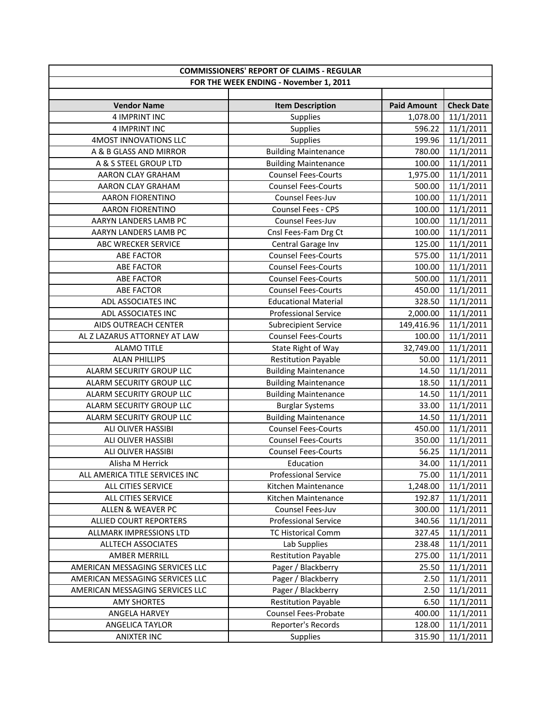| <b>COMMISSIONERS' REPORT OF CLAIMS - REGULAR</b> |                             |                    |                   |
|--------------------------------------------------|-----------------------------|--------------------|-------------------|
| FOR THE WEEK ENDING - November 1, 2011           |                             |                    |                   |
|                                                  |                             |                    |                   |
| <b>Vendor Name</b>                               | <b>Item Description</b>     | <b>Paid Amount</b> | <b>Check Date</b> |
| 4 IMPRINT INC                                    | <b>Supplies</b>             | 1,078.00           | 11/1/2011         |
| 4 IMPRINT INC                                    | <b>Supplies</b>             | 596.22             | 11/1/2011         |
| 4MOST INNOVATIONS LLC                            | Supplies                    | 199.96             | 11/1/2011         |
| A & B GLASS AND MIRROR                           | <b>Building Maintenance</b> | 780.00             | 11/1/2011         |
| A & S STEEL GROUP LTD                            | <b>Building Maintenance</b> | 100.00             | 11/1/2011         |
| AARON CLAY GRAHAM                                | <b>Counsel Fees-Courts</b>  | 1,975.00           | 11/1/2011         |
| AARON CLAY GRAHAM                                | <b>Counsel Fees-Courts</b>  | 500.00             | 11/1/2011         |
| <b>AARON FIORENTINO</b>                          | Counsel Fees-Juv            | 100.00             | 11/1/2011         |
| <b>AARON FIORENTINO</b>                          | <b>Counsel Fees - CPS</b>   | 100.00             | 11/1/2011         |
| AARYN LANDERS LAMB PC                            | Counsel Fees-Juv            | 100.00             | 11/1/2011         |
| AARYN LANDERS LAMB PC                            | Cnsl Fees-Fam Drg Ct        | 100.00             | 11/1/2011         |
| ABC WRECKER SERVICE                              | Central Garage Inv          | 125.00             | 11/1/2011         |
| <b>ABE FACTOR</b>                                | <b>Counsel Fees-Courts</b>  | 575.00             | 11/1/2011         |
| <b>ABE FACTOR</b>                                | <b>Counsel Fees-Courts</b>  | 100.00             | 11/1/2011         |
| <b>ABE FACTOR</b>                                | <b>Counsel Fees-Courts</b>  | 500.00             | 11/1/2011         |
| <b>ABE FACTOR</b>                                | <b>Counsel Fees-Courts</b>  | 450.00             | 11/1/2011         |
| ADL ASSOCIATES INC                               | <b>Educational Material</b> | 328.50             | 11/1/2011         |
| ADL ASSOCIATES INC                               | <b>Professional Service</b> | 2,000.00           | 11/1/2011         |
| AIDS OUTREACH CENTER                             | <b>Subrecipient Service</b> | 149,416.96         | 11/1/2011         |
| AL Z LAZARUS ATTORNEY AT LAW                     | <b>Counsel Fees-Courts</b>  | 100.00             | 11/1/2011         |
| <b>ALAMO TITLE</b>                               | State Right of Way          | 32,749.00          | 11/1/2011         |
| <b>ALAN PHILLIPS</b>                             | <b>Restitution Payable</b>  | 50.00              | 11/1/2011         |
| ALARM SECURITY GROUP LLC                         | <b>Building Maintenance</b> | 14.50              | 11/1/2011         |
| ALARM SECURITY GROUP LLC                         | <b>Building Maintenance</b> | 18.50              | 11/1/2011         |
| ALARM SECURITY GROUP LLC                         | <b>Building Maintenance</b> | 14.50              | 11/1/2011         |
| ALARM SECURITY GROUP LLC                         | <b>Burglar Systems</b>      | 33.00              | 11/1/2011         |
| ALARM SECURITY GROUP LLC                         | <b>Building Maintenance</b> | 14.50              | 11/1/2011         |
| ALI OLIVER HASSIBI                               | <b>Counsel Fees-Courts</b>  | 450.00             | 11/1/2011         |
| ALI OLIVER HASSIBI                               | <b>Counsel Fees-Courts</b>  | 350.00             | 11/1/2011         |
| ALI OLIVER HASSIBI                               | <b>Counsel Fees-Courts</b>  | 56.25              | 11/1/2011         |
| Alisha M Herrick                                 | Education                   | 34.00              | 11/1/2011         |
| ALL AMERICA TITLE SERVICES INC                   | <b>Professional Service</b> | 75.00              | 11/1/2011         |
| ALL CITIES SERVICE                               | Kitchen Maintenance         | 1,248.00           | 11/1/2011         |
| ALL CITIES SERVICE                               | Kitchen Maintenance         | 192.87             | 11/1/2011         |
| ALLEN & WEAVER PC                                | Counsel Fees-Juv            | 300.00             | 11/1/2011         |
| ALLIED COURT REPORTERS                           | <b>Professional Service</b> | 340.56             | 11/1/2011         |
| ALLMARK IMPRESSIONS LTD                          | <b>TC Historical Comm</b>   | 327.45             | 11/1/2011         |
| <b>ALLTECH ASSOCIATES</b>                        | Lab Supplies                | 238.48             | 11/1/2011         |
| AMBER MERRILL                                    | <b>Restitution Payable</b>  | 275.00             | 11/1/2011         |
| AMERICAN MESSAGING SERVICES LLC                  | Pager / Blackberry          | 25.50              | 11/1/2011         |
| AMERICAN MESSAGING SERVICES LLC                  | Pager / Blackberry          | 2.50               | 11/1/2011         |
| AMERICAN MESSAGING SERVICES LLC                  | Pager / Blackberry          | 2.50               | 11/1/2011         |
| <b>AMY SHORTES</b>                               | <b>Restitution Payable</b>  | 6.50               | 11/1/2011         |
| ANGELA HARVEY                                    | Counsel Fees-Probate        | 400.00             | 11/1/2011         |
| ANGELICA TAYLOR                                  | Reporter's Records          | 128.00             | 11/1/2011         |
| <b>ANIXTER INC</b>                               | <b>Supplies</b>             | 315.90             | 11/1/2011         |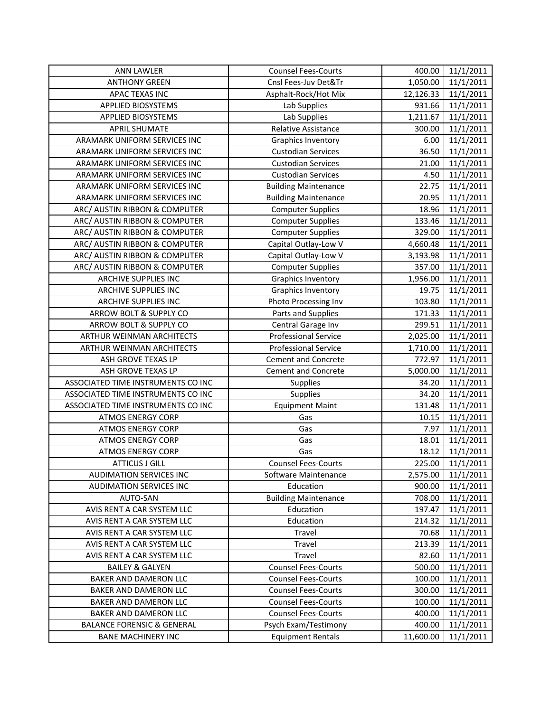| <b>ANN LAWLER</b>                     | <b>Counsel Fees-Courts</b>  | 400.00    | 11/1/2011 |
|---------------------------------------|-----------------------------|-----------|-----------|
| <b>ANTHONY GREEN</b>                  | Cnsl Fees-Juv Det&Tr        | 1,050.00  | 11/1/2011 |
| APAC TEXAS INC                        | Asphalt-Rock/Hot Mix        | 12,126.33 | 11/1/2011 |
| <b>APPLIED BIOSYSTEMS</b>             | Lab Supplies                | 931.66    | 11/1/2011 |
| APPLIED BIOSYSTEMS                    | Lab Supplies                | 1,211.67  | 11/1/2011 |
| <b>APRIL SHUMATE</b>                  | Relative Assistance         | 300.00    | 11/1/2011 |
| ARAMARK UNIFORM SERVICES INC          | <b>Graphics Inventory</b>   | 6.00      | 11/1/2011 |
| ARAMARK UNIFORM SERVICES INC          | <b>Custodian Services</b>   | 36.50     | 11/1/2011 |
| ARAMARK UNIFORM SERVICES INC          | <b>Custodian Services</b>   | 21.00     | 11/1/2011 |
| ARAMARK UNIFORM SERVICES INC          | <b>Custodian Services</b>   | 4.50      | 11/1/2011 |
| ARAMARK UNIFORM SERVICES INC          | <b>Building Maintenance</b> | 22.75     | 11/1/2011 |
| ARAMARK UNIFORM SERVICES INC          | <b>Building Maintenance</b> | 20.95     | 11/1/2011 |
| ARC/ AUSTIN RIBBON & COMPUTER         | <b>Computer Supplies</b>    | 18.96     | 11/1/2011 |
| ARC/ AUSTIN RIBBON & COMPUTER         | <b>Computer Supplies</b>    | 133.46    | 11/1/2011 |
| ARC/ AUSTIN RIBBON & COMPUTER         | <b>Computer Supplies</b>    | 329.00    | 11/1/2011 |
| ARC/ AUSTIN RIBBON & COMPUTER         | Capital Outlay-Low V        | 4,660.48  | 11/1/2011 |
| ARC/ AUSTIN RIBBON & COMPUTER         | Capital Outlay-Low V        | 3,193.98  | 11/1/2011 |
| ARC/ AUSTIN RIBBON & COMPUTER         | <b>Computer Supplies</b>    | 357.00    | 11/1/2011 |
| ARCHIVE SUPPLIES INC                  | <b>Graphics Inventory</b>   | 1,956.00  | 11/1/2011 |
| ARCHIVE SUPPLIES INC                  | <b>Graphics Inventory</b>   | 19.75     | 11/1/2011 |
| <b>ARCHIVE SUPPLIES INC</b>           | Photo Processing Inv        | 103.80    | 11/1/2011 |
| ARROW BOLT & SUPPLY CO                | Parts and Supplies          | 171.33    | 11/1/2011 |
| ARROW BOLT & SUPPLY CO                | Central Garage Inv          | 299.51    | 11/1/2011 |
| ARTHUR WEINMAN ARCHITECTS             | <b>Professional Service</b> | 2,025.00  | 11/1/2011 |
| ARTHUR WEINMAN ARCHITECTS             | <b>Professional Service</b> | 1,710.00  | 11/1/2011 |
| ASH GROVE TEXAS LP                    | <b>Cement and Concrete</b>  | 772.97    | 11/1/2011 |
| ASH GROVE TEXAS LP                    | <b>Cement and Concrete</b>  | 5,000.00  | 11/1/2011 |
| ASSOCIATED TIME INSTRUMENTS CO INC    | Supplies                    | 34.20     | 11/1/2011 |
| ASSOCIATED TIME INSTRUMENTS CO INC    | Supplies                    | 34.20     | 11/1/2011 |
| ASSOCIATED TIME INSTRUMENTS CO INC    | <b>Equipment Maint</b>      | 131.48    | 11/1/2011 |
| <b>ATMOS ENERGY CORP</b>              | Gas                         | 10.15     | 11/1/2011 |
| <b>ATMOS ENERGY CORP</b>              | Gas                         | 7.97      | 11/1/2011 |
| <b>ATMOS ENERGY CORP</b>              | Gas                         | 18.01     | 11/1/2011 |
| <b>ATMOS ENERGY CORP</b>              | Gas                         | 18.12     | 11/1/2011 |
| <b>ATTICUS J GILL</b>                 | <b>Counsel Fees-Courts</b>  | 225.00    | 11/1/2011 |
| <b>AUDIMATION SERVICES INC</b>        | Software Maintenance        | 2,575.00  | 11/1/2011 |
| <b>AUDIMATION SERVICES INC</b>        | Education                   | 900.00    | 11/1/2011 |
| AUTO-SAN                              | <b>Building Maintenance</b> | 708.00    | 11/1/2011 |
| AVIS RENT A CAR SYSTEM LLC            | Education                   | 197.47    | 11/1/2011 |
| AVIS RENT A CAR SYSTEM LLC            | Education                   | 214.32    | 11/1/2011 |
| AVIS RENT A CAR SYSTEM LLC            | Travel                      | 70.68     | 11/1/2011 |
| AVIS RENT A CAR SYSTEM LLC            | Travel                      | 213.39    | 11/1/2011 |
| AVIS RENT A CAR SYSTEM LLC            | Travel                      | 82.60     | 11/1/2011 |
| <b>BAILEY &amp; GALYEN</b>            | <b>Counsel Fees-Courts</b>  | 500.00    | 11/1/2011 |
| BAKER AND DAMERON LLC                 | <b>Counsel Fees-Courts</b>  | 100.00    | 11/1/2011 |
| BAKER AND DAMERON LLC                 | <b>Counsel Fees-Courts</b>  | 300.00    | 11/1/2011 |
| BAKER AND DAMERON LLC                 | <b>Counsel Fees-Courts</b>  | 100.00    | 11/1/2011 |
| BAKER AND DAMERON LLC                 | <b>Counsel Fees-Courts</b>  | 400.00    | 11/1/2011 |
| <b>BALANCE FORENSIC &amp; GENERAL</b> | Psych Exam/Testimony        | 400.00    | 11/1/2011 |
| <b>BANE MACHINERY INC</b>             | <b>Equipment Rentals</b>    | 11,600.00 | 11/1/2011 |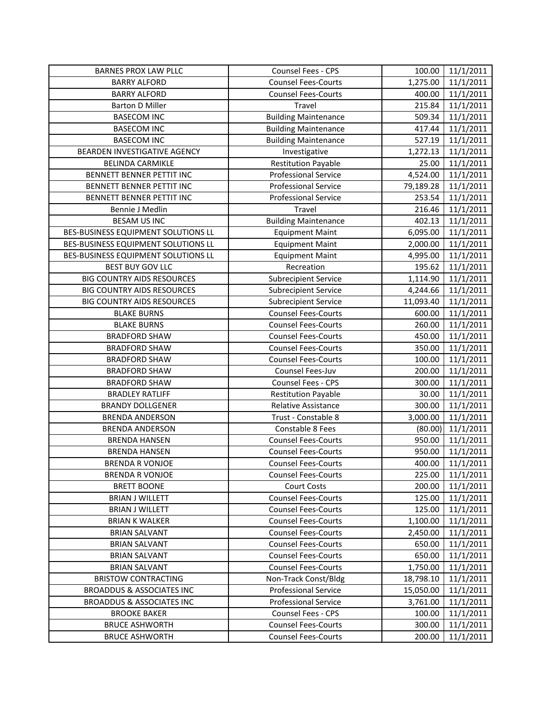| <b>BARNES PROX LAW PLLC</b>          | Counsel Fees - CPS          | 100.00    | 11/1/2011 |
|--------------------------------------|-----------------------------|-----------|-----------|
| <b>BARRY ALFORD</b>                  | <b>Counsel Fees-Courts</b>  | 1,275.00  | 11/1/2011 |
| <b>BARRY ALFORD</b>                  | <b>Counsel Fees-Courts</b>  | 400.00    | 11/1/2011 |
| <b>Barton D Miller</b>               | Travel                      | 215.84    | 11/1/2011 |
| <b>BASECOM INC</b>                   | <b>Building Maintenance</b> | 509.34    | 11/1/2011 |
| <b>BASECOM INC</b>                   | <b>Building Maintenance</b> | 417.44    | 11/1/2011 |
| <b>BASECOM INC</b>                   | <b>Building Maintenance</b> | 527.19    | 11/1/2011 |
| BEARDEN INVESTIGATIVE AGENCY         | Investigative               | 1,272.13  | 11/1/2011 |
| <b>BELINDA CARMIKLE</b>              | <b>Restitution Payable</b>  | 25.00     | 11/1/2011 |
| BENNETT BENNER PETTIT INC            | <b>Professional Service</b> | 4,524.00  | 11/1/2011 |
| BENNETT BENNER PETTIT INC            | <b>Professional Service</b> | 79,189.28 | 11/1/2011 |
| BENNETT BENNER PETTIT INC            | <b>Professional Service</b> | 253.54    | 11/1/2011 |
| Bennie J Medlin                      | Travel                      | 216.46    | 11/1/2011 |
| <b>BESAM US INC</b>                  | <b>Building Maintenance</b> | 402.13    | 11/1/2011 |
| BES-BUSINESS EQUIPMENT SOLUTIONS LL  | <b>Equipment Maint</b>      | 6,095.00  | 11/1/2011 |
| BES-BUSINESS EQUIPMENT SOLUTIONS LL  | <b>Equipment Maint</b>      | 2,000.00  | 11/1/2011 |
| BES-BUSINESS EQUIPMENT SOLUTIONS LL  | <b>Equipment Maint</b>      | 4,995.00  | 11/1/2011 |
| <b>BEST BUY GOV LLC</b>              | Recreation                  | 195.62    | 11/1/2011 |
| <b>BIG COUNTRY AIDS RESOURCES</b>    | <b>Subrecipient Service</b> | 1,114.90  | 11/1/2011 |
| <b>BIG COUNTRY AIDS RESOURCES</b>    | <b>Subrecipient Service</b> | 4,244.66  | 11/1/2011 |
| <b>BIG COUNTRY AIDS RESOURCES</b>    | <b>Subrecipient Service</b> | 11,093.40 | 11/1/2011 |
| <b>BLAKE BURNS</b>                   | <b>Counsel Fees-Courts</b>  | 600.00    | 11/1/2011 |
| <b>BLAKE BURNS</b>                   | <b>Counsel Fees-Courts</b>  | 260.00    | 11/1/2011 |
| <b>BRADFORD SHAW</b>                 | <b>Counsel Fees-Courts</b>  | 450.00    | 11/1/2011 |
| <b>BRADFORD SHAW</b>                 | <b>Counsel Fees-Courts</b>  | 350.00    | 11/1/2011 |
| <b>BRADFORD SHAW</b>                 | <b>Counsel Fees-Courts</b>  | 100.00    | 11/1/2011 |
| <b>BRADFORD SHAW</b>                 | Counsel Fees-Juv            | 200.00    | 11/1/2011 |
| <b>BRADFORD SHAW</b>                 | Counsel Fees - CPS          | 300.00    | 11/1/2011 |
| <b>BRADLEY RATLIFF</b>               | <b>Restitution Payable</b>  | 30.00     | 11/1/2011 |
| <b>BRANDY DOLLGENER</b>              | <b>Relative Assistance</b>  | 300.00    | 11/1/2011 |
| <b>BRENDA ANDERSON</b>               | Trust - Constable 8         | 3,000.00  | 11/1/2011 |
| <b>BRENDA ANDERSON</b>               | Constable 8 Fees            | (80.00)   | 11/1/2011 |
| <b>BRENDA HANSEN</b>                 | <b>Counsel Fees-Courts</b>  | 950.00    | 11/1/2011 |
| <b>BRENDA HANSEN</b>                 | <b>Counsel Fees-Courts</b>  | 950.00    | 11/1/2011 |
| <b>BRENDA R VONJOE</b>               | <b>Counsel Fees-Courts</b>  | 400.00    | 11/1/2011 |
| <b>BRENDA R VONJOE</b>               | <b>Counsel Fees-Courts</b>  | 225.00    | 11/1/2011 |
| <b>BRETT BOONE</b>                   | Court Costs                 | 200.00    | 11/1/2011 |
| <b>BRIAN J WILLETT</b>               | <b>Counsel Fees-Courts</b>  | 125.00    | 11/1/2011 |
| <b>BRIAN J WILLETT</b>               | <b>Counsel Fees-Courts</b>  | 125.00    | 11/1/2011 |
| <b>BRIAN K WALKER</b>                | <b>Counsel Fees-Courts</b>  | 1,100.00  | 11/1/2011 |
| <b>BRIAN SALVANT</b>                 | <b>Counsel Fees-Courts</b>  | 2,450.00  | 11/1/2011 |
| <b>BRIAN SALVANT</b>                 | <b>Counsel Fees-Courts</b>  | 650.00    | 11/1/2011 |
| <b>BRIAN SALVANT</b>                 | <b>Counsel Fees-Courts</b>  | 650.00    | 11/1/2011 |
| <b>BRIAN SALVANT</b>                 | <b>Counsel Fees-Courts</b>  | 1,750.00  | 11/1/2011 |
| <b>BRISTOW CONTRACTING</b>           | Non-Track Const/Bldg        | 18,798.10 | 11/1/2011 |
| <b>BROADDUS &amp; ASSOCIATES INC</b> | <b>Professional Service</b> | 15,050.00 | 11/1/2011 |
| <b>BROADDUS &amp; ASSOCIATES INC</b> | <b>Professional Service</b> | 3,761.00  | 11/1/2011 |
| <b>BROOKE BAKER</b>                  | Counsel Fees - CPS          | 100.00    | 11/1/2011 |
| <b>BRUCE ASHWORTH</b>                | <b>Counsel Fees-Courts</b>  | 300.00    | 11/1/2011 |
| <b>BRUCE ASHWORTH</b>                | <b>Counsel Fees-Courts</b>  | 200.00    | 11/1/2011 |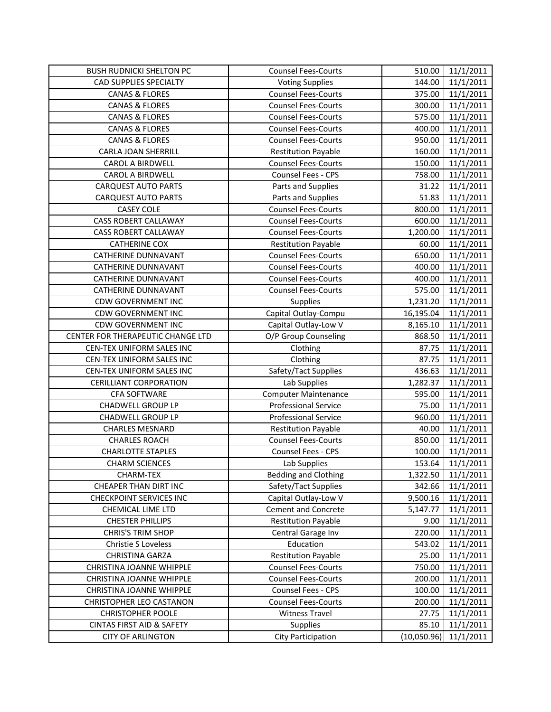| <b>BUSH RUDNICKI SHELTON PC</b>                                  | <b>Counsel Fees-Courts</b>            | 510.00               | 11/1/2011              |
|------------------------------------------------------------------|---------------------------------------|----------------------|------------------------|
| CAD SUPPLIES SPECIALTY                                           | <b>Voting Supplies</b>                | 144.00               | 11/1/2011              |
| <b>CANAS &amp; FLORES</b>                                        | <b>Counsel Fees-Courts</b>            | 375.00               | 11/1/2011              |
| <b>CANAS &amp; FLORES</b>                                        | <b>Counsel Fees-Courts</b>            | 300.00               | 11/1/2011              |
| <b>CANAS &amp; FLORES</b>                                        | <b>Counsel Fees-Courts</b>            | 575.00               | 11/1/2011              |
| <b>CANAS &amp; FLORES</b>                                        | <b>Counsel Fees-Courts</b>            | 400.00               | 11/1/2011              |
| <b>CANAS &amp; FLORES</b>                                        | <b>Counsel Fees-Courts</b>            | 950.00               | 11/1/2011              |
| CARLA JOAN SHERRILL                                              | <b>Restitution Payable</b>            | 160.00               | 11/1/2011              |
| <b>CAROL A BIRDWELL</b>                                          | <b>Counsel Fees-Courts</b>            | 150.00               | 11/1/2011              |
| CAROL A BIRDWELL                                                 | Counsel Fees - CPS                    | 758.00               | 11/1/2011              |
| <b>CARQUEST AUTO PARTS</b>                                       | Parts and Supplies                    | 31.22                | 11/1/2011              |
| <b>CARQUEST AUTO PARTS</b>                                       | Parts and Supplies                    | 51.83                | 11/1/2011              |
| <b>CASEY COLE</b>                                                | <b>Counsel Fees-Courts</b>            | 800.00               | 11/1/2011              |
| <b>CASS ROBERT CALLAWAY</b>                                      | <b>Counsel Fees-Courts</b>            | 600.00               | 11/1/2011              |
| <b>CASS ROBERT CALLAWAY</b>                                      | <b>Counsel Fees-Courts</b>            | 1,200.00             | 11/1/2011              |
| <b>CATHERINE COX</b>                                             | <b>Restitution Payable</b>            | 60.00                | 11/1/2011              |
| <b>CATHERINE DUNNAVANT</b>                                       | <b>Counsel Fees-Courts</b>            | 650.00               | 11/1/2011              |
| <b>CATHERINE DUNNAVANT</b>                                       | Counsel Fees-Courts                   | 400.00               | 11/1/2011              |
| CATHERINE DUNNAVANT                                              | <b>Counsel Fees-Courts</b>            | 400.00               | 11/1/2011              |
| CATHERINE DUNNAVANT                                              | <b>Counsel Fees-Courts</b>            | 575.00               | 11/1/2011              |
| <b>CDW GOVERNMENT INC</b>                                        | <b>Supplies</b>                       | 1,231.20             | 11/1/2011              |
| <b>CDW GOVERNMENT INC</b>                                        | Capital Outlay-Compu                  | 16,195.04            | 11/1/2011              |
| <b>CDW GOVERNMENT INC</b>                                        | Capital Outlay-Low V                  | 8,165.10             | 11/1/2011              |
| CENTER FOR THERAPEUTIC CHANGE LTD                                | O/P Group Counseling                  | 868.50               | 11/1/2011              |
| CEN-TEX UNIFORM SALES INC                                        | Clothing                              | 87.75                | 11/1/2011              |
| CEN-TEX UNIFORM SALES INC                                        | Clothing                              | 87.75                | 11/1/2011              |
| CEN-TEX UNIFORM SALES INC                                        | Safety/Tact Supplies                  | 436.63               | 11/1/2011              |
| <b>CERILLIANT CORPORATION</b>                                    | Lab Supplies                          | 1,282.37             | 11/1/2011              |
| CFA SOFTWARE                                                     | <b>Computer Maintenance</b>           | 595.00               | 11/1/2011              |
| <b>CHADWELL GROUP LP</b>                                         | <b>Professional Service</b>           | 75.00                | 11/1/2011              |
| <b>CHADWELL GROUP LP</b>                                         | <b>Professional Service</b>           | 960.00               | 11/1/2011              |
| <b>CHARLES MESNARD</b>                                           | <b>Restitution Payable</b>            | 40.00                | 11/1/2011              |
| <b>CHARLES ROACH</b>                                             | <b>Counsel Fees-Courts</b>            | 850.00               | 11/1/2011              |
| <b>CHARLOTTE STAPLES</b>                                         |                                       |                      |                        |
|                                                                  | Counsel Fees - CPS                    | 100.00               | 11/1/2011              |
| <b>CHARM SCIENCES</b>                                            | Lab Supplies                          | 153.64               | 11/1/2011              |
| CHARM-TEX                                                        | <b>Bedding and Clothing</b>           | 1,322.50             | 11/1/2011              |
| CHEAPER THAN DIRT INC                                            | Safety/Tact Supplies                  | 342.66               | 11/1/2011              |
| <b>CHECKPOINT SERVICES INC</b>                                   | Capital Outlay-Low V                  | 9,500.16             | 11/1/2011              |
| CHEMICAL LIME LTD                                                | <b>Cement and Concrete</b>            | 5,147.77             | 11/1/2011              |
| <b>CHESTER PHILLIPS</b>                                          | <b>Restitution Payable</b>            | 9.00                 | 11/1/2011              |
| <b>CHRIS'S TRIM SHOP</b>                                         | Central Garage Inv                    | 220.00               | 11/1/2011              |
| Christie S Loveless                                              | Education                             | 543.02               | 11/1/2011              |
| CHRISTINA GARZA                                                  | <b>Restitution Payable</b>            | 25.00                | 11/1/2011              |
| CHRISTINA JOANNE WHIPPLE                                         | <b>Counsel Fees-Courts</b>            | 750.00               | 11/1/2011              |
| CHRISTINA JOANNE WHIPPLE                                         | <b>Counsel Fees-Courts</b>            | 200.00               | 11/1/2011              |
| CHRISTINA JOANNE WHIPPLE                                         | Counsel Fees - CPS                    | 100.00               | 11/1/2011              |
| <b>CHRISTOPHER LEO CASTANON</b>                                  | <b>Counsel Fees-Courts</b>            | 200.00               | 11/1/2011              |
| <b>CHRISTOPHER POOLE</b>                                         | <b>Witness Travel</b>                 | 27.75                | 11/1/2011              |
| <b>CINTAS FIRST AID &amp; SAFETY</b><br><b>CITY OF ARLINGTON</b> | Supplies<br><b>City Participation</b> | 85.10<br>(10,050.96) | 11/1/2011<br>11/1/2011 |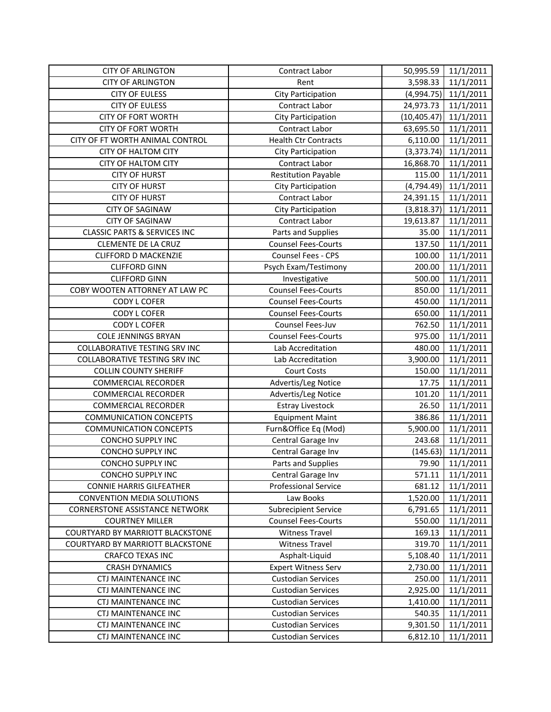| <b>CITY OF ARLINGTON</b>                | Contract Labor              | 50,995.59    | 11/1/2011              |
|-----------------------------------------|-----------------------------|--------------|------------------------|
| <b>CITY OF ARLINGTON</b>                | Rent                        | 3,598.33     | 11/1/2011              |
| <b>CITY OF EULESS</b>                   | <b>City Participation</b>   |              | $(4,994.75)$ 11/1/2011 |
| <b>CITY OF EULESS</b>                   | Contract Labor              | 24,973.73    | 11/1/2011              |
| <b>CITY OF FORT WORTH</b>               | City Participation          | (10, 405.47) | 11/1/2011              |
| <b>CITY OF FORT WORTH</b>               | Contract Labor              | 63,695.50    | 11/1/2011              |
| CITY OF FT WORTH ANIMAL CONTROL         | <b>Health Ctr Contracts</b> | 6,110.00     | 11/1/2011              |
| <b>CITY OF HALTOM CITY</b>              | City Participation          | (3,373.74)   | 11/1/2011              |
| <b>CITY OF HALTOM CITY</b>              | Contract Labor              | 16,868.70    | 11/1/2011              |
| <b>CITY OF HURST</b>                    | <b>Restitution Payable</b>  | 115.00       | 11/1/2011              |
| <b>CITY OF HURST</b>                    | <b>City Participation</b>   | (4, 794.49)  | 11/1/2011              |
| <b>CITY OF HURST</b>                    | Contract Labor              | 24,391.15    | 11/1/2011              |
| <b>CITY OF SAGINAW</b>                  | City Participation          | (3,818.37)   | 11/1/2011              |
| <b>CITY OF SAGINAW</b>                  | Contract Labor              | 19,613.87    | 11/1/2011              |
| <b>CLASSIC PARTS &amp; SERVICES INC</b> | Parts and Supplies          | 35.00        | 11/1/2011              |
| <b>CLEMENTE DE LA CRUZ</b>              | <b>Counsel Fees-Courts</b>  | 137.50       | 11/1/2011              |
| <b>CLIFFORD D MACKENZIE</b>             | Counsel Fees - CPS          | 100.00       | 11/1/2011              |
| <b>CLIFFORD GINN</b>                    | Psych Exam/Testimony        | 200.00       | 11/1/2011              |
| <b>CLIFFORD GINN</b>                    | Investigative               | 500.00       | 11/1/2011              |
| COBY WOOTEN ATTORNEY AT LAW PC          | <b>Counsel Fees-Courts</b>  | 850.00       | 11/1/2011              |
| <b>CODY L COFER</b>                     | <b>Counsel Fees-Courts</b>  | 450.00       | 11/1/2011              |
| <b>CODY L COFER</b>                     | <b>Counsel Fees-Courts</b>  | 650.00       | 11/1/2011              |
| <b>CODY L COFER</b>                     | Counsel Fees-Juv            | 762.50       | 11/1/2011              |
| <b>COLE JENNINGS BRYAN</b>              | <b>Counsel Fees-Courts</b>  | 975.00       | 11/1/2011              |
| <b>COLLABORATIVE TESTING SRV INC</b>    | Lab Accreditation           | 480.00       | 11/1/2011              |
| <b>COLLABORATIVE TESTING SRV INC</b>    | Lab Accreditation           | 3,900.00     | 11/1/2011              |
| <b>COLLIN COUNTY SHERIFF</b>            | <b>Court Costs</b>          | 150.00       | 11/1/2011              |
| <b>COMMERCIAL RECORDER</b>              | Advertis/Leg Notice         | 17.75        | 11/1/2011              |
| <b>COMMERCIAL RECORDER</b>              | Advertis/Leg Notice         | 101.20       | 11/1/2011              |
| <b>COMMERCIAL RECORDER</b>              | <b>Estray Livestock</b>     | 26.50        | 11/1/2011              |
| <b>COMMUNICATION CONCEPTS</b>           | <b>Equipment Maint</b>      | 386.86       | 11/1/2011              |
| <b>COMMUNICATION CONCEPTS</b>           | Furn&Office Eq (Mod)        | 5,900.00     | 11/1/2011              |
| <b>CONCHO SUPPLY INC</b>                | Central Garage Inv          | 243.68       | 11/1/2011              |
| <b>CONCHO SUPPLY INC</b>                | Central Garage Inv          | (145.63)     | 11/1/2011              |
| <b>CONCHO SUPPLY INC</b>                | Parts and Supplies          | 79.90        | 11/1/2011              |
| <b>CONCHO SUPPLY INC</b>                | Central Garage Inv          | 571.11       | 11/1/2011              |
| <b>CONNIE HARRIS GILFEATHER</b>         | <b>Professional Service</b> | 681.12       | 11/1/2011              |
| CONVENTION MEDIA SOLUTIONS              | Law Books                   | 1,520.00     | 11/1/2011              |
| <b>CORNERSTONE ASSISTANCE NETWORK</b>   | <b>Subrecipient Service</b> | 6,791.65     | 11/1/2011              |
| <b>COURTNEY MILLER</b>                  | <b>Counsel Fees-Courts</b>  | 550.00       | 11/1/2011              |
| <b>COURTYARD BY MARRIOTT BLACKSTONE</b> | <b>Witness Travel</b>       | 169.13       | 11/1/2011              |
| COURTYARD BY MARRIOTT BLACKSTONE        | <b>Witness Travel</b>       | 319.70       | 11/1/2011              |
| CRAFCO TEXAS INC                        | Asphalt-Liquid              | 5,108.40     | 11/1/2011              |
| <b>CRASH DYNAMICS</b>                   | <b>Expert Witness Serv</b>  | 2,730.00     | 11/1/2011              |
| CTJ MAINTENANCE INC                     | <b>Custodian Services</b>   | 250.00       | 11/1/2011              |
| CTJ MAINTENANCE INC                     | <b>Custodian Services</b>   | 2,925.00     | 11/1/2011              |
| <b>CTJ MAINTENANCE INC</b>              | <b>Custodian Services</b>   | 1,410.00     | 11/1/2011              |
| <b>CTJ MAINTENANCE INC</b>              | <b>Custodian Services</b>   | 540.35       | 11/1/2011              |
| <b>CTJ MAINTENANCE INC</b>              | <b>Custodian Services</b>   | 9,301.50     | 11/1/2011              |
| <b>CTJ MAINTENANCE INC</b>              | <b>Custodian Services</b>   | 6,812.10     | 11/1/2011              |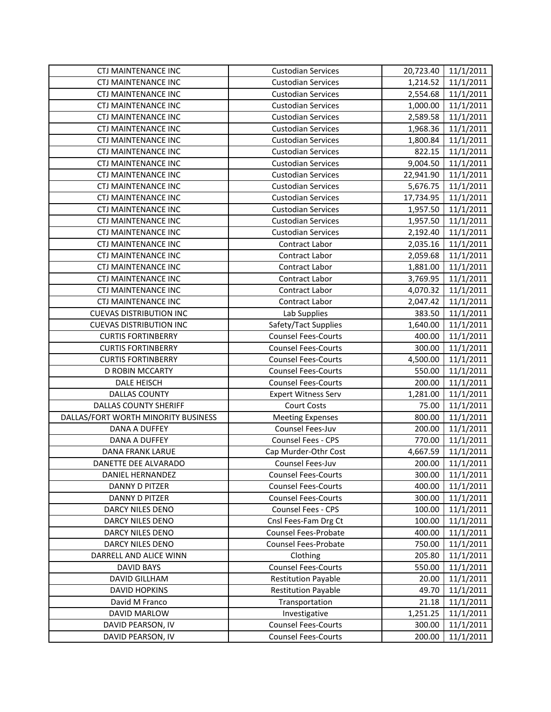| <b>CTJ MAINTENANCE INC</b>          | <b>Custodian Services</b>   | 20,723.40 | 11/1/2011 |
|-------------------------------------|-----------------------------|-----------|-----------|
| <b>CTJ MAINTENANCE INC</b>          | <b>Custodian Services</b>   | 1,214.52  | 11/1/2011 |
| <b>CTJ MAINTENANCE INC</b>          | <b>Custodian Services</b>   | 2,554.68  | 11/1/2011 |
| <b>CTJ MAINTENANCE INC</b>          | <b>Custodian Services</b>   | 1,000.00  | 11/1/2011 |
| <b>CTJ MAINTENANCE INC</b>          | <b>Custodian Services</b>   | 2,589.58  | 11/1/2011 |
| <b>CTJ MAINTENANCE INC</b>          | <b>Custodian Services</b>   | 1,968.36  | 11/1/2011 |
| CTJ MAINTENANCE INC                 | <b>Custodian Services</b>   | 1,800.84  | 11/1/2011 |
| CTJ MAINTENANCE INC                 | <b>Custodian Services</b>   | 822.15    | 11/1/2011 |
| CTJ MAINTENANCE INC                 | <b>Custodian Services</b>   | 9,004.50  | 11/1/2011 |
| <b>CTJ MAINTENANCE INC</b>          | <b>Custodian Services</b>   | 22,941.90 | 11/1/2011 |
| CTJ MAINTENANCE INC                 | <b>Custodian Services</b>   | 5,676.75  | 11/1/2011 |
| <b>CTJ MAINTENANCE INC</b>          | <b>Custodian Services</b>   | 17,734.95 | 11/1/2011 |
| <b>CTJ MAINTENANCE INC</b>          | <b>Custodian Services</b>   | 1,957.50  | 11/1/2011 |
| CTJ MAINTENANCE INC                 | <b>Custodian Services</b>   | 1,957.50  | 11/1/2011 |
| <b>CTJ MAINTENANCE INC</b>          | <b>Custodian Services</b>   | 2,192.40  | 11/1/2011 |
| CTJ MAINTENANCE INC                 | Contract Labor              | 2,035.16  | 11/1/2011 |
| <b>CTJ MAINTENANCE INC</b>          | Contract Labor              | 2,059.68  | 11/1/2011 |
| <b>CTJ MAINTENANCE INC</b>          | Contract Labor              | 1,881.00  | 11/1/2011 |
| <b>CTJ MAINTENANCE INC</b>          | Contract Labor              | 3,769.95  | 11/1/2011 |
| <b>CTJ MAINTENANCE INC</b>          | Contract Labor              | 4,070.32  | 11/1/2011 |
| <b>CTJ MAINTENANCE INC</b>          | Contract Labor              | 2,047.42  | 11/1/2011 |
| <b>CUEVAS DISTRIBUTION INC</b>      | Lab Supplies                | 383.50    | 11/1/2011 |
| <b>CUEVAS DISTRIBUTION INC</b>      | Safety/Tact Supplies        | 1,640.00  | 11/1/2011 |
| <b>CURTIS FORTINBERRY</b>           | <b>Counsel Fees-Courts</b>  | 400.00    | 11/1/2011 |
| <b>CURTIS FORTINBERRY</b>           | <b>Counsel Fees-Courts</b>  | 300.00    | 11/1/2011 |
| <b>CURTIS FORTINBERRY</b>           | <b>Counsel Fees-Courts</b>  | 4,500.00  | 11/1/2011 |
| D ROBIN MCCARTY                     | <b>Counsel Fees-Courts</b>  | 550.00    | 11/1/2011 |
|                                     |                             |           |           |
| <b>DALE HEISCH</b>                  | <b>Counsel Fees-Courts</b>  | 200.00    | 11/1/2011 |
| <b>DALLAS COUNTY</b>                | <b>Expert Witness Serv</b>  | 1,281.00  | 11/1/2011 |
| <b>DALLAS COUNTY SHERIFF</b>        | <b>Court Costs</b>          | 75.00     | 11/1/2011 |
| DALLAS/FORT WORTH MINORITY BUSINESS | <b>Meeting Expenses</b>     | 800.00    | 11/1/2011 |
| DANA A DUFFEY                       | Counsel Fees-Juv            | 200.00    | 11/1/2011 |
| <b>DANA A DUFFEY</b>                | Counsel Fees - CPS          | 770.00    | 11/1/2011 |
| DANA FRANK LARUE                    | Cap Murder-Othr Cost        | 4,667.59  | 11/1/2011 |
| DANETTE DEE ALVARADO                | Counsel Fees-Juv            | 200.00    | 11/1/2011 |
| DANIEL HERNANDEZ                    | <b>Counsel Fees-Courts</b>  | 300.00    | 11/1/2011 |
| DANNY D PITZER                      | <b>Counsel Fees-Courts</b>  | 400.00    | 11/1/2011 |
| DANNY D PITZER                      | <b>Counsel Fees-Courts</b>  | 300.00    | 11/1/2011 |
| DARCY NILES DENO                    | Counsel Fees - CPS          | 100.00    | 11/1/2011 |
| DARCY NILES DENO                    | Cnsl Fees-Fam Drg Ct        | 100.00    | 11/1/2011 |
| DARCY NILES DENO                    | Counsel Fees-Probate        | 400.00    | 11/1/2011 |
| DARCY NILES DENO                    | <b>Counsel Fees-Probate</b> | 750.00    | 11/1/2011 |
| DARRELL AND ALICE WINN              | Clothing                    | 205.80    | 11/1/2011 |
| <b>DAVID BAYS</b>                   | <b>Counsel Fees-Courts</b>  | 550.00    | 11/1/2011 |
| DAVID GILLHAM                       | <b>Restitution Payable</b>  | 20.00     | 11/1/2011 |
| <b>DAVID HOPKINS</b>                | <b>Restitution Payable</b>  | 49.70     | 11/1/2011 |
| David M Franco                      | Transportation              | 21.18     | 11/1/2011 |
| DAVID MARLOW                        | Investigative               | 1,251.25  | 11/1/2011 |
| DAVID PEARSON, IV                   | <b>Counsel Fees-Courts</b>  | 300.00    | 11/1/2011 |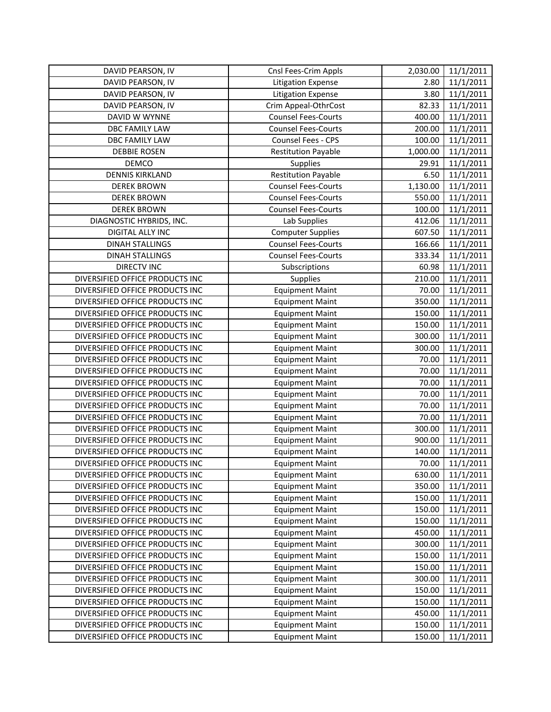| DAVID PEARSON, IV               | Cnsl Fees-Crim Appls       | 2,030.00 | 11/1/2011 |
|---------------------------------|----------------------------|----------|-----------|
| DAVID PEARSON, IV               | <b>Litigation Expense</b>  | 2.80     | 11/1/2011 |
| DAVID PEARSON, IV               | <b>Litigation Expense</b>  | 3.80     | 11/1/2011 |
| DAVID PEARSON, IV               | Crim Appeal-OthrCost       | 82.33    | 11/1/2011 |
| DAVID W WYNNE                   | <b>Counsel Fees-Courts</b> | 400.00   | 11/1/2011 |
| DBC FAMILY LAW                  | <b>Counsel Fees-Courts</b> | 200.00   | 11/1/2011 |
| DBC FAMILY LAW                  | Counsel Fees - CPS         | 100.00   | 11/1/2011 |
| <b>DEBBIE ROSEN</b>             | <b>Restitution Payable</b> | 1,000.00 | 11/1/2011 |
| DEMCO                           | <b>Supplies</b>            | 29.91    | 11/1/2011 |
| <b>DENNIS KIRKLAND</b>          | <b>Restitution Payable</b> | 6.50     | 11/1/2011 |
| <b>DEREK BROWN</b>              | <b>Counsel Fees-Courts</b> | 1,130.00 | 11/1/2011 |
| <b>DEREK BROWN</b>              | <b>Counsel Fees-Courts</b> | 550.00   | 11/1/2011 |
| <b>DEREK BROWN</b>              | <b>Counsel Fees-Courts</b> | 100.00   | 11/1/2011 |
| DIAGNOSTIC HYBRIDS, INC.        | Lab Supplies               | 412.06   | 11/1/2011 |
| DIGITAL ALLY INC                | <b>Computer Supplies</b>   | 607.50   | 11/1/2011 |
| <b>DINAH STALLINGS</b>          | <b>Counsel Fees-Courts</b> | 166.66   | 11/1/2011 |
| <b>DINAH STALLINGS</b>          | <b>Counsel Fees-Courts</b> | 333.34   | 11/1/2011 |
| <b>DIRECTV INC</b>              | Subscriptions              | 60.98    | 11/1/2011 |
| DIVERSIFIED OFFICE PRODUCTS INC | Supplies                   | 210.00   | 11/1/2011 |
| DIVERSIFIED OFFICE PRODUCTS INC | <b>Equipment Maint</b>     | 70.00    | 11/1/2011 |
| DIVERSIFIED OFFICE PRODUCTS INC | <b>Equipment Maint</b>     | 350.00   | 11/1/2011 |
| DIVERSIFIED OFFICE PRODUCTS INC | <b>Equipment Maint</b>     | 150.00   | 11/1/2011 |
| DIVERSIFIED OFFICE PRODUCTS INC | <b>Equipment Maint</b>     | 150.00   | 11/1/2011 |
| DIVERSIFIED OFFICE PRODUCTS INC | <b>Equipment Maint</b>     | 300.00   | 11/1/2011 |
| DIVERSIFIED OFFICE PRODUCTS INC | <b>Equipment Maint</b>     | 300.00   | 11/1/2011 |
| DIVERSIFIED OFFICE PRODUCTS INC | <b>Equipment Maint</b>     | 70.00    | 11/1/2011 |
| DIVERSIFIED OFFICE PRODUCTS INC | <b>Equipment Maint</b>     | 70.00    | 11/1/2011 |
| DIVERSIFIED OFFICE PRODUCTS INC | <b>Equipment Maint</b>     | 70.00    | 11/1/2011 |
| DIVERSIFIED OFFICE PRODUCTS INC | <b>Equipment Maint</b>     | 70.00    | 11/1/2011 |
| DIVERSIFIED OFFICE PRODUCTS INC | <b>Equipment Maint</b>     | 70.00    | 11/1/2011 |
| DIVERSIFIED OFFICE PRODUCTS INC | <b>Equipment Maint</b>     | 70.00    | 11/1/2011 |
| DIVERSIFIED OFFICE PRODUCTS INC | <b>Equipment Maint</b>     | 300.00   | 11/1/2011 |
| DIVERSIFIED OFFICE PRODUCTS INC | <b>Equipment Maint</b>     | 900.00   | 11/1/2011 |
| DIVERSIFIED OFFICE PRODUCTS INC | <b>Equipment Maint</b>     | 140.00   | 11/1/2011 |
| DIVERSIFIED OFFICE PRODUCTS INC | <b>Equipment Maint</b>     | 70.00    | 11/1/2011 |
| DIVERSIFIED OFFICE PRODUCTS INC | <b>Equipment Maint</b>     | 630.00   | 11/1/2011 |
| DIVERSIFIED OFFICE PRODUCTS INC | <b>Equipment Maint</b>     | 350.00   | 11/1/2011 |
| DIVERSIFIED OFFICE PRODUCTS INC | <b>Equipment Maint</b>     | 150.00   | 11/1/2011 |
| DIVERSIFIED OFFICE PRODUCTS INC | <b>Equipment Maint</b>     | 150.00   | 11/1/2011 |
| DIVERSIFIED OFFICE PRODUCTS INC | <b>Equipment Maint</b>     | 150.00   | 11/1/2011 |
| DIVERSIFIED OFFICE PRODUCTS INC | <b>Equipment Maint</b>     | 450.00   | 11/1/2011 |
| DIVERSIFIED OFFICE PRODUCTS INC | <b>Equipment Maint</b>     | 300.00   | 11/1/2011 |
| DIVERSIFIED OFFICE PRODUCTS INC | <b>Equipment Maint</b>     | 150.00   | 11/1/2011 |
| DIVERSIFIED OFFICE PRODUCTS INC | <b>Equipment Maint</b>     | 150.00   | 11/1/2011 |
| DIVERSIFIED OFFICE PRODUCTS INC | <b>Equipment Maint</b>     | 300.00   | 11/1/2011 |
| DIVERSIFIED OFFICE PRODUCTS INC | <b>Equipment Maint</b>     | 150.00   | 11/1/2011 |
| DIVERSIFIED OFFICE PRODUCTS INC | <b>Equipment Maint</b>     | 150.00   | 11/1/2011 |
| DIVERSIFIED OFFICE PRODUCTS INC | <b>Equipment Maint</b>     | 450.00   | 11/1/2011 |
| DIVERSIFIED OFFICE PRODUCTS INC | <b>Equipment Maint</b>     | 150.00   | 11/1/2011 |
| DIVERSIFIED OFFICE PRODUCTS INC | <b>Equipment Maint</b>     | 150.00   | 11/1/2011 |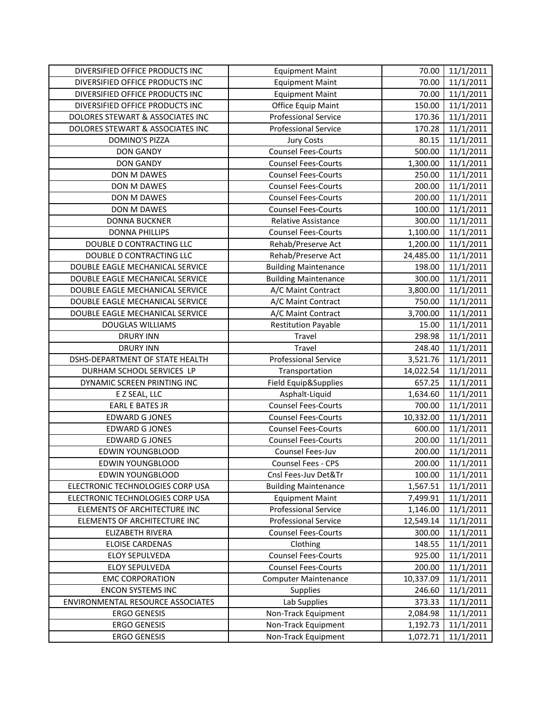| DIVERSIFIED OFFICE PRODUCTS INC   | <b>Equipment Maint</b>      | 70.00     | 11/1/2011 |
|-----------------------------------|-----------------------------|-----------|-----------|
| DIVERSIFIED OFFICE PRODUCTS INC   | <b>Equipment Maint</b>      | 70.00     | 11/1/2011 |
| DIVERSIFIED OFFICE PRODUCTS INC   | <b>Equipment Maint</b>      | 70.00     | 11/1/2011 |
| DIVERSIFIED OFFICE PRODUCTS INC   | Office Equip Maint          | 150.00    | 11/1/2011 |
| DOLORES STEWART & ASSOCIATES INC  | <b>Professional Service</b> | 170.36    | 11/1/2011 |
| DOLORES STEWART & ASSOCIATES INC  | <b>Professional Service</b> | 170.28    | 11/1/2011 |
| <b>DOMINO'S PIZZA</b>             | <b>Jury Costs</b>           | 80.15     | 11/1/2011 |
| <b>DON GANDY</b>                  | <b>Counsel Fees-Courts</b>  | 500.00    | 11/1/2011 |
| <b>DON GANDY</b>                  | <b>Counsel Fees-Courts</b>  | 1,300.00  | 11/1/2011 |
| DON M DAWES                       | <b>Counsel Fees-Courts</b>  | 250.00    | 11/1/2011 |
| DON M DAWES                       | <b>Counsel Fees-Courts</b>  | 200.00    | 11/1/2011 |
| DON M DAWES                       | <b>Counsel Fees-Courts</b>  | 200.00    | 11/1/2011 |
| DON M DAWES                       | <b>Counsel Fees-Courts</b>  | 100.00    | 11/1/2011 |
| <b>DONNA BUCKNER</b>              | Relative Assistance         | 300.00    | 11/1/2011 |
| <b>DONNA PHILLIPS</b>             | <b>Counsel Fees-Courts</b>  | 1,100.00  | 11/1/2011 |
| DOUBLE D CONTRACTING LLC          | Rehab/Preserve Act          | 1,200.00  | 11/1/2011 |
| DOUBLE D CONTRACTING LLC          | Rehab/Preserve Act          | 24,485.00 | 11/1/2011 |
| DOUBLE EAGLE MECHANICAL SERVICE   | <b>Building Maintenance</b> | 198.00    | 11/1/2011 |
| DOUBLE EAGLE MECHANICAL SERVICE   | <b>Building Maintenance</b> | 300.00    | 11/1/2011 |
| DOUBLE EAGLE MECHANICAL SERVICE   | A/C Maint Contract          | 3,800.00  | 11/1/2011 |
| DOUBLE EAGLE MECHANICAL SERVICE   | A/C Maint Contract          | 750.00    | 11/1/2011 |
| DOUBLE EAGLE MECHANICAL SERVICE   | A/C Maint Contract          | 3,700.00  | 11/1/2011 |
| <b>DOUGLAS WILLIAMS</b>           | <b>Restitution Payable</b>  | 15.00     | 11/1/2011 |
| <b>DRURY INN</b>                  | Travel                      | 298.98    | 11/1/2011 |
| <b>DRURY INN</b>                  | Travel                      | 248.40    | 11/1/2011 |
| DSHS-DEPARTMENT OF STATE HEALTH   | <b>Professional Service</b> | 3,521.76  | 11/1/2011 |
| DURHAM SCHOOL SERVICES LP         | Transportation              | 14,022.54 | 11/1/2011 |
| DYNAMIC SCREEN PRINTING INC       | Field Equip&Supplies        | 657.25    | 11/1/2011 |
| E Z SEAL, LLC                     | Asphalt-Liquid              | 1,634.60  | 11/1/2011 |
| <b>EARL E BATES JR</b>            | <b>Counsel Fees-Courts</b>  | 700.00    | 11/1/2011 |
| <b>EDWARD G JONES</b>             | <b>Counsel Fees-Courts</b>  | 10,332.00 | 11/1/2011 |
| <b>EDWARD G JONES</b>             | <b>Counsel Fees-Courts</b>  | 600.00    | 11/1/2011 |
| <b>EDWARD G JONES</b>             | <b>Counsel Fees-Courts</b>  | 200.00    | 11/1/2011 |
| <b>EDWIN YOUNGBLOOD</b>           | Counsel Fees-Juv            | 200.00    | 11/1/2011 |
| <b>EDWIN YOUNGBLOOD</b>           | <b>Counsel Fees - CPS</b>   | 200.00    | 11/1/2011 |
| <b>EDWIN YOUNGBLOOD</b>           | Cnsl Fees-Juv Det&Tr        | 100.00    | 11/1/2011 |
| ELECTRONIC TECHNOLOGIES CORP USA  | <b>Building Maintenance</b> | 1,567.51  | 11/1/2011 |
| ELECTRONIC TECHNOLOGIES CORP USA  | <b>Equipment Maint</b>      | 7,499.91  | 11/1/2011 |
| ELEMENTS OF ARCHITECTURE INC      | <b>Professional Service</b> | 1,146.00  | 11/1/2011 |
| ELEMENTS OF ARCHITECTURE INC      | <b>Professional Service</b> | 12,549.14 | 11/1/2011 |
| ELIZABETH RIVERA                  | <b>Counsel Fees-Courts</b>  | 300.00    | 11/1/2011 |
| <b>ELOISE CARDENAS</b>            | Clothing                    | 148.55    | 11/1/2011 |
| ELOY SEPULVEDA                    | <b>Counsel Fees-Courts</b>  | 925.00    | 11/1/2011 |
| ELOY SEPULVEDA                    | <b>Counsel Fees-Courts</b>  | 200.00    | 11/1/2011 |
| <b>EMC CORPORATION</b>            | <b>Computer Maintenance</b> | 10,337.09 | 11/1/2011 |
| <b>ENCON SYSTEMS INC</b>          | <b>Supplies</b>             | 246.60    | 11/1/2011 |
| ENVIRONMENTAL RESOURCE ASSOCIATES | Lab Supplies                | 373.33    | 11/1/2011 |
| <b>ERGO GENESIS</b>               | Non-Track Equipment         | 2,084.98  | 11/1/2011 |
| <b>ERGO GENESIS</b>               | Non-Track Equipment         | 1,192.73  | 11/1/2011 |
| <b>ERGO GENESIS</b>               | Non-Track Equipment         | 1,072.71  | 11/1/2011 |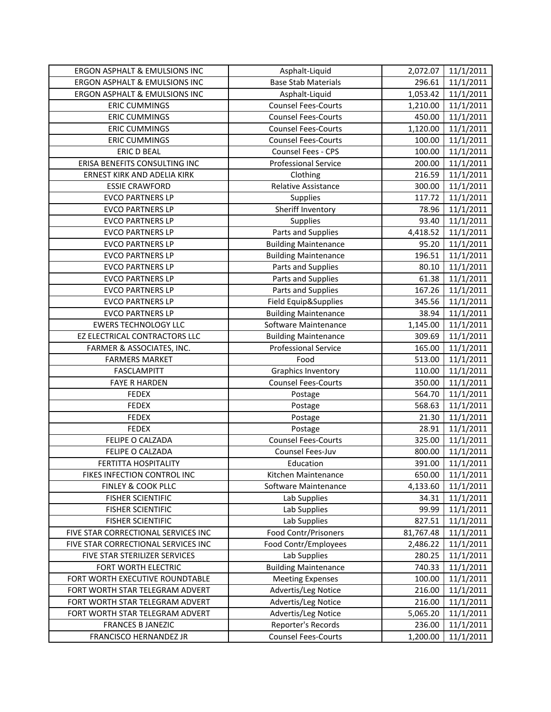| ERGON ASPHALT & EMULSIONS INC       | Asphalt-Liquid                                   | 2,072.07  | 11/1/2011              |
|-------------------------------------|--------------------------------------------------|-----------|------------------------|
| ERGON ASPHALT & EMULSIONS INC       | <b>Base Stab Materials</b>                       | 296.61    | 11/1/2011              |
| ERGON ASPHALT & EMULSIONS INC       | Asphalt-Liquid                                   | 1,053.42  | 11/1/2011              |
| <b>ERIC CUMMINGS</b>                | <b>Counsel Fees-Courts</b>                       | 1,210.00  | 11/1/2011              |
| <b>ERIC CUMMINGS</b>                | <b>Counsel Fees-Courts</b>                       | 450.00    | 11/1/2011              |
| <b>ERIC CUMMINGS</b>                | <b>Counsel Fees-Courts</b>                       | 1,120.00  | 11/1/2011              |
| <b>ERIC CUMMINGS</b>                | <b>Counsel Fees-Courts</b>                       | 100.00    | 11/1/2011              |
| <b>ERIC D BEAL</b>                  | Counsel Fees - CPS                               | 100.00    | 11/1/2011              |
| ERISA BENEFITS CONSULTING INC       | <b>Professional Service</b>                      | 200.00    | 11/1/2011              |
| ERNEST KIRK AND ADELIA KIRK         | Clothing                                         | 216.59    | 11/1/2011              |
| <b>ESSIE CRAWFORD</b>               | Relative Assistance                              | 300.00    | 11/1/2011              |
| <b>EVCO PARTNERS LP</b>             | Supplies                                         | 117.72    | 11/1/2011              |
| <b>EVCO PARTNERS LP</b>             | Sheriff Inventory                                | 78.96     | 11/1/2011              |
| <b>EVCO PARTNERS LP</b>             | Supplies                                         | 93.40     | 11/1/2011              |
| <b>EVCO PARTNERS LP</b>             | Parts and Supplies                               | 4,418.52  | 11/1/2011              |
| <b>EVCO PARTNERS LP</b>             | <b>Building Maintenance</b>                      | 95.20     | 11/1/2011              |
| <b>EVCO PARTNERS LP</b>             | <b>Building Maintenance</b>                      | 196.51    | 11/1/2011              |
| <b>EVCO PARTNERS LP</b>             | Parts and Supplies                               | 80.10     | 11/1/2011              |
| <b>EVCO PARTNERS LP</b>             | Parts and Supplies                               | 61.38     | 11/1/2011              |
| <b>EVCO PARTNERS LP</b>             | Parts and Supplies                               | 167.26    | 11/1/2011              |
| <b>EVCO PARTNERS LP</b>             | Field Equip&Supplies                             | 345.56    | 11/1/2011              |
| <b>EVCO PARTNERS LP</b>             | <b>Building Maintenance</b>                      | 38.94     | 11/1/2011              |
| <b>EWERS TECHNOLOGY LLC</b>         | Software Maintenance                             | 1,145.00  | 11/1/2011              |
| EZ ELECTRICAL CONTRACTORS LLC       | <b>Building Maintenance</b>                      | 309.69    | 11/1/2011              |
| FARMER & ASSOCIATES, INC.           | <b>Professional Service</b>                      | 165.00    | 11/1/2011              |
|                                     |                                                  |           |                        |
| <b>FARMERS MARKET</b>               | Food                                             | 513.00    | 11/1/2011              |
| FASCLAMPITT                         | <b>Graphics Inventory</b>                        | 110.00    | 11/1/2011              |
| <b>FAYE R HARDEN</b>                | <b>Counsel Fees-Courts</b>                       | 350.00    | 11/1/2011              |
| <b>FEDEX</b>                        | Postage                                          | 564.70    | 11/1/2011              |
| <b>FEDEX</b>                        | Postage                                          | 568.63    | 11/1/2011              |
| <b>FEDEX</b>                        | Postage                                          | 21.30     | 11/1/2011              |
| <b>FEDEX</b>                        | Postage                                          | 28.91     | 11/1/2011              |
| FELIPE O CALZADA                    | <b>Counsel Fees-Courts</b>                       | 325.00    | 11/1/2011              |
| FELIPE O CALZADA                    | Counsel Fees-Juv                                 | 800.00    | 11/1/2011              |
| FERTITTA HOSPITALITY                | Education                                        | 391.00    | 11/1/2011              |
| FIKES INFECTION CONTROL INC         | Kitchen Maintenance                              | 650.00    | 11/1/2011              |
| FINLEY & COOK PLLC                  | Software Maintenance                             | 4,133.60  | 11/1/2011              |
| <b>FISHER SCIENTIFIC</b>            | Lab Supplies                                     | 34.31     | 11/1/2011              |
| <b>FISHER SCIENTIFIC</b>            | Lab Supplies                                     | 99.99     | 11/1/2011              |
| <b>FISHER SCIENTIFIC</b>            | Lab Supplies                                     | 827.51    | 11/1/2011              |
| FIVE STAR CORRECTIONAL SERVICES INC | Food Contr/Prisoners                             | 81,767.48 | 11/1/2011              |
| FIVE STAR CORRECTIONAL SERVICES INC | Food Contr/Employees                             | 2,486.22  | 11/1/2011              |
| FIVE STAR STERILIZER SERVICES       | Lab Supplies                                     | 280.25    | 11/1/2011              |
| FORT WORTH ELECTRIC                 | <b>Building Maintenance</b>                      | 740.33    | 11/1/2011              |
| FORT WORTH EXECUTIVE ROUNDTABLE     | <b>Meeting Expenses</b>                          | 100.00    | 11/1/2011              |
| FORT WORTH STAR TELEGRAM ADVERT     | Advertis/Leg Notice                              | 216.00    | 11/1/2011              |
| FORT WORTH STAR TELEGRAM ADVERT     | Advertis/Leg Notice                              | 216.00    | 11/1/2011              |
| FORT WORTH STAR TELEGRAM ADVERT     | Advertis/Leg Notice                              | 5,065.20  | 11/1/2011              |
| <b>FRANCES B JANEZIC</b>            | Reporter's Records<br><b>Counsel Fees-Courts</b> | 236.00    | 11/1/2011<br>11/1/2011 |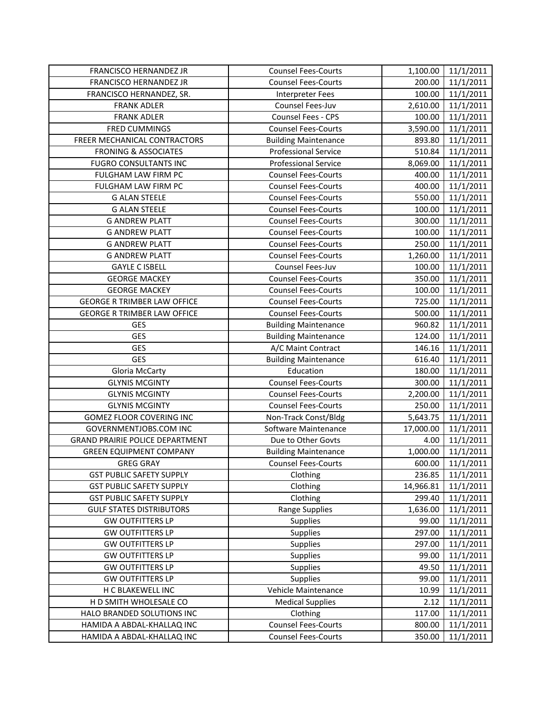| FRANCISCO HERNANDEZ JR                 | <b>Counsel Fees-Courts</b>  | 1,100.00  | 11/1/2011 |
|----------------------------------------|-----------------------------|-----------|-----------|
| FRANCISCO HERNANDEZ JR                 | <b>Counsel Fees-Courts</b>  | 200.00    | 11/1/2011 |
| FRANCISCO HERNANDEZ, SR.               | <b>Interpreter Fees</b>     | 100.00    | 11/1/2011 |
| <b>FRANK ADLER</b>                     | Counsel Fees-Juv            | 2,610.00  | 11/1/2011 |
| <b>FRANK ADLER</b>                     | Counsel Fees - CPS          | 100.00    | 11/1/2011 |
| FRED CUMMINGS                          | <b>Counsel Fees-Courts</b>  | 3,590.00  | 11/1/2011 |
| FREER MECHANICAL CONTRACTORS           | <b>Building Maintenance</b> | 893.80    | 11/1/2011 |
| <b>FRONING &amp; ASSOCIATES</b>        | <b>Professional Service</b> | 510.84    | 11/1/2011 |
| <b>FUGRO CONSULTANTS INC</b>           | <b>Professional Service</b> | 8,069.00  | 11/1/2011 |
| FULGHAM LAW FIRM PC                    | <b>Counsel Fees-Courts</b>  | 400.00    | 11/1/2011 |
| FULGHAM LAW FIRM PC                    | <b>Counsel Fees-Courts</b>  | 400.00    | 11/1/2011 |
| <b>G ALAN STEELE</b>                   | <b>Counsel Fees-Courts</b>  | 550.00    | 11/1/2011 |
| <b>G ALAN STEELE</b>                   | <b>Counsel Fees-Courts</b>  | 100.00    | 11/1/2011 |
| <b>G ANDREW PLATT</b>                  | <b>Counsel Fees-Courts</b>  | 300.00    | 11/1/2011 |
| <b>G ANDREW PLATT</b>                  | <b>Counsel Fees-Courts</b>  | 100.00    | 11/1/2011 |
| <b>G ANDREW PLATT</b>                  | <b>Counsel Fees-Courts</b>  | 250.00    | 11/1/2011 |
| <b>G ANDREW PLATT</b>                  | <b>Counsel Fees-Courts</b>  | 1,260.00  | 11/1/2011 |
| <b>GAYLE C ISBELL</b>                  | Counsel Fees-Juv            | 100.00    | 11/1/2011 |
| <b>GEORGE MACKEY</b>                   | <b>Counsel Fees-Courts</b>  | 350.00    | 11/1/2011 |
| <b>GEORGE MACKEY</b>                   | <b>Counsel Fees-Courts</b>  | 100.00    | 11/1/2011 |
| <b>GEORGE R TRIMBER LAW OFFICE</b>     | <b>Counsel Fees-Courts</b>  | 725.00    | 11/1/2011 |
| <b>GEORGE R TRIMBER LAW OFFICE</b>     | <b>Counsel Fees-Courts</b>  | 500.00    | 11/1/2011 |
| <b>GES</b>                             | <b>Building Maintenance</b> | 960.82    | 11/1/2011 |
| <b>GES</b>                             | <b>Building Maintenance</b> | 124.00    | 11/1/2011 |
| <b>GES</b>                             | A/C Maint Contract          | 146.16    | 11/1/2011 |
| <b>GES</b>                             | <b>Building Maintenance</b> | 616.40    | 11/1/2011 |
| <b>Gloria McCarty</b>                  | Education                   | 180.00    | 11/1/2011 |
| <b>GLYNIS MCGINTY</b>                  | <b>Counsel Fees-Courts</b>  | 300.00    | 11/1/2011 |
| <b>GLYNIS MCGINTY</b>                  | <b>Counsel Fees-Courts</b>  | 2,200.00  | 11/1/2011 |
| <b>GLYNIS MCGINTY</b>                  | <b>Counsel Fees-Courts</b>  | 250.00    | 11/1/2011 |
| GOMEZ FLOOR COVERING INC               | Non-Track Const/Bldg        | 5,643.75  | 11/1/2011 |
| GOVERNMENTJOBS.COM INC                 | Software Maintenance        | 17,000.00 | 11/1/2011 |
| <b>GRAND PRAIRIE POLICE DEPARTMENT</b> | Due to Other Govts          | 4.00      | 11/1/2011 |
| <b>GREEN EQUIPMENT COMPANY</b>         | <b>Building Maintenance</b> | 1,000.00  | 11/1/2011 |
| <b>GREG GRAY</b>                       | <b>Counsel Fees-Courts</b>  | 600.00    | 11/1/2011 |
| <b>GST PUBLIC SAFETY SUPPLY</b>        | Clothing                    | 236.85    | 11/1/2011 |
| <b>GST PUBLIC SAFETY SUPPLY</b>        | Clothing                    | 14,966.81 | 11/1/2011 |
| <b>GST PUBLIC SAFETY SUPPLY</b>        | Clothing                    | 299.40    | 11/1/2011 |
| <b>GULF STATES DISTRIBUTORS</b>        | Range Supplies              | 1,636.00  | 11/1/2011 |
| <b>GW OUTFITTERS LP</b>                | Supplies                    | 99.00     | 11/1/2011 |
| <b>GW OUTFITTERS LP</b>                | Supplies                    | 297.00    | 11/1/2011 |
| <b>GW OUTFITTERS LP</b>                | <b>Supplies</b>             | 297.00    | 11/1/2011 |
| <b>GW OUTFITTERS LP</b>                | Supplies                    | 99.00     | 11/1/2011 |
| <b>GW OUTFITTERS LP</b>                | <b>Supplies</b>             | 49.50     | 11/1/2011 |
| <b>GW OUTFITTERS LP</b>                | Supplies                    | 99.00     | 11/1/2011 |
| H C BLAKEWELL INC                      | Vehicle Maintenance         | 10.99     | 11/1/2011 |
| H D SMITH WHOLESALE CO                 | <b>Medical Supplies</b>     | 2.12      | 11/1/2011 |
| HALO BRANDED SOLUTIONS INC             | Clothing                    | 117.00    | 11/1/2011 |
| HAMIDA A ABDAL-KHALLAQ INC             | <b>Counsel Fees-Courts</b>  | 800.00    | 11/1/2011 |
| HAMIDA A ABDAL-KHALLAQ INC             | <b>Counsel Fees-Courts</b>  | 350.00    | 11/1/2011 |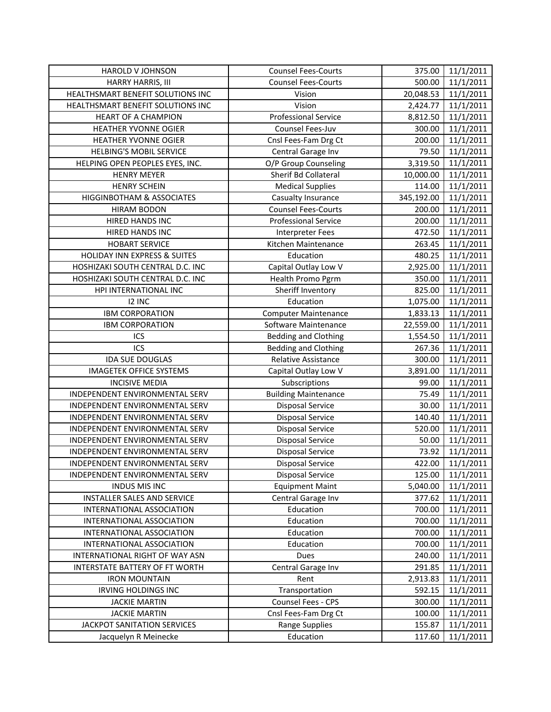| HAROLD V JOHNSON                        | <b>Counsel Fees-Courts</b>  | 375.00     | 11/1/2011             |
|-----------------------------------------|-----------------------------|------------|-----------------------|
| HARRY HARRIS, III                       | <b>Counsel Fees-Courts</b>  | 500.00     | 11/1/2011             |
| HEALTHSMART BENEFIT SOLUTIONS INC       | Vision                      | 20,048.53  | 11/1/2011             |
| HEALTHSMART BENEFIT SOLUTIONS INC       | Vision                      | 2,424.77   | 11/1/2011             |
| <b>HEART OF A CHAMPION</b>              | <b>Professional Service</b> | 8,812.50   | 11/1/2011             |
| <b>HEATHER YVONNE OGIER</b>             | Counsel Fees-Juv            | 300.00     | 11/1/2011             |
| HEATHER YVONNE OGIER                    | Cnsl Fees-Fam Drg Ct        | 200.00     | 11/1/2011             |
| <b>HELBING'S MOBIL SERVICE</b>          | Central Garage Inv          | 79.50      | 11/1/2011             |
| HELPING OPEN PEOPLES EYES, INC.         | O/P Group Counseling        | 3,319.50   | 11/1/2011             |
| <b>HENRY MEYER</b>                      | Sherif Bd Collateral        | 10,000.00  | 11/1/2011             |
| <b>HENRY SCHEIN</b>                     | <b>Medical Supplies</b>     | 114.00     | 11/1/2011             |
| HIGGINBOTHAM & ASSOCIATES               | Casualty Insurance          | 345,192.00 | 11/1/2011             |
| <b>HIRAM BODON</b>                      | <b>Counsel Fees-Courts</b>  | 200.00     | 11/1/2011             |
| HIRED HANDS INC                         | <b>Professional Service</b> | 200.00     | 11/1/2011             |
| HIRED HANDS INC                         | <b>Interpreter Fees</b>     | 472.50     | 11/1/2011             |
| <b>HOBART SERVICE</b>                   | Kitchen Maintenance         | 263.45     | 11/1/2011             |
| <b>HOLIDAY INN EXPRESS &amp; SUITES</b> | Education                   | 480.25     | 11/1/2011             |
| HOSHIZAKI SOUTH CENTRAL D.C. INC        | Capital Outlay Low V        | 2,925.00   | 11/1/2011             |
| HOSHIZAKI SOUTH CENTRAL D.C. INC        | Health Promo Pgrm           | 350.00     | 11/1/2011             |
| HPI INTERNATIONAL INC                   | Sheriff Inventory           | 825.00     | 11/1/2011             |
| <b>I2 INC</b>                           | Education                   | 1,075.00   | 11/1/2011             |
| <b>IBM CORPORATION</b>                  | <b>Computer Maintenance</b> | 1,833.13   | 11/1/2011             |
| <b>IBM CORPORATION</b>                  | Software Maintenance        | 22,559.00  | 11/1/2011             |
| ICS                                     | <b>Bedding and Clothing</b> | 1,554.50   | 11/1/2011             |
| ICS                                     | <b>Bedding and Clothing</b> | 267.36     | 11/1/2011             |
| <b>IDA SUE DOUGLAS</b>                  | Relative Assistance         | 300.00     | 11/1/2011             |
| <b>IMAGETEK OFFICE SYSTEMS</b>          | Capital Outlay Low V        | 3,891.00   | 11/1/2011             |
| <b>INCISIVE MEDIA</b>                   | Subscriptions               | 99.00      | 11/1/2011             |
| INDEPENDENT ENVIRONMENTAL SERV          | <b>Building Maintenance</b> | 75.49      | 11/1/2011             |
| INDEPENDENT ENVIRONMENTAL SERV          | <b>Disposal Service</b>     | 30.00      | $\frac{1}{11}{12011}$ |
| INDEPENDENT ENVIRONMENTAL SERV          | <b>Disposal Service</b>     | 140.40     | 11/1/2011             |
| INDEPENDENT ENVIRONMENTAL SERV          | <b>Disposal Service</b>     | 520.00     | 11/1/2011             |
| INDEPENDENT ENVIRONMENTAL SERV          | <b>Disposal Service</b>     | 50.00      | 11/1/2011             |
| INDEPENDENT ENVIRONMENTAL SERV          | <b>Disposal Service</b>     | 73.92      | 11/1/2011             |
| INDEPENDENT ENVIRONMENTAL SERV          | <b>Disposal Service</b>     | 422.00     | 11/1/2011             |
| INDEPENDENT ENVIRONMENTAL SERV          | <b>Disposal Service</b>     | 125.00     | 11/1/2011             |
| <b>INDUS MIS INC</b>                    | <b>Equipment Maint</b>      | 5,040.00   | 11/1/2011             |
| INSTALLER SALES AND SERVICE             | Central Garage Inv          | 377.62     | 11/1/2011             |
| INTERNATIONAL ASSOCIATION               | Education                   | 700.00     | 11/1/2011             |
| INTERNATIONAL ASSOCIATION               | Education                   | 700.00     | 11/1/2011             |
| INTERNATIONAL ASSOCIATION               | Education                   | 700.00     | 11/1/2011             |
| INTERNATIONAL ASSOCIATION               | Education                   | 700.00     | 11/1/2011             |
| INTERNATIONAL RIGHT OF WAY ASN          | Dues                        | 240.00     | 11/1/2011             |
| <b>INTERSTATE BATTERY OF FT WORTH</b>   | Central Garage Inv          | 291.85     | 11/1/2011             |
| <b>IRON MOUNTAIN</b>                    | Rent                        | 2,913.83   | 11/1/2011             |
| IRVING HOLDINGS INC                     | Transportation              | 592.15     | 11/1/2011             |
| <b>JACKIE MARTIN</b>                    | Counsel Fees - CPS          | 300.00     | 11/1/2011             |
| <b>JACKIE MARTIN</b>                    | Cnsl Fees-Fam Drg Ct        | 100.00     | 11/1/2011             |
| JACKPOT SANITATION SERVICES             | <b>Range Supplies</b>       | 155.87     | 11/1/2011             |
| Jacquelyn R Meinecke                    | Education                   | 117.60     | 11/1/2011             |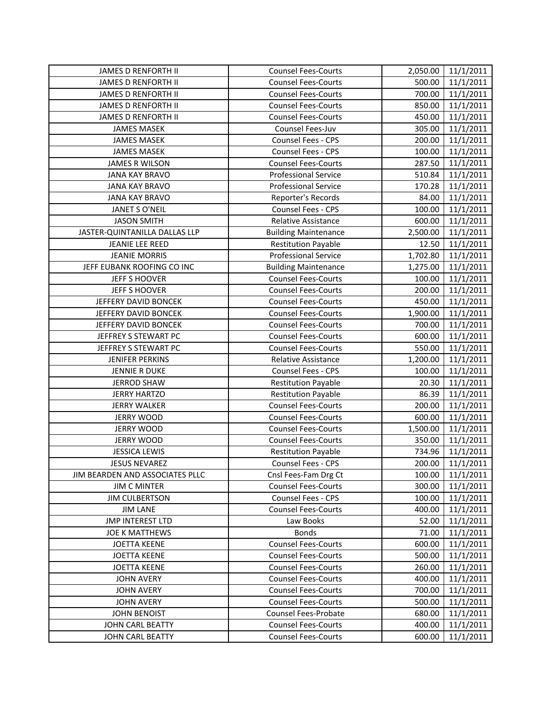| JAMES D RENFORTH II             | <b>Counsel Fees-Courts</b>  | 2,050.00 | 11/1/2011 |
|---------------------------------|-----------------------------|----------|-----------|
| JAMES D RENFORTH II             | <b>Counsel Fees-Courts</b>  | 500.00   | 11/1/2011 |
| JAMES D RENFORTH II             | <b>Counsel Fees-Courts</b>  | 700.00   | 11/1/2011 |
| <b>JAMES D RENFORTH II</b>      | <b>Counsel Fees-Courts</b>  | 850.00   | 11/1/2011 |
| <b>JAMES D RENFORTH II</b>      | <b>Counsel Fees-Courts</b>  | 450.00   | 11/1/2011 |
| <b>JAMES MASEK</b>              | Counsel Fees-Juv            | 305.00   | 11/1/2011 |
| <b>JAMES MASEK</b>              | Counsel Fees - CPS          | 200.00   | 11/1/2011 |
| <b>JAMES MASEK</b>              | Counsel Fees - CPS          | 100.00   | 11/1/2011 |
| <b>JAMES R WILSON</b>           | <b>Counsel Fees-Courts</b>  | 287.50   | 11/1/2011 |
| <b>JANA KAY BRAVO</b>           | <b>Professional Service</b> | 510.84   | 11/1/2011 |
| <b>JANA KAY BRAVO</b>           | <b>Professional Service</b> | 170.28   | 11/1/2011 |
| <b>JANA KAY BRAVO</b>           | Reporter's Records          | 84.00    | 11/1/2011 |
| JANET S O'NEIL                  | Counsel Fees - CPS          | 100.00   | 11/1/2011 |
| <b>JASON SMITH</b>              | Relative Assistance         | 600.00   | 11/1/2011 |
| JASTER-QUINTANILLA DALLAS LLP   | <b>Building Maintenance</b> | 2,500.00 | 11/1/2011 |
| JEANIE LEE REED                 | <b>Restitution Payable</b>  | 12.50    | 11/1/2011 |
| <b>JEANIE MORRIS</b>            | <b>Professional Service</b> | 1,702.80 | 11/1/2011 |
| JEFF EUBANK ROOFING CO INC      | <b>Building Maintenance</b> | 1,275.00 | 11/1/2011 |
| JEFF S HOOVER                   | <b>Counsel Fees-Courts</b>  | 100.00   | 11/1/2011 |
| <b>JEFF S HOOVER</b>            | <b>Counsel Fees-Courts</b>  | 200.00   | 11/1/2011 |
| JEFFERY DAVID BONCEK            | <b>Counsel Fees-Courts</b>  | 450.00   | 11/1/2011 |
| JEFFERY DAVID BONCEK            | <b>Counsel Fees-Courts</b>  | 1,900.00 | 11/1/2011 |
| JEFFERY DAVID BONCEK            | <b>Counsel Fees-Courts</b>  | 700.00   | 11/1/2011 |
| JEFFREY S STEWART PC            | <b>Counsel Fees-Courts</b>  | 600.00   | 11/1/2011 |
| JEFFREY S STEWART PC            | <b>Counsel Fees-Courts</b>  | 550.00   | 11/1/2011 |
| <b>JENIFER PERKINS</b>          | Relative Assistance         | 1,200.00 | 11/1/2011 |
| JENNIE R DUKE                   | Counsel Fees - CPS          | 100.00   | 11/1/2011 |
| <b>JERROD SHAW</b>              | <b>Restitution Payable</b>  | 20.30    | 11/1/2011 |
| <b>JERRY HARTZO</b>             | <b>Restitution Payable</b>  | 86.39    | 11/1/2011 |
| JERRY WALKER                    | <b>Counsel Fees-Courts</b>  | 200.00   | 11/1/2011 |
| <b>JERRY WOOD</b>               | <b>Counsel Fees-Courts</b>  | 600.00   | 11/1/2011 |
| <b>JERRY WOOD</b>               | <b>Counsel Fees-Courts</b>  | 1,500.00 | 11/1/2011 |
| <b>JERRY WOOD</b>               | <b>Counsel Fees-Courts</b>  | 350.00   | 11/1/2011 |
| <b>JESSICA LEWIS</b>            | <b>Restitution Payable</b>  | 734.96   | 11/1/2011 |
| <b>JESUS NEVAREZ</b>            | <b>Counsel Fees - CPS</b>   | 200.00   | 11/1/2011 |
| JIM BEARDEN AND ASSOCIATES PLLC | Cnsl Fees-Fam Drg Ct        | 100.00   | 11/1/2011 |
| <b>JIM C MINTER</b>             | <b>Counsel Fees-Courts</b>  | 300.00   | 11/1/2011 |
| <b>JIM CULBERTSON</b>           | <b>Counsel Fees - CPS</b>   | 100.00   | 11/1/2011 |
| <b>JIM LANE</b>                 | <b>Counsel Fees-Courts</b>  | 400.00   | 11/1/2011 |
| <b>JMP INTEREST LTD</b>         | Law Books                   | 52.00    | 11/1/2011 |
| JOE K MATTHEWS                  | <b>Bonds</b>                | 71.00    | 11/1/2011 |
| <b>JOETTA KEENE</b>             | <b>Counsel Fees-Courts</b>  | 600.00   | 11/1/2011 |
| <b>JOETTA KEENE</b>             | <b>Counsel Fees-Courts</b>  | 500.00   | 11/1/2011 |
| <b>JOETTA KEENE</b>             | <b>Counsel Fees-Courts</b>  | 260.00   | 11/1/2011 |
| <b>JOHN AVERY</b>               | <b>Counsel Fees-Courts</b>  | 400.00   | 11/1/2011 |
| <b>JOHN AVERY</b>               | <b>Counsel Fees-Courts</b>  | 700.00   | 11/1/2011 |
| <b>JOHN AVERY</b>               | <b>Counsel Fees-Courts</b>  | 500.00   | 11/1/2011 |
| <b>JOHN BENOIST</b>             | <b>Counsel Fees-Probate</b> | 680.00   | 11/1/2011 |
| JOHN CARL BEATTY                | <b>Counsel Fees-Courts</b>  | 400.00   | 11/1/2011 |
| JOHN CARL BEATTY                | <b>Counsel Fees-Courts</b>  | 600.00   | 11/1/2011 |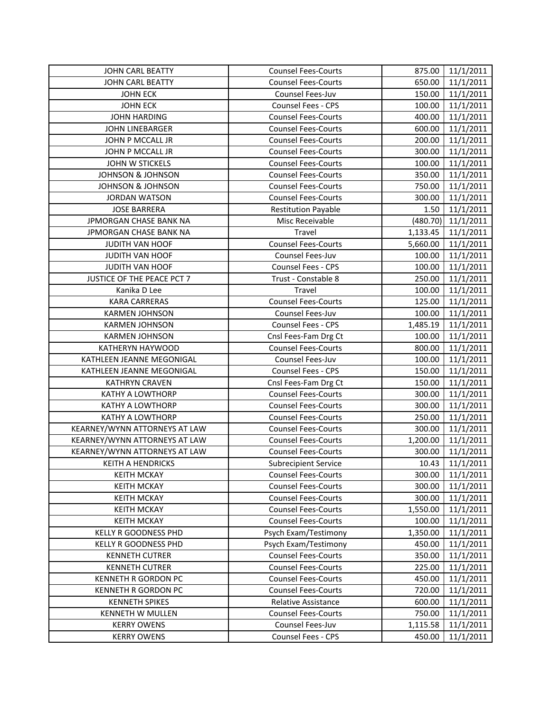| <b>JOHN CARL BEATTY</b>       | <b>Counsel Fees-Courts</b>  | 875.00   | 11/1/2011 |
|-------------------------------|-----------------------------|----------|-----------|
| <b>JOHN CARL BEATTY</b>       | <b>Counsel Fees-Courts</b>  | 650.00   | 11/1/2011 |
| <b>JOHN ECK</b>               | Counsel Fees-Juv            | 150.00   | 11/1/2011 |
| <b>JOHN ECK</b>               | Counsel Fees - CPS          | 100.00   | 11/1/2011 |
| <b>JOHN HARDING</b>           | <b>Counsel Fees-Courts</b>  | 400.00   | 11/1/2011 |
| <b>JOHN LINEBARGER</b>        | <b>Counsel Fees-Courts</b>  | 600.00   | 11/1/2011 |
| JOHN P MCCALL JR              | <b>Counsel Fees-Courts</b>  | 200.00   | 11/1/2011 |
| JOHN P MCCALL JR              | <b>Counsel Fees-Courts</b>  | 300.00   | 11/1/2011 |
| JOHN W STICKELS               | <b>Counsel Fees-Courts</b>  | 100.00   | 11/1/2011 |
| <b>JOHNSON &amp; JOHNSON</b>  | <b>Counsel Fees-Courts</b>  | 350.00   | 11/1/2011 |
| <b>JOHNSON &amp; JOHNSON</b>  | <b>Counsel Fees-Courts</b>  | 750.00   | 11/1/2011 |
| <b>JORDAN WATSON</b>          | <b>Counsel Fees-Courts</b>  | 300.00   | 11/1/2011 |
| <b>JOSE BARRERA</b>           | <b>Restitution Payable</b>  | 1.50     | 11/1/2011 |
| JPMORGAN CHASE BANK NA        | Misc Receivable             | (480.70) | 11/1/2011 |
| JPMORGAN CHASE BANK NA        | Travel                      | 1,133.45 | 11/1/2011 |
| <b>JUDITH VAN HOOF</b>        | <b>Counsel Fees-Courts</b>  | 5,660.00 | 11/1/2011 |
| JUDITH VAN HOOF               | Counsel Fees-Juv            | 100.00   | 11/1/2011 |
| JUDITH VAN HOOF               | Counsel Fees - CPS          | 100.00   | 11/1/2011 |
| JUSTICE OF THE PEACE PCT 7    | Trust - Constable 8         | 250.00   | 11/1/2011 |
| Kanika D Lee                  | Travel                      | 100.00   | 11/1/2011 |
| <b>KARA CARRERAS</b>          | <b>Counsel Fees-Courts</b>  | 125.00   | 11/1/2011 |
| <b>KARMEN JOHNSON</b>         | Counsel Fees-Juv            | 100.00   | 11/1/2011 |
| <b>KARMEN JOHNSON</b>         | <b>Counsel Fees - CPS</b>   | 1,485.19 | 11/1/2011 |
| <b>KARMEN JOHNSON</b>         | Cnsl Fees-Fam Drg Ct        | 100.00   | 11/1/2011 |
| KATHERYN HAYWOOD              | <b>Counsel Fees-Courts</b>  | 800.00   | 11/1/2011 |
| KATHLEEN JEANNE MEGONIGAL     | Counsel Fees-Juv            | 100.00   | 11/1/2011 |
| KATHLEEN JEANNE MEGONIGAL     | Counsel Fees - CPS          | 150.00   | 11/1/2011 |
| <b>KATHRYN CRAVEN</b>         | Cnsl Fees-Fam Drg Ct        | 150.00   | 11/1/2011 |
| KATHY A LOWTHORP              | <b>Counsel Fees-Courts</b>  | 300.00   | 11/1/2011 |
| <b>KATHY A LOWTHORP</b>       | <b>Counsel Fees-Courts</b>  | 300.00   | 11/1/2011 |
| KATHY A LOWTHORP              | <b>Counsel Fees-Courts</b>  | 250.00   | 11/1/2011 |
| KEARNEY/WYNN ATTORNEYS AT LAW | <b>Counsel Fees-Courts</b>  | 300.00   | 11/1/2011 |
| KEARNEY/WYNN ATTORNEYS AT LAW | <b>Counsel Fees-Courts</b>  | 1,200.00 | 11/1/2011 |
| KEARNEY/WYNN ATTORNEYS AT LAW | <b>Counsel Fees-Courts</b>  | 300.00   | 11/1/2011 |
| <b>KEITH A HENDRICKS</b>      | <b>Subrecipient Service</b> | 10.43    | 11/1/2011 |
| <b>KEITH MCKAY</b>            | <b>Counsel Fees-Courts</b>  | 300.00   | 11/1/2011 |
| <b>KEITH MCKAY</b>            | <b>Counsel Fees-Courts</b>  | 300.00   | 11/1/2011 |
| <b>KEITH MCKAY</b>            | <b>Counsel Fees-Courts</b>  | 300.00   | 11/1/2011 |
| <b>KEITH MCKAY</b>            | <b>Counsel Fees-Courts</b>  | 1,550.00 | 11/1/2011 |
| <b>KEITH MCKAY</b>            | <b>Counsel Fees-Courts</b>  | 100.00   | 11/1/2011 |
| KELLY R GOODNESS PHD          | Psych Exam/Testimony        | 1,350.00 | 11/1/2011 |
| <b>KELLY R GOODNESS PHD</b>   | Psych Exam/Testimony        | 450.00   | 11/1/2011 |
| <b>KENNETH CUTRER</b>         | <b>Counsel Fees-Courts</b>  | 350.00   | 11/1/2011 |
| <b>KENNETH CUTRER</b>         | <b>Counsel Fees-Courts</b>  | 225.00   | 11/1/2011 |
| KENNETH R GORDON PC           | <b>Counsel Fees-Courts</b>  | 450.00   | 11/1/2011 |
| KENNETH R GORDON PC           | <b>Counsel Fees-Courts</b>  | 720.00   | 11/1/2011 |
| <b>KENNETH SPIKES</b>         | Relative Assistance         | 600.00   | 11/1/2011 |
| KENNETH W MULLEN              | <b>Counsel Fees-Courts</b>  | 750.00   | 11/1/2011 |
| <b>KERRY OWENS</b>            | Counsel Fees-Juv            | 1,115.58 | 11/1/2011 |
| <b>KERRY OWENS</b>            | Counsel Fees - CPS          | 450.00   | 11/1/2011 |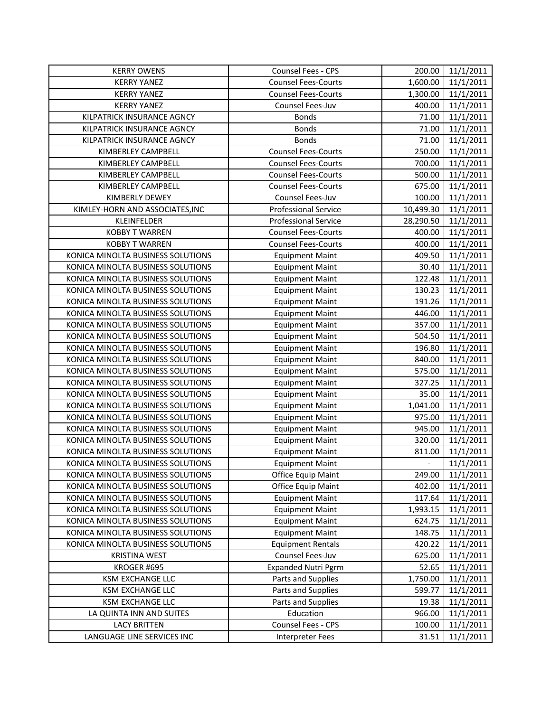| <b>KERRY OWENS</b>                | Counsel Fees - CPS          | 200.00        | 11/1/2011 |
|-----------------------------------|-----------------------------|---------------|-----------|
| <b>KERRY YANEZ</b>                | <b>Counsel Fees-Courts</b>  | 1,600.00      | 11/1/2011 |
| <b>KERRY YANEZ</b>                | <b>Counsel Fees-Courts</b>  | 1,300.00      | 11/1/2011 |
| <b>KERRY YANEZ</b>                | Counsel Fees-Juv            | 400.00        | 11/1/2011 |
| KILPATRICK INSURANCE AGNCY        | <b>Bonds</b>                | 71.00         | 11/1/2011 |
| KILPATRICK INSURANCE AGNCY        | <b>Bonds</b>                | 71.00         | 11/1/2011 |
| KILPATRICK INSURANCE AGNCY        | <b>Bonds</b>                | 71.00         | 11/1/2011 |
| KIMBERLEY CAMPBELL                | <b>Counsel Fees-Courts</b>  | 250.00        | 11/1/2011 |
| KIMBERLEY CAMPBELL                | <b>Counsel Fees-Courts</b>  | 700.00        | 11/1/2011 |
| KIMBERLEY CAMPBELL                | <b>Counsel Fees-Courts</b>  | 500.00        | 11/1/2011 |
| KIMBERLEY CAMPBELL                | <b>Counsel Fees-Courts</b>  | 675.00        | 11/1/2011 |
| KIMBERLY DEWEY                    | Counsel Fees-Juv            | 100.00        | 11/1/2011 |
| KIMLEY-HORN AND ASSOCIATES, INC   | <b>Professional Service</b> | 10,499.30     | 11/1/2011 |
| KLEINFELDER                       | <b>Professional Service</b> | 28,290.50     | 11/1/2011 |
| <b>KOBBY T WARREN</b>             | <b>Counsel Fees-Courts</b>  | 400.00        | 11/1/2011 |
| <b>KOBBY T WARREN</b>             | <b>Counsel Fees-Courts</b>  | 400.00        | 11/1/2011 |
| KONICA MINOLTA BUSINESS SOLUTIONS | <b>Equipment Maint</b>      | 409.50        | 11/1/2011 |
| KONICA MINOLTA BUSINESS SOLUTIONS | <b>Equipment Maint</b>      | 30.40         | 11/1/2011 |
| KONICA MINOLTA BUSINESS SOLUTIONS | <b>Equipment Maint</b>      | 122.48        | 11/1/2011 |
| KONICA MINOLTA BUSINESS SOLUTIONS | <b>Equipment Maint</b>      | 130.23        | 11/1/2011 |
| KONICA MINOLTA BUSINESS SOLUTIONS | <b>Equipment Maint</b>      | 191.26        | 11/1/2011 |
| KONICA MINOLTA BUSINESS SOLUTIONS | <b>Equipment Maint</b>      | 446.00        | 11/1/2011 |
| KONICA MINOLTA BUSINESS SOLUTIONS | <b>Equipment Maint</b>      | 357.00        | 11/1/2011 |
| KONICA MINOLTA BUSINESS SOLUTIONS | <b>Equipment Maint</b>      | 504.50        | 11/1/2011 |
| KONICA MINOLTA BUSINESS SOLUTIONS | <b>Equipment Maint</b>      | 196.80        | 11/1/2011 |
| KONICA MINOLTA BUSINESS SOLUTIONS | <b>Equipment Maint</b>      | 840.00        | 11/1/2011 |
| KONICA MINOLTA BUSINESS SOLUTIONS | <b>Equipment Maint</b>      | 575.00        | 11/1/2011 |
| KONICA MINOLTA BUSINESS SOLUTIONS | <b>Equipment Maint</b>      | 327.25        | 11/1/2011 |
| KONICA MINOLTA BUSINESS SOLUTIONS | <b>Equipment Maint</b>      | 35.00         | 11/1/2011 |
| KONICA MINOLTA BUSINESS SOLUTIONS | <b>Equipment Maint</b>      | 1,041.00      | 11/1/2011 |
| KONICA MINOLTA BUSINESS SOLUTIONS | <b>Equipment Maint</b>      | 975.00        | 11/1/2011 |
| KONICA MINOLTA BUSINESS SOLUTIONS | <b>Equipment Maint</b>      | 945.00        | 11/1/2011 |
| KONICA MINOLTA BUSINESS SOLUTIONS | <b>Equipment Maint</b>      | 320.00        | 11/1/2011 |
| KONICA MINOLTA BUSINESS SOLUTIONS | <b>Equipment Maint</b>      | 811.00        | 11/1/2011 |
| KONICA MINOLTA BUSINESS SOLUTIONS | <b>Equipment Maint</b>      | $\frac{1}{2}$ | 11/1/2011 |
| KONICA MINOLTA BUSINESS SOLUTIONS | Office Equip Maint          | 249.00        | 11/1/2011 |
| KONICA MINOLTA BUSINESS SOLUTIONS | Office Equip Maint          | 402.00        | 11/1/2011 |
| KONICA MINOLTA BUSINESS SOLUTIONS | <b>Equipment Maint</b>      | 117.64        | 11/1/2011 |
| KONICA MINOLTA BUSINESS SOLUTIONS | <b>Equipment Maint</b>      | 1,993.15      | 11/1/2011 |
| KONICA MINOLTA BUSINESS SOLUTIONS | <b>Equipment Maint</b>      | 624.75        | 11/1/2011 |
| KONICA MINOLTA BUSINESS SOLUTIONS | <b>Equipment Maint</b>      | 148.75        | 11/1/2011 |
| KONICA MINOLTA BUSINESS SOLUTIONS | <b>Equipment Rentals</b>    | 420.22        | 11/1/2011 |
| <b>KRISTINA WEST</b>              | Counsel Fees-Juv            | 625.00        | 11/1/2011 |
| KROGER #695                       | <b>Expanded Nutri Pgrm</b>  | 52.65         | 11/1/2011 |
| KSM EXCHANGE LLC                  | Parts and Supplies          | 1,750.00      | 11/1/2011 |
| KSM EXCHANGE LLC                  | Parts and Supplies          | 599.77        | 11/1/2011 |
| <b>KSM EXCHANGE LLC</b>           | Parts and Supplies          | 19.38         | 11/1/2011 |
| LA QUINTA INN AND SUITES          | Education                   | 966.00        | 11/1/2011 |
| <b>LACY BRITTEN</b>               | Counsel Fees - CPS          | 100.00        | 11/1/2011 |
| LANGUAGE LINE SERVICES INC        | Interpreter Fees            | 31.51         | 11/1/2011 |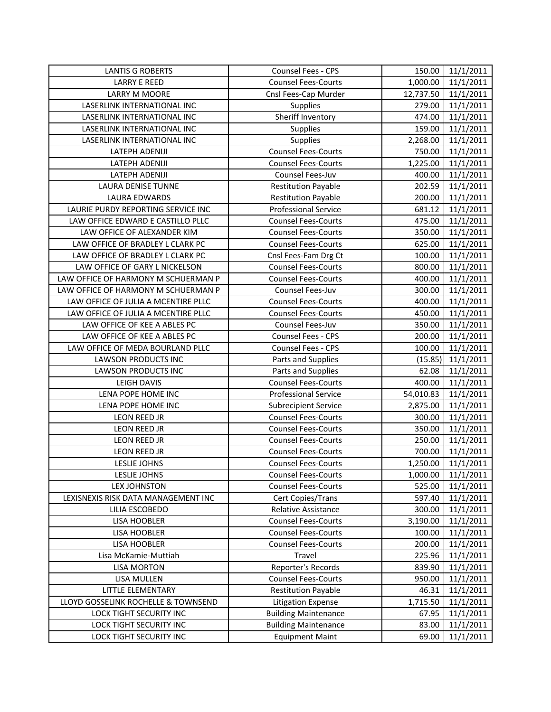| <b>LANTIS G ROBERTS</b>             | Counsel Fees - CPS          | 150.00    | 11/1/2011 |
|-------------------------------------|-----------------------------|-----------|-----------|
| LARRY E REED                        | <b>Counsel Fees-Courts</b>  | 1,000.00  | 11/1/2011 |
| LARRY M MOORE                       | Cnsl Fees-Cap Murder        | 12,737.50 | 11/1/2011 |
| LASERLINK INTERNATIONAL INC         | Supplies                    | 279.00    | 11/1/2011 |
| LASERLINK INTERNATIONAL INC         | Sheriff Inventory           | 474.00    | 11/1/2011 |
| LASERLINK INTERNATIONAL INC         | Supplies                    | 159.00    | 11/1/2011 |
| LASERLINK INTERNATIONAL INC         | Supplies                    | 2,268.00  | 11/1/2011 |
| LATEPH ADENIJI                      | <b>Counsel Fees-Courts</b>  | 750.00    | 11/1/2011 |
| LATEPH ADENIJI                      | <b>Counsel Fees-Courts</b>  | 1,225.00  | 11/1/2011 |
| LATEPH ADENIJI                      | Counsel Fees-Juv            | 400.00    | 11/1/2011 |
| LAURA DENISE TUNNE                  | <b>Restitution Payable</b>  | 202.59    | 11/1/2011 |
| LAURA EDWARDS                       | <b>Restitution Payable</b>  | 200.00    | 11/1/2011 |
| LAURIE PURDY REPORTING SERVICE INC  | <b>Professional Service</b> | 681.12    | 11/1/2011 |
| LAW OFFICE EDWARD E CASTILLO PLLC   | <b>Counsel Fees-Courts</b>  | 475.00    | 11/1/2011 |
| LAW OFFICE OF ALEXANDER KIM         | <b>Counsel Fees-Courts</b>  | 350.00    | 11/1/2011 |
| LAW OFFICE OF BRADLEY L CLARK PC    | <b>Counsel Fees-Courts</b>  | 625.00    | 11/1/2011 |
| LAW OFFICE OF BRADLEY L CLARK PC    | Cnsl Fees-Fam Drg Ct        | 100.00    | 11/1/2011 |
| LAW OFFICE OF GARY L NICKELSON      | <b>Counsel Fees-Courts</b>  | 800.00    | 11/1/2011 |
| LAW OFFICE OF HARMONY M SCHUERMAN P | <b>Counsel Fees-Courts</b>  | 400.00    | 11/1/2011 |
| LAW OFFICE OF HARMONY M SCHUERMAN P | Counsel Fees-Juv            | 300.00    | 11/1/2011 |
| LAW OFFICE OF JULIA A MCENTIRE PLLC | <b>Counsel Fees-Courts</b>  | 400.00    | 11/1/2011 |
| LAW OFFICE OF JULIA A MCENTIRE PLLC | <b>Counsel Fees-Courts</b>  | 450.00    | 11/1/2011 |
| LAW OFFICE OF KEE A ABLES PC        | Counsel Fees-Juv            | 350.00    | 11/1/2011 |
| LAW OFFICE OF KEE A ABLES PC        | Counsel Fees - CPS          | 200.00    | 11/1/2011 |
| LAW OFFICE OF MEDA BOURLAND PLLC    | Counsel Fees - CPS          | 100.00    | 11/1/2011 |
| <b>LAWSON PRODUCTS INC</b>          | Parts and Supplies          | (15.85)   | 11/1/2011 |
| <b>LAWSON PRODUCTS INC</b>          | Parts and Supplies          | 62.08     | 11/1/2011 |
| <b>LEIGH DAVIS</b>                  | <b>Counsel Fees-Courts</b>  | 400.00    | 11/1/2011 |
| LENA POPE HOME INC                  | <b>Professional Service</b> | 54,010.83 | 11/1/2011 |
| LENA POPE HOME INC                  | <b>Subrecipient Service</b> | 2,875.00  | 11/1/2011 |
| LEON REED JR                        | <b>Counsel Fees-Courts</b>  | 300.00    | 11/1/2011 |
| LEON REED JR                        | <b>Counsel Fees-Courts</b>  | 350.00    | 11/1/2011 |
| <b>LEON REED JR</b>                 | <b>Counsel Fees-Courts</b>  | 250.00    | 11/1/2011 |
| LEON REED JR                        | <b>Counsel Fees-Courts</b>  | 700.00    | 11/1/2011 |
| <b>LESLIE JOHNS</b>                 | <b>Counsel Fees-Courts</b>  | 1,250.00  | 11/1/2011 |
| <b>LESLIE JOHNS</b>                 | <b>Counsel Fees-Courts</b>  | 1,000.00  | 11/1/2011 |
| <b>LEX JOHNSTON</b>                 | <b>Counsel Fees-Courts</b>  | 525.00    | 11/1/2011 |
| LEXISNEXIS RISK DATA MANAGEMENT INC | Cert Copies/Trans           | 597.40    | 11/1/2011 |
| LILIA ESCOBEDO                      | <b>Relative Assistance</b>  | 300.00    | 11/1/2011 |
| LISA HOOBLER                        | <b>Counsel Fees-Courts</b>  | 3,190.00  | 11/1/2011 |
| LISA HOOBLER                        | <b>Counsel Fees-Courts</b>  | 100.00    | 11/1/2011 |
| LISA HOOBLER                        | <b>Counsel Fees-Courts</b>  | 200.00    | 11/1/2011 |
| Lisa McKamie-Muttiah                | Travel                      | 225.96    | 11/1/2011 |
| <b>LISA MORTON</b>                  | Reporter's Records          | 839.90    | 11/1/2011 |
| LISA MULLEN                         | <b>Counsel Fees-Courts</b>  | 950.00    | 11/1/2011 |
| LITTLE ELEMENTARY                   | <b>Restitution Payable</b>  | 46.31     | 11/1/2011 |
| LLOYD GOSSELINK ROCHELLE & TOWNSEND | <b>Litigation Expense</b>   | 1,715.50  | 11/1/2011 |
| LOCK TIGHT SECURITY INC             | <b>Building Maintenance</b> | 67.95     | 11/1/2011 |
| LOCK TIGHT SECURITY INC             | <b>Building Maintenance</b> | 83.00     | 11/1/2011 |
| LOCK TIGHT SECURITY INC             | <b>Equipment Maint</b>      | 69.00     | 11/1/2011 |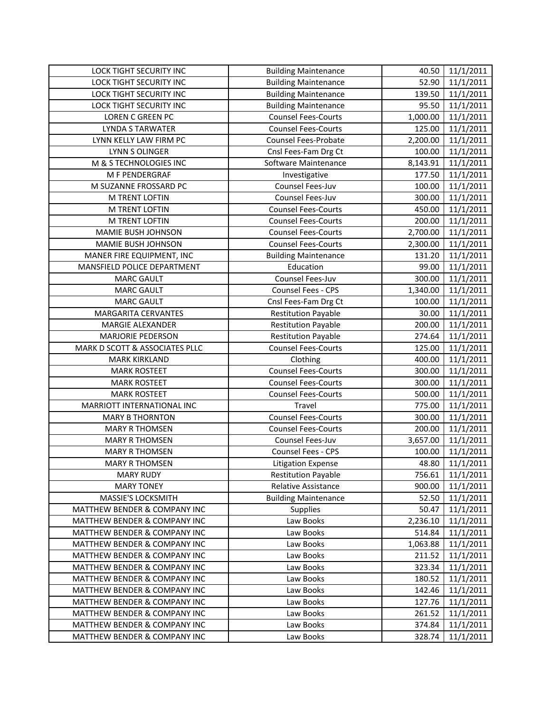| LOCK TIGHT SECURITY INC        | <b>Building Maintenance</b> | 40.50    | 11/1/2011 |
|--------------------------------|-----------------------------|----------|-----------|
| LOCK TIGHT SECURITY INC        | <b>Building Maintenance</b> | 52.90    | 11/1/2011 |
| LOCK TIGHT SECURITY INC        | <b>Building Maintenance</b> | 139.50   | 11/1/2011 |
| LOCK TIGHT SECURITY INC        | <b>Building Maintenance</b> | 95.50    | 11/1/2011 |
| LOREN C GREEN PC               | <b>Counsel Fees-Courts</b>  | 1,000.00 | 11/1/2011 |
| <b>LYNDA S TARWATER</b>        | <b>Counsel Fees-Courts</b>  | 125.00   | 11/1/2011 |
| LYNN KELLY LAW FIRM PC         | Counsel Fees-Probate        | 2,200.00 | 11/1/2011 |
| LYNN S OLINGER                 | Cnsl Fees-Fam Drg Ct        | 100.00   | 11/1/2011 |
| M & S TECHNOLOGIES INC         | Software Maintenance        | 8,143.91 | 11/1/2011 |
| M F PENDERGRAF                 | Investigative               | 177.50   | 11/1/2011 |
| M SUZANNE FROSSARD PC          | Counsel Fees-Juv            | 100.00   | 11/1/2011 |
| M TRENT LOFTIN                 | Counsel Fees-Juv            | 300.00   | 11/1/2011 |
| M TRENT LOFTIN                 | <b>Counsel Fees-Courts</b>  | 450.00   | 11/1/2011 |
| M TRENT LOFTIN                 | <b>Counsel Fees-Courts</b>  | 200.00   | 11/1/2011 |
| MAMIE BUSH JOHNSON             | <b>Counsel Fees-Courts</b>  | 2,700.00 | 11/1/2011 |
| MAMIE BUSH JOHNSON             | <b>Counsel Fees-Courts</b>  | 2,300.00 | 11/1/2011 |
| MANER FIRE EQUIPMENT, INC      | <b>Building Maintenance</b> | 131.20   | 11/1/2011 |
| MANSFIELD POLICE DEPARTMENT    | Education                   | 99.00    | 11/1/2011 |
| <b>MARC GAULT</b>              | Counsel Fees-Juv            | 300.00   | 11/1/2011 |
| <b>MARC GAULT</b>              | <b>Counsel Fees - CPS</b>   | 1,340.00 | 11/1/2011 |
| <b>MARC GAULT</b>              | Cnsl Fees-Fam Drg Ct        | 100.00   | 11/1/2011 |
| <b>MARGARITA CERVANTES</b>     | <b>Restitution Payable</b>  | 30.00    | 11/1/2011 |
| MARGIE ALEXANDER               | <b>Restitution Payable</b>  | 200.00   | 11/1/2011 |
| <b>MARJORIE PEDERSON</b>       | <b>Restitution Payable</b>  | 274.64   | 11/1/2011 |
| MARK D SCOTT & ASSOCIATES PLLC | <b>Counsel Fees-Courts</b>  | 125.00   | 11/1/2011 |
| <b>MARK KIRKLAND</b>           | Clothing                    | 400.00   | 11/1/2011 |
| <b>MARK ROSTEET</b>            | Counsel Fees-Courts         | 300.00   | 11/1/2011 |
| <b>MARK ROSTEET</b>            | <b>Counsel Fees-Courts</b>  | 300.00   | 11/1/2011 |
| <b>MARK ROSTEET</b>            | <b>Counsel Fees-Courts</b>  | 500.00   | 11/1/2011 |
| MARRIOTT INTERNATIONAL INC     | Travel                      | 775.00   | 11/1/2011 |
| <b>MARY B THORNTON</b>         | <b>Counsel Fees-Courts</b>  | 300.00   | 11/1/2011 |
| <b>MARY R THOMSEN</b>          | <b>Counsel Fees-Courts</b>  | 200.00   | 11/1/2011 |
| <b>MARY R THOMSEN</b>          | Counsel Fees-Juv            | 3,657.00 | 11/1/2011 |
| <b>MARY R THOMSEN</b>          | Counsel Fees - CPS          | 100.00   | 11/1/2011 |
| <b>MARY R THOMSEN</b>          | <b>Litigation Expense</b>   | 48.80    | 11/1/2011 |
| <b>MARY RUDY</b>               | <b>Restitution Payable</b>  | 756.61   | 11/1/2011 |
| <b>MARY TONEY</b>              | Relative Assistance         | 900.00   | 11/1/2011 |
| MASSIE'S LOCKSMITH             | <b>Building Maintenance</b> | 52.50    | 11/1/2011 |
| MATTHEW BENDER & COMPANY INC   | Supplies                    | 50.47    | 11/1/2011 |
| MATTHEW BENDER & COMPANY INC   | Law Books                   | 2,236.10 | 11/1/2011 |
| MATTHEW BENDER & COMPANY INC   | Law Books                   | 514.84   | 11/1/2011 |
| MATTHEW BENDER & COMPANY INC   | Law Books                   | 1,063.88 | 11/1/2011 |
| MATTHEW BENDER & COMPANY INC   | Law Books                   | 211.52   | 11/1/2011 |
| MATTHEW BENDER & COMPANY INC   | Law Books                   | 323.34   | 11/1/2011 |
| MATTHEW BENDER & COMPANY INC   | Law Books                   | 180.52   | 11/1/2011 |
| MATTHEW BENDER & COMPANY INC   | Law Books                   | 142.46   | 11/1/2011 |
| MATTHEW BENDER & COMPANY INC   | Law Books                   | 127.76   | 11/1/2011 |
| MATTHEW BENDER & COMPANY INC   | Law Books                   | 261.52   | 11/1/2011 |
| MATTHEW BENDER & COMPANY INC   | Law Books                   | 374.84   | 11/1/2011 |
| MATTHEW BENDER & COMPANY INC   | Law Books                   | 328.74   | 11/1/2011 |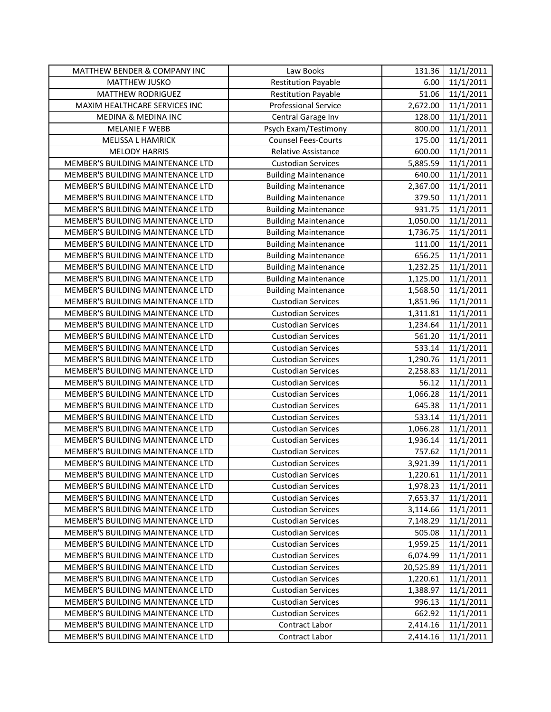| MATTHEW BENDER & COMPANY INC      | Law Books                   | 131.36    | 11/1/2011 |
|-----------------------------------|-----------------------------|-----------|-----------|
| <b>MATTHEW JUSKO</b>              | <b>Restitution Payable</b>  | 6.00      | 11/1/2011 |
| MATTHEW RODRIGUEZ                 | <b>Restitution Payable</b>  | 51.06     | 11/1/2011 |
| MAXIM HEALTHCARE SERVICES INC     | <b>Professional Service</b> | 2,672.00  | 11/1/2011 |
| MEDINA & MEDINA INC               | Central Garage Inv          | 128.00    | 11/1/2011 |
| <b>MELANIE F WEBB</b>             | Psych Exam/Testimony        | 800.00    | 11/1/2011 |
| MELISSA L HAMRICK                 | <b>Counsel Fees-Courts</b>  | 175.00    | 11/1/2011 |
| <b>MELODY HARRIS</b>              | Relative Assistance         | 600.00    | 11/1/2011 |
| MEMBER'S BUILDING MAINTENANCE LTD | <b>Custodian Services</b>   | 5,885.59  | 11/1/2011 |
| MEMBER'S BUILDING MAINTENANCE LTD | <b>Building Maintenance</b> | 640.00    | 11/1/2011 |
| MEMBER'S BUILDING MAINTENANCE LTD | <b>Building Maintenance</b> | 2,367.00  | 11/1/2011 |
| MEMBER'S BUILDING MAINTENANCE LTD | <b>Building Maintenance</b> | 379.50    | 11/1/2011 |
| MEMBER'S BUILDING MAINTENANCE LTD | <b>Building Maintenance</b> | 931.75    | 11/1/2011 |
| MEMBER'S BUILDING MAINTENANCE LTD | <b>Building Maintenance</b> | 1,050.00  | 11/1/2011 |
| MEMBER'S BUILDING MAINTENANCE LTD | <b>Building Maintenance</b> | 1,736.75  | 11/1/2011 |
| MEMBER'S BUILDING MAINTENANCE LTD | <b>Building Maintenance</b> | 111.00    | 11/1/2011 |
| MEMBER'S BUILDING MAINTENANCE LTD | <b>Building Maintenance</b> | 656.25    | 11/1/2011 |
| MEMBER'S BUILDING MAINTENANCE LTD | <b>Building Maintenance</b> | 1,232.25  | 11/1/2011 |
| MEMBER'S BUILDING MAINTENANCE LTD | <b>Building Maintenance</b> | 1,125.00  | 11/1/2011 |
| MEMBER'S BUILDING MAINTENANCE LTD | <b>Building Maintenance</b> | 1,568.50  | 11/1/2011 |
| MEMBER'S BUILDING MAINTENANCE LTD | <b>Custodian Services</b>   | 1,851.96  | 11/1/2011 |
| MEMBER'S BUILDING MAINTENANCE LTD | <b>Custodian Services</b>   | 1,311.81  | 11/1/2011 |
| MEMBER'S BUILDING MAINTENANCE LTD | <b>Custodian Services</b>   | 1,234.64  | 11/1/2011 |
| MEMBER'S BUILDING MAINTENANCE LTD | <b>Custodian Services</b>   | 561.20    | 11/1/2011 |
| MEMBER'S BUILDING MAINTENANCE LTD | <b>Custodian Services</b>   | 533.14    | 11/1/2011 |
| MEMBER'S BUILDING MAINTENANCE LTD | <b>Custodian Services</b>   | 1,290.76  | 11/1/2011 |
| MEMBER'S BUILDING MAINTENANCE LTD | <b>Custodian Services</b>   | 2,258.83  | 11/1/2011 |
| MEMBER'S BUILDING MAINTENANCE LTD | <b>Custodian Services</b>   | 56.12     | 11/1/2011 |
| MEMBER'S BUILDING MAINTENANCE LTD | <b>Custodian Services</b>   | 1,066.28  | 11/1/2011 |
| MEMBER'S BUILDING MAINTENANCE LTD | <b>Custodian Services</b>   | 645.38    | 11/1/2011 |
| MEMBER'S BUILDING MAINTENANCE LTD | <b>Custodian Services</b>   | 533.14    | 11/1/2011 |
| MEMBER'S BUILDING MAINTENANCE LTD | <b>Custodian Services</b>   | 1,066.28  | 11/1/2011 |
| MEMBER'S BUILDING MAINTENANCE LTD | <b>Custodian Services</b>   | 1,936.14  | 11/1/2011 |
| MEMBER'S BUILDING MAINTENANCE LTD | <b>Custodian Services</b>   | 757.62    | 11/1/2011 |
| MEMBER'S BUILDING MAINTENANCE LTD | <b>Custodian Services</b>   | 3,921.39  | 11/1/2011 |
| MEMBER'S BUILDING MAINTENANCE LTD | <b>Custodian Services</b>   | 1,220.61  | 11/1/2011 |
| MEMBER'S BUILDING MAINTENANCE LTD | <b>Custodian Services</b>   | 1,978.23  | 11/1/2011 |
| MEMBER'S BUILDING MAINTENANCE LTD | <b>Custodian Services</b>   | 7,653.37  | 11/1/2011 |
| MEMBER'S BUILDING MAINTENANCE LTD | <b>Custodian Services</b>   | 3,114.66  | 11/1/2011 |
| MEMBER'S BUILDING MAINTENANCE LTD | <b>Custodian Services</b>   | 7,148.29  | 11/1/2011 |
| MEMBER'S BUILDING MAINTENANCE LTD | <b>Custodian Services</b>   | 505.08    | 11/1/2011 |
| MEMBER'S BUILDING MAINTENANCE LTD | <b>Custodian Services</b>   | 1,959.25  | 11/1/2011 |
| MEMBER'S BUILDING MAINTENANCE LTD | <b>Custodian Services</b>   | 6,074.99  | 11/1/2011 |
| MEMBER'S BUILDING MAINTENANCE LTD | <b>Custodian Services</b>   | 20,525.89 | 11/1/2011 |
| MEMBER'S BUILDING MAINTENANCE LTD | <b>Custodian Services</b>   | 1,220.61  | 11/1/2011 |
| MEMBER'S BUILDING MAINTENANCE LTD | <b>Custodian Services</b>   | 1,388.97  | 11/1/2011 |
| MEMBER'S BUILDING MAINTENANCE LTD | <b>Custodian Services</b>   | 996.13    | 11/1/2011 |
| MEMBER'S BUILDING MAINTENANCE LTD | <b>Custodian Services</b>   | 662.92    | 11/1/2011 |
| MEMBER'S BUILDING MAINTENANCE LTD | Contract Labor              | 2,414.16  | 11/1/2011 |
| MEMBER'S BUILDING MAINTENANCE LTD | Contract Labor              | 2,414.16  | 11/1/2011 |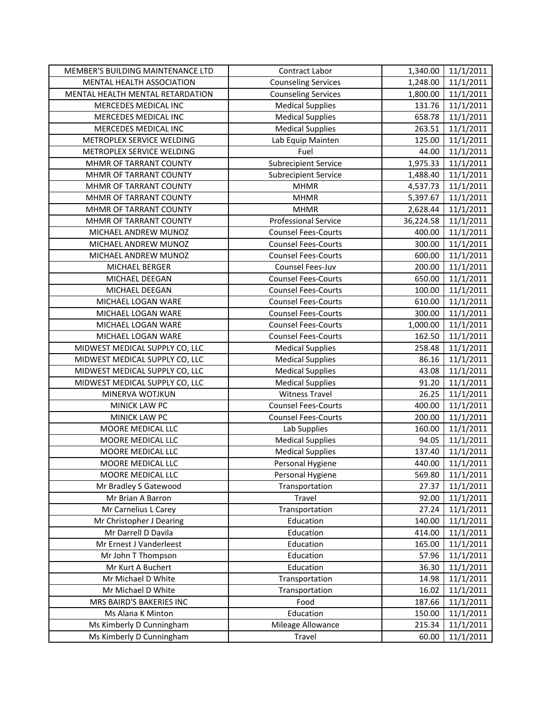| MEMBER'S BUILDING MAINTENANCE LTD | Contract Labor              | 1,340.00  | 11/1/2011 |
|-----------------------------------|-----------------------------|-----------|-----------|
| <b>MENTAL HEALTH ASSOCIATION</b>  | <b>Counseling Services</b>  | 1,248.00  | 11/1/2011 |
| MENTAL HEALTH MENTAL RETARDATION  | <b>Counseling Services</b>  | 1,800.00  | 11/1/2011 |
| MERCEDES MEDICAL INC              | <b>Medical Supplies</b>     | 131.76    | 11/1/2011 |
| MERCEDES MEDICAL INC              | <b>Medical Supplies</b>     | 658.78    | 11/1/2011 |
| MERCEDES MEDICAL INC              | <b>Medical Supplies</b>     | 263.51    | 11/1/2011 |
| METROPLEX SERVICE WELDING         | Lab Equip Mainten           | 125.00    | 11/1/2011 |
| METROPLEX SERVICE WELDING         | Fuel                        | 44.00     | 11/1/2011 |
| MHMR OF TARRANT COUNTY            | <b>Subrecipient Service</b> | 1,975.33  | 11/1/2011 |
| MHMR OF TARRANT COUNTY            | <b>Subrecipient Service</b> | 1,488.40  | 11/1/2011 |
| MHMR OF TARRANT COUNTY            | <b>MHMR</b>                 | 4,537.73  | 11/1/2011 |
| MHMR OF TARRANT COUNTY            | <b>MHMR</b>                 | 5,397.67  | 11/1/2011 |
| MHMR OF TARRANT COUNTY            | <b>MHMR</b>                 | 2,628.44  | 11/1/2011 |
| MHMR OF TARRANT COUNTY            | <b>Professional Service</b> | 36,224.58 | 11/1/2011 |
| MICHAEL ANDREW MUNOZ              | <b>Counsel Fees-Courts</b>  | 400.00    | 11/1/2011 |
| MICHAEL ANDREW MUNOZ              | <b>Counsel Fees-Courts</b>  | 300.00    | 11/1/2011 |
| MICHAEL ANDREW MUNOZ              | <b>Counsel Fees-Courts</b>  | 600.00    | 11/1/2011 |
| MICHAEL BERGER                    | Counsel Fees-Juv            | 200.00    | 11/1/2011 |
| MICHAEL DEEGAN                    | <b>Counsel Fees-Courts</b>  | 650.00    | 11/1/2011 |
| MICHAEL DEEGAN                    | <b>Counsel Fees-Courts</b>  | 100.00    | 11/1/2011 |
| MICHAEL LOGAN WARE                | <b>Counsel Fees-Courts</b>  | 610.00    | 11/1/2011 |
| MICHAEL LOGAN WARE                | <b>Counsel Fees-Courts</b>  | 300.00    | 11/1/2011 |
| MICHAEL LOGAN WARE                | <b>Counsel Fees-Courts</b>  | 1,000.00  | 11/1/2011 |
| MICHAEL LOGAN WARE                | <b>Counsel Fees-Courts</b>  | 162.50    | 11/1/2011 |
| MIDWEST MEDICAL SUPPLY CO, LLC    | <b>Medical Supplies</b>     | 258.48    | 11/1/2011 |
| MIDWEST MEDICAL SUPPLY CO, LLC    | <b>Medical Supplies</b>     | 86.16     | 11/1/2011 |
| MIDWEST MEDICAL SUPPLY CO, LLC    | <b>Medical Supplies</b>     | 43.08     | 11/1/2011 |
| MIDWEST MEDICAL SUPPLY CO, LLC    | <b>Medical Supplies</b>     | 91.20     | 11/1/2011 |
| MINERVA WOTJKUN                   | <b>Witness Travel</b>       | 26.25     | 11/1/2011 |
| MINICK LAW PC                     | <b>Counsel Fees-Courts</b>  | 400.00    | 11/1/2011 |
| MINICK LAW PC                     | <b>Counsel Fees-Courts</b>  | 200.00    | 11/1/2011 |
| MOORE MEDICAL LLC                 | Lab Supplies                | 160.00    | 11/1/2011 |
| MOORE MEDICAL LLC                 | <b>Medical Supplies</b>     | 94.05     | 11/1/2011 |
| MOORE MEDICAL LLC                 | <b>Medical Supplies</b>     | 137.40    | 11/1/2011 |
| <b>MOORE MEDICAL LLC</b>          | Personal Hygiene            | 440.00    | 11/1/2011 |
| MOORE MEDICAL LLC                 | Personal Hygiene            | 569.80    | 11/1/2011 |
| Mr Bradley S Gatewood             | Transportation              | 27.37     | 11/1/2011 |
| Mr Brian A Barron                 | Travel                      | 92.00     | 11/1/2011 |
| Mr Carnelius L Carey              | Transportation              | 27.24     | 11/1/2011 |
| Mr Christopher J Dearing          | Education                   | 140.00    | 11/1/2011 |
| Mr Darrell D Davila               | Education                   | 414.00    | 11/1/2011 |
| Mr Ernest J Vanderleest           | Education                   | 165.00    | 11/1/2011 |
| Mr John T Thompson                | Education                   | 57.96     | 11/1/2011 |
| Mr Kurt A Buchert                 | Education                   | 36.30     | 11/1/2011 |
| Mr Michael D White                | Transportation              | 14.98     | 11/1/2011 |
| Mr Michael D White                | Transportation              | 16.02     | 11/1/2011 |
| MRS BAIRD'S BAKERIES INC          | Food                        | 187.66    | 11/1/2011 |
| Ms Alana K Minton                 | Education                   | 150.00    | 11/1/2011 |
| Ms Kimberly D Cunningham          | Mileage Allowance           | 215.34    | 11/1/2011 |
| Ms Kimberly D Cunningham          | Travel                      | 60.00     | 11/1/2011 |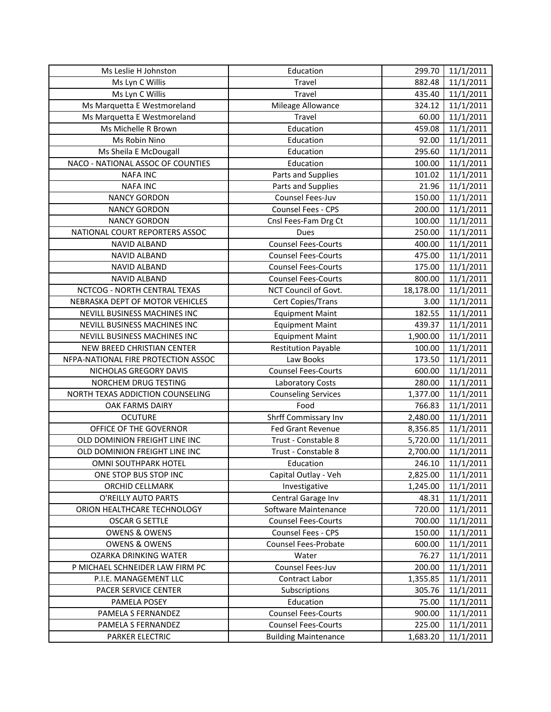| Ms Leslie H Johnston                  | Education                   | 299.70    | 11/1/2011              |
|---------------------------------------|-----------------------------|-----------|------------------------|
| Ms Lyn C Willis                       | Travel                      | 882.48    | 11/1/2011              |
| Ms Lyn C Willis                       | Travel                      | 435.40    | 11/1/2011              |
| Ms Marquetta E Westmoreland           | Mileage Allowance           | 324.12    | 11/1/2011              |
| Ms Marquetta E Westmoreland           | Travel                      | 60.00     | 11/1/2011              |
| Ms Michelle R Brown                   | Education                   | 459.08    | 11/1/2011              |
| Ms Robin Nino                         | Education                   | 92.00     | 11/1/2011              |
| Ms Sheila E McDougall                 | Education                   | 295.60    | 11/1/2011              |
| NACO - NATIONAL ASSOC OF COUNTIES     | Education                   | 100.00    | 11/1/2011              |
| <b>NAFA INC</b>                       | Parts and Supplies          | 101.02    | 11/1/2011              |
| <b>NAFA INC</b>                       | Parts and Supplies          | 21.96     | 11/1/2011              |
| <b>NANCY GORDON</b>                   | Counsel Fees-Juv            | 150.00    | 11/1/2011              |
| <b>NANCY GORDON</b>                   | Counsel Fees - CPS          | 200.00    | 11/1/2011              |
| <b>NANCY GORDON</b>                   | Cnsl Fees-Fam Drg Ct        | 100.00    | $\overline{11}/1/2011$ |
| NATIONAL COURT REPORTERS ASSOC        | Dues                        | 250.00    | 11/1/2011              |
| NAVID ALBAND                          | <b>Counsel Fees-Courts</b>  | 400.00    | 11/1/2011              |
| NAVID ALBAND                          | <b>Counsel Fees-Courts</b>  | 475.00    | 11/1/2011              |
| NAVID ALBAND                          | <b>Counsel Fees-Courts</b>  | 175.00    | 11/1/2011              |
| <b>NAVID ALBAND</b>                   | <b>Counsel Fees-Courts</b>  | 800.00    | 11/1/2011              |
| NCTCOG - NORTH CENTRAL TEXAS          | NCT Council of Govt.        | 18,178.00 | 11/1/2011              |
| NEBRASKA DEPT OF MOTOR VEHICLES       | Cert Copies/Trans           | 3.00      | 11/1/2011              |
| NEVILL BUSINESS MACHINES INC          | <b>Equipment Maint</b>      | 182.55    | 11/1/2011              |
| NEVILL BUSINESS MACHINES INC          | <b>Equipment Maint</b>      | 439.37    | 11/1/2011              |
| NEVILL BUSINESS MACHINES INC          | <b>Equipment Maint</b>      | 1,900.00  | 11/1/2011              |
| NEW BREED CHRISTIAN CENTER            | <b>Restitution Payable</b>  | 100.00    | 11/1/2011              |
| NFPA-NATIONAL FIRE PROTECTION ASSOC   | Law Books                   | 173.50    | 11/1/2011              |
| NICHOLAS GREGORY DAVIS                | <b>Counsel Fees-Courts</b>  | 600.00    | 11/1/2011              |
| NORCHEM DRUG TESTING                  | Laboratory Costs            | 280.00    | 11/1/2011              |
| NORTH TEXAS ADDICTION COUNSELING      | <b>Counseling Services</b>  | 1,377.00  | 11/1/2011              |
| OAK FARMS DAIRY                       | Food                        | 766.83    | 11/1/2011              |
| <b>OCUTURE</b>                        | Shrff Commissary Inv        | 2,480.00  | 11/1/2011              |
| OFFICE OF THE GOVERNOR                | Fed Grant Revenue           | 8,356.85  | 11/1/2011              |
| OLD DOMINION FREIGHT LINE INC         | Trust - Constable 8         | 5,720.00  | 11/1/2011              |
| OLD DOMINION FREIGHT LINE INC         | Trust - Constable 8         | 2,700.00  | 11/1/2011              |
| <b>OMNI SOUTHPARK HOTEL</b>           | Education                   | 246.10    | 11/1/2011              |
| ONE STOP BUS STOP INC                 | Capital Outlay - Veh        | 2,825.00  | 11/1/2011              |
| ORCHID CELLMARK                       | Investigative               | 1,245.00  | 11/1/2011              |
| O'REILLY AUTO PARTS                   | Central Garage Inv          | 48.31     | 11/1/2011              |
| ORION HEALTHCARE TECHNOLOGY           | Software Maintenance        | 720.00    | 11/1/2011              |
| <b>OSCAR G SETTLE</b>                 | <b>Counsel Fees-Courts</b>  | 700.00    | 11/1/2011              |
| <b>OWENS &amp; OWENS</b>              | Counsel Fees - CPS          | 150.00    | 11/1/2011              |
| <b>OWENS &amp; OWENS</b>              | <b>Counsel Fees-Probate</b> | 600.00    | 11/1/2011              |
| OZARKA DRINKING WATER                 | Water                       | 76.27     | 11/1/2011              |
| P MICHAEL SCHNEIDER LAW FIRM PC       | Counsel Fees-Juv            | 200.00    | 11/1/2011              |
| P.I.E. MANAGEMENT LLC                 | Contract Labor              | 1,355.85  | 11/1/2011              |
| PACER SERVICE CENTER                  | Subscriptions               | 305.76    | 11/1/2011              |
| PAMELA POSEY                          | Education                   | 75.00     | 11/1/2011              |
| PAMELA S FERNANDEZ                    | <b>Counsel Fees-Courts</b>  | 900.00    | 11/1/2011              |
| PAMELA S FERNANDEZ<br>PARKER ELECTRIC | <b>Counsel Fees-Courts</b>  | 225.00    | 11/1/2011              |
|                                       | <b>Building Maintenance</b> | 1,683.20  | 11/1/2011              |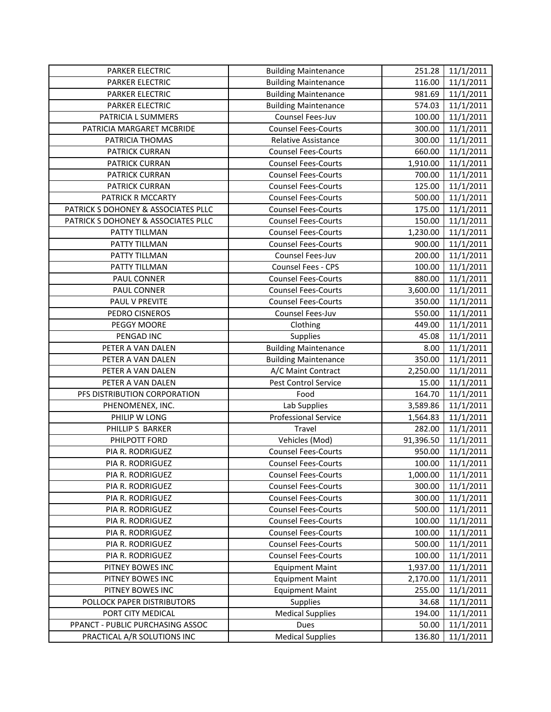| PARKER ELECTRIC                                                 | <b>Building Maintenance</b>     | 251.28          | 11/1/2011              |
|-----------------------------------------------------------------|---------------------------------|-----------------|------------------------|
| PARKER ELECTRIC                                                 | <b>Building Maintenance</b>     | 116.00          | 11/1/2011              |
| PARKER ELECTRIC                                                 | <b>Building Maintenance</b>     | 981.69          | 11/1/2011              |
| PARKER ELECTRIC                                                 | <b>Building Maintenance</b>     | 574.03          | 11/1/2011              |
| PATRICIA L SUMMERS                                              | Counsel Fees-Juv                | 100.00          | 11/1/2011              |
| PATRICIA MARGARET MCBRIDE                                       | <b>Counsel Fees-Courts</b>      | 300.00          | 11/1/2011              |
| PATRICIA THOMAS                                                 | Relative Assistance             | 300.00          | 11/1/2011              |
| PATRICK CURRAN                                                  | <b>Counsel Fees-Courts</b>      | 660.00          | 11/1/2011              |
| PATRICK CURRAN                                                  | <b>Counsel Fees-Courts</b>      | 1,910.00        | 11/1/2011              |
| PATRICK CURRAN                                                  | <b>Counsel Fees-Courts</b>      | 700.00          | 11/1/2011              |
| PATRICK CURRAN                                                  | <b>Counsel Fees-Courts</b>      | 125.00          | 11/1/2011              |
| PATRICK R MCCARTY                                               | <b>Counsel Fees-Courts</b>      | 500.00          | 11/1/2011              |
| PATRICK S DOHONEY & ASSOCIATES PLLC                             | <b>Counsel Fees-Courts</b>      | 175.00          | 11/1/2011              |
| PATRICK S DOHONEY & ASSOCIATES PLLC                             | <b>Counsel Fees-Courts</b>      | 150.00          | 11/1/2011              |
| PATTY TILLMAN                                                   | <b>Counsel Fees-Courts</b>      | 1,230.00        | 11/1/2011              |
| PATTY TILLMAN                                                   | <b>Counsel Fees-Courts</b>      | 900.00          | 11/1/2011              |
| PATTY TILLMAN                                                   | Counsel Fees-Juv                | 200.00          | 11/1/2011              |
| PATTY TILLMAN                                                   | Counsel Fees - CPS              | 100.00          | 11/1/2011              |
| PAUL CONNER                                                     | <b>Counsel Fees-Courts</b>      | 880.00          | 11/1/2011              |
| PAUL CONNER                                                     | <b>Counsel Fees-Courts</b>      | 3,600.00        | 11/1/2011              |
| PAUL V PREVITE                                                  | <b>Counsel Fees-Courts</b>      | 350.00          | 11/1/2011              |
| PEDRO CISNEROS                                                  | Counsel Fees-Juv                | 550.00          | 11/1/2011              |
| PEGGY MOORE                                                     | Clothing                        | 449.00          | 11/1/2011              |
| PENGAD INC                                                      | Supplies                        | 45.08           | 11/1/2011              |
| PETER A VAN DALEN                                               | <b>Building Maintenance</b>     | 8.00            | 11/1/2011              |
| PETER A VAN DALEN                                               | <b>Building Maintenance</b>     | 350.00          | 11/1/2011              |
| PETER A VAN DALEN                                               | A/C Maint Contract              | 2,250.00        | 11/1/2011              |
| PETER A VAN DALEN                                               | Pest Control Service            | 15.00           | 11/1/2011              |
| PFS DISTRIBUTION CORPORATION                                    | Food                            | 164.70          | 11/1/2011              |
| PHENOMENEX, INC.                                                | Lab Supplies                    | 3,589.86        | 11/1/2011              |
| PHILIP W LONG                                                   | <b>Professional Service</b>     | 1,564.83        | 11/1/2011              |
| PHILLIP S BARKER                                                | Travel                          | 282.00          | 11/1/2011              |
| PHILPOTT FORD                                                   | Vehicles (Mod)                  | 91,396.50       | 11/1/2011              |
| PIA R. RODRIGUEZ                                                | <b>Counsel Fees-Courts</b>      | 950.00          | 11/1/2011              |
| PIA R. RODRIGUEZ                                                | <b>Counsel Fees-Courts</b>      | 100.00          | 11/1/2011              |
| PIA R. RODRIGUEZ                                                | <b>Counsel Fees-Courts</b>      | 1,000.00        | 11/1/2011              |
| PIA R. RODRIGUEZ                                                | <b>Counsel Fees-Courts</b>      | 300.00          | 11/1/2011              |
| PIA R. RODRIGUEZ                                                | <b>Counsel Fees-Courts</b>      | 300.00          | 11/1/2011              |
| PIA R. RODRIGUEZ                                                | <b>Counsel Fees-Courts</b>      | 500.00          | 11/1/2011              |
| PIA R. RODRIGUEZ                                                | <b>Counsel Fees-Courts</b>      | 100.00          | 11/1/2011              |
| PIA R. RODRIGUEZ                                                | <b>Counsel Fees-Courts</b>      | 100.00          | 11/1/2011              |
| PIA R. RODRIGUEZ                                                | <b>Counsel Fees-Courts</b>      | 500.00          | 11/1/2011              |
| PIA R. RODRIGUEZ                                                | <b>Counsel Fees-Courts</b>      | 100.00          | 11/1/2011              |
| PITNEY BOWES INC                                                | <b>Equipment Maint</b>          | 1,937.00        | 11/1/2011              |
| PITNEY BOWES INC                                                | <b>Equipment Maint</b>          | 2,170.00        | 11/1/2011              |
| PITNEY BOWES INC                                                | <b>Equipment Maint</b>          | 255.00          | 11/1/2011              |
| POLLOCK PAPER DISTRIBUTORS                                      | Supplies                        | 34.68           | 11/1/2011              |
| PORT CITY MEDICAL                                               |                                 |                 |                        |
|                                                                 | <b>Medical Supplies</b>         | 194.00          | 11/1/2011              |
| PPANCT - PUBLIC PURCHASING ASSOC<br>PRACTICAL A/R SOLUTIONS INC | Dues<br><b>Medical Supplies</b> | 50.00<br>136.80 | 11/1/2011<br>11/1/2011 |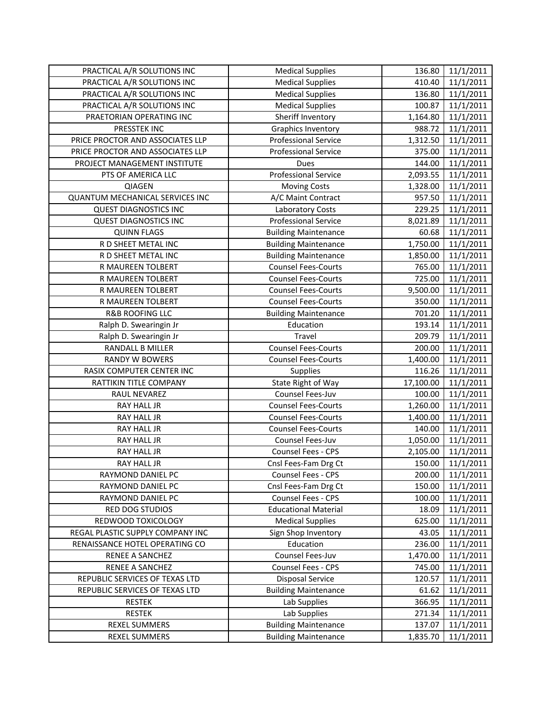| PRACTICAL A/R SOLUTIONS INC      | <b>Medical Supplies</b>     | 136.80    | 11/1/2011              |
|----------------------------------|-----------------------------|-----------|------------------------|
| PRACTICAL A/R SOLUTIONS INC      | <b>Medical Supplies</b>     | 410.40    | 11/1/2011              |
| PRACTICAL A/R SOLUTIONS INC      | <b>Medical Supplies</b>     | 136.80    | 11/1/2011              |
| PRACTICAL A/R SOLUTIONS INC      | <b>Medical Supplies</b>     | 100.87    | 11/1/2011              |
| PRAETORIAN OPERATING INC         | Sheriff Inventory           | 1,164.80  | 11/1/2011              |
| PRESSTEK INC                     | <b>Graphics Inventory</b>   | 988.72    | 11/1/2011              |
| PRICE PROCTOR AND ASSOCIATES LLP | <b>Professional Service</b> | 1,312.50  | 11/1/2011              |
| PRICE PROCTOR AND ASSOCIATES LLP | <b>Professional Service</b> | 375.00    | 11/1/2011              |
| PROJECT MANAGEMENT INSTITUTE     | <b>Dues</b>                 | 144.00    | 11/1/2011              |
| PTS OF AMERICA LLC               | <b>Professional Service</b> | 2,093.55  | 11/1/2011              |
| QIAGEN                           | <b>Moving Costs</b>         | 1,328.00  | 11/1/2011              |
| QUANTUM MECHANICAL SERVICES INC  | A/C Maint Contract          | 957.50    | 11/1/2011              |
| <b>QUEST DIAGNOSTICS INC</b>     | Laboratory Costs            | 229.25    | 11/1/2011              |
| <b>QUEST DIAGNOSTICS INC</b>     | <b>Professional Service</b> | 8,021.89  | 11/1/2011              |
| <b>QUINN FLAGS</b>               | <b>Building Maintenance</b> | 60.68     | 11/1/2011              |
| R D SHEET METAL INC              | <b>Building Maintenance</b> | 1,750.00  | 11/1/2011              |
| R D SHEET METAL INC              | <b>Building Maintenance</b> | 1,850.00  | 11/1/2011              |
| R MAUREEN TOLBERT                | <b>Counsel Fees-Courts</b>  | 765.00    | 11/1/2011              |
| R MAUREEN TOLBERT                | <b>Counsel Fees-Courts</b>  | 725.00    | 11/1/2011              |
| R MAUREEN TOLBERT                | <b>Counsel Fees-Courts</b>  | 9,500.00  | 11/1/2011              |
| R MAUREEN TOLBERT                | <b>Counsel Fees-Courts</b>  | 350.00    | 11/1/2011              |
| <b>R&amp;B ROOFING LLC</b>       | <b>Building Maintenance</b> | 701.20    | 11/1/2011              |
| Ralph D. Swearingin Jr           | Education                   | 193.14    | 11/1/2011              |
| Ralph D. Swearingin Jr           | Travel                      | 209.79    | 11/1/2011              |
| RANDALL B MILLER                 | <b>Counsel Fees-Courts</b>  | 200.00    | 11/1/2011              |
|                                  |                             |           |                        |
| <b>RANDY W BOWERS</b>            | <b>Counsel Fees-Courts</b>  | 1,400.00  | 11/1/2011              |
| RASIX COMPUTER CENTER INC        | Supplies                    | 116.26    | 11/1/2011              |
| RATTIKIN TITLE COMPANY           | State Right of Way          | 17,100.00 | 11/1/2011              |
| RAUL NEVAREZ                     | Counsel Fees-Juv            | 100.00    | 11/1/2011              |
| RAY HALL JR                      | <b>Counsel Fees-Courts</b>  | 1,260.00  | 11/1/2011              |
| RAY HALL JR                      | <b>Counsel Fees-Courts</b>  | 1,400.00  | 11/1/2011              |
| RAY HALL JR                      | <b>Counsel Fees-Courts</b>  | 140.00    | 11/1/2011              |
| <b>RAY HALL JR</b>               | Counsel Fees-Juv            | 1,050.00  | 11/1/2011              |
| RAY HALL JR                      | Counsel Fees - CPS          | 2,105.00  | 11/1/2011              |
| RAY HALL JR                      | Cnsl Fees-Fam Drg Ct        | 150.00    | 11/1/2011              |
| RAYMOND DANIEL PC                | Counsel Fees - CPS          | 200.00    | 11/1/2011              |
| RAYMOND DANIEL PC                | Cnsl Fees-Fam Drg Ct        | 150.00    | 11/1/2011              |
| RAYMOND DANIEL PC                | Counsel Fees - CPS          | 100.00    | 11/1/2011              |
| RED DOG STUDIOS                  | <b>Educational Material</b> | 18.09     | 11/1/2011              |
| REDWOOD TOXICOLOGY               | <b>Medical Supplies</b>     | 625.00    | 11/1/2011              |
| REGAL PLASTIC SUPPLY COMPANY INC | Sign Shop Inventory         | 43.05     | 11/1/2011              |
| RENAISSANCE HOTEL OPERATING CO   | Education                   | 236.00    | 11/1/2011              |
| RENEE A SANCHEZ                  | Counsel Fees-Juv            | 1,470.00  | 11/1/2011              |
| RENEE A SANCHEZ                  | Counsel Fees - CPS          | 745.00    | 11/1/2011              |
| REPUBLIC SERVICES OF TEXAS LTD   | <b>Disposal Service</b>     | 120.57    | 11/1/2011              |
| REPUBLIC SERVICES OF TEXAS LTD   | <b>Building Maintenance</b> | 61.62     | 11/1/2011              |
| <b>RESTEK</b>                    | Lab Supplies                | 366.95    | 11/1/2011              |
| <b>RESTEK</b>                    | Lab Supplies                | 271.34    | 11/1/2011              |
| <b>REXEL SUMMERS</b>             | <b>Building Maintenance</b> | 137.07    | 11/1/2011<br>11/1/2011 |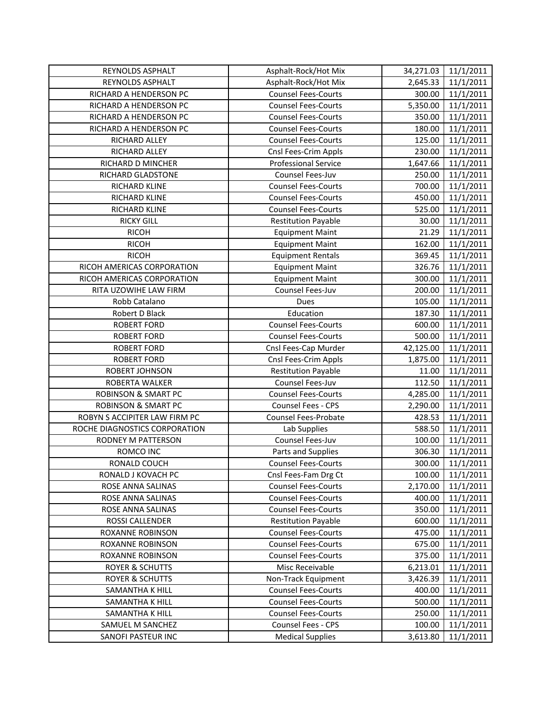| REYNOLDS ASPHALT               | Asphalt-Rock/Hot Mix        | 34,271.03 | 11/1/2011 |
|--------------------------------|-----------------------------|-----------|-----------|
| REYNOLDS ASPHALT               | Asphalt-Rock/Hot Mix        | 2,645.33  | 11/1/2011 |
| RICHARD A HENDERSON PC         | <b>Counsel Fees-Courts</b>  | 300.00    | 11/1/2011 |
| RICHARD A HENDERSON PC         | <b>Counsel Fees-Courts</b>  | 5,350.00  | 11/1/2011 |
| RICHARD A HENDERSON PC         | <b>Counsel Fees-Courts</b>  | 350.00    | 11/1/2011 |
| RICHARD A HENDERSON PC         | <b>Counsel Fees-Courts</b>  | 180.00    | 11/1/2011 |
| RICHARD ALLEY                  | <b>Counsel Fees-Courts</b>  | 125.00    | 11/1/2011 |
| RICHARD ALLEY                  | Cnsl Fees-Crim Appls        | 230.00    | 11/1/2011 |
| RICHARD D MINCHER              | <b>Professional Service</b> | 1,647.66  | 11/1/2011 |
| RICHARD GLADSTONE              | Counsel Fees-Juv            | 250.00    | 11/1/2011 |
| RICHARD KLINE                  | <b>Counsel Fees-Courts</b>  | 700.00    | 11/1/2011 |
| RICHARD KLINE                  | <b>Counsel Fees-Courts</b>  | 450.00    | 11/1/2011 |
| RICHARD KLINE                  | <b>Counsel Fees-Courts</b>  | 525.00    | 11/1/2011 |
| <b>RICKY GILL</b>              | <b>Restitution Payable</b>  | 30.00     | 11/1/2011 |
| <b>RICOH</b>                   | <b>Equipment Maint</b>      | 21.29     | 11/1/2011 |
| <b>RICOH</b>                   | <b>Equipment Maint</b>      | 162.00    | 11/1/2011 |
| <b>RICOH</b>                   | <b>Equipment Rentals</b>    | 369.45    | 11/1/2011 |
| RICOH AMERICAS CORPORATION     | <b>Equipment Maint</b>      | 326.76    | 11/1/2011 |
| RICOH AMERICAS CORPORATION     | <b>Equipment Maint</b>      | 300.00    | 11/1/2011 |
| RITA UZOWIHE LAW FIRM          | Counsel Fees-Juv            | 200.00    | 11/1/2011 |
| Robb Catalano                  | Dues                        | 105.00    | 11/1/2011 |
| Robert D Black                 | Education                   | 187.30    | 11/1/2011 |
| <b>ROBERT FORD</b>             | <b>Counsel Fees-Courts</b>  | 600.00    | 11/1/2011 |
| <b>ROBERT FORD</b>             | <b>Counsel Fees-Courts</b>  | 500.00    | 11/1/2011 |
| <b>ROBERT FORD</b>             | Cnsl Fees-Cap Murder        | 42,125.00 | 11/1/2011 |
| <b>ROBERT FORD</b>             | Cnsl Fees-Crim Appls        | 1,875.00  | 11/1/2011 |
| ROBERT JOHNSON                 | <b>Restitution Payable</b>  | 11.00     | 11/1/2011 |
| ROBERTA WALKER                 | Counsel Fees-Juv            | 112.50    | 11/1/2011 |
| <b>ROBINSON &amp; SMART PC</b> | <b>Counsel Fees-Courts</b>  | 4,285.00  | 11/1/2011 |
| <b>ROBINSON &amp; SMART PC</b> | <b>Counsel Fees - CPS</b>   | 2,290.00  | 11/1/2011 |
| ROBYN S ACCIPITER LAW FIRM PC  | <b>Counsel Fees-Probate</b> | 428.53    | 11/1/2011 |
| ROCHE DIAGNOSTICS CORPORATION  | Lab Supplies                | 588.50    | 11/1/2011 |
| RODNEY M PATTERSON             | Counsel Fees-Juv            | 100.00    | 11/1/2011 |
| ROMCO INC                      | Parts and Supplies          | 306.30    | 11/1/2011 |
| RONALD COUCH                   | <b>Counsel Fees-Courts</b>  | 300.00    | 11/1/2011 |
| RONALD J KOVACH PC             | Cnsl Fees-Fam Drg Ct        | 100.00    | 11/1/2011 |
| ROSE ANNA SALINAS              | <b>Counsel Fees-Courts</b>  | 2,170.00  | 11/1/2011 |
| ROSE ANNA SALINAS              | <b>Counsel Fees-Courts</b>  | 400.00    | 11/1/2011 |
| ROSE ANNA SALINAS              | <b>Counsel Fees-Courts</b>  | 350.00    | 11/1/2011 |
| ROSSI CALLENDER                | <b>Restitution Payable</b>  | 600.00    | 11/1/2011 |
| ROXANNE ROBINSON               | <b>Counsel Fees-Courts</b>  | 475.00    | 11/1/2011 |
| ROXANNE ROBINSON               | <b>Counsel Fees-Courts</b>  | 675.00    | 11/1/2011 |
| ROXANNE ROBINSON               | <b>Counsel Fees-Courts</b>  | 375.00    | 11/1/2011 |
| <b>ROYER &amp; SCHUTTS</b>     | Misc Receivable             | 6,213.01  | 11/1/2011 |
| <b>ROYER &amp; SCHUTTS</b>     | Non-Track Equipment         | 3,426.39  | 11/1/2011 |
| SAMANTHA K HILL                | <b>Counsel Fees-Courts</b>  | 400.00    | 11/1/2011 |
| SAMANTHA K HILL                | <b>Counsel Fees-Courts</b>  | 500.00    | 11/1/2011 |
| SAMANTHA K HILL                | <b>Counsel Fees-Courts</b>  | 250.00    | 11/1/2011 |
| SAMUEL M SANCHEZ               | Counsel Fees - CPS          | 100.00    | 11/1/2011 |
| SANOFI PASTEUR INC             | <b>Medical Supplies</b>     | 3,613.80  | 11/1/2011 |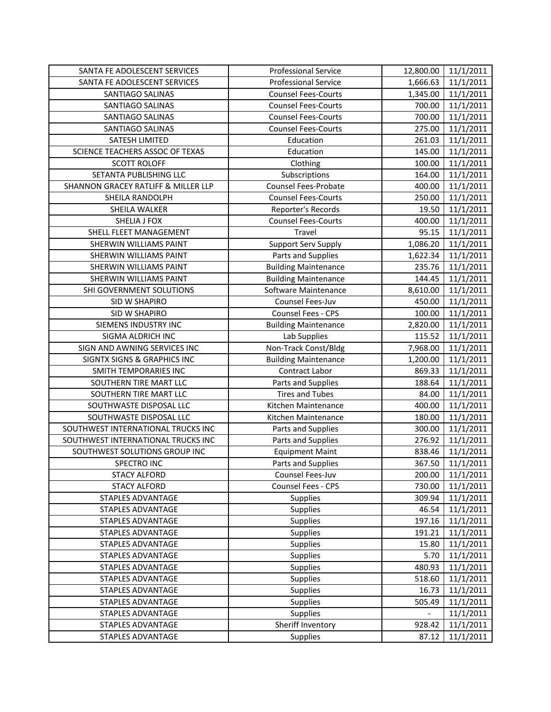| SANTA FE ADOLESCENT SERVICES           | <b>Professional Service</b> | 12,800.00                | 11/1/2011 |
|----------------------------------------|-----------------------------|--------------------------|-----------|
| SANTA FE ADOLESCENT SERVICES           | <b>Professional Service</b> | 1,666.63                 | 11/1/2011 |
| SANTIAGO SALINAS                       | <b>Counsel Fees-Courts</b>  | 1,345.00                 | 11/1/2011 |
| SANTIAGO SALINAS                       | <b>Counsel Fees-Courts</b>  | 700.00                   | 11/1/2011 |
| SANTIAGO SALINAS                       | <b>Counsel Fees-Courts</b>  | 700.00                   | 11/1/2011 |
| SANTIAGO SALINAS                       | <b>Counsel Fees-Courts</b>  | 275.00                   | 11/1/2011 |
| SATESH LIMITED                         | Education                   | 261.03                   | 11/1/2011 |
| SCIENCE TEACHERS ASSOC OF TEXAS        | Education                   | 145.00                   | 11/1/2011 |
| <b>SCOTT ROLOFF</b>                    | Clothing                    | 100.00                   | 11/1/2011 |
| SETANTA PUBLISHING LLC                 | Subscriptions               | 164.00                   | 11/1/2011 |
| SHANNON GRACEY RATLIFF & MILLER LLP    | <b>Counsel Fees-Probate</b> | 400.00                   | 11/1/2011 |
| SHEILA RANDOLPH                        | <b>Counsel Fees-Courts</b>  | 250.00                   | 11/1/2011 |
| SHEILA WALKER                          | Reporter's Records          | 19.50                    | 11/1/2011 |
| SHELIA J FOX                           | <b>Counsel Fees-Courts</b>  | 400.00                   | 11/1/2011 |
| SHELL FLEET MANAGEMENT                 | Travel                      | 95.15                    | 11/1/2011 |
| SHERWIN WILLIAMS PAINT                 | <b>Support Serv Supply</b>  | 1,086.20                 | 11/1/2011 |
| SHERWIN WILLIAMS PAINT                 | Parts and Supplies          | 1,622.34                 | 11/1/2011 |
| SHERWIN WILLIAMS PAINT                 | <b>Building Maintenance</b> | 235.76                   | 11/1/2011 |
| SHERWIN WILLIAMS PAINT                 | <b>Building Maintenance</b> | 144.45                   | 11/1/2011 |
| SHI GOVERNMENT SOLUTIONS               | Software Maintenance        | 8,610.00                 | 11/1/2011 |
| <b>SID W SHAPIRO</b>                   | Counsel Fees-Juv            | 450.00                   | 11/1/2011 |
| SID W SHAPIRO                          | Counsel Fees - CPS          | 100.00                   | 11/1/2011 |
| SIEMENS INDUSTRY INC                   | <b>Building Maintenance</b> | 2,820.00                 | 11/1/2011 |
| SIGMA ALDRICH INC                      | Lab Supplies                | 115.52                   | 11/1/2011 |
| SIGN AND AWNING SERVICES INC           | Non-Track Const/Bldg        | 7,968.00                 | 11/1/2011 |
| <b>SIGNTX SIGNS &amp; GRAPHICS INC</b> | <b>Building Maintenance</b> | 1,200.00                 | 11/1/2011 |
| SMITH TEMPORARIES INC                  | Contract Labor              | 869.33                   | 11/1/2011 |
| SOUTHERN TIRE MART LLC                 | Parts and Supplies          | 188.64                   | 11/1/2011 |
| SOUTHERN TIRE MART LLC                 | <b>Tires and Tubes</b>      | 84.00                    | 11/1/2011 |
| SOUTHWASTE DISPOSAL LLC                | Kitchen Maintenance         | 400.00                   | 11/1/2011 |
| SOUTHWASTE DISPOSAL LLC                | Kitchen Maintenance         | 180.00                   | 11/1/2011 |
| SOUTHWEST INTERNATIONAL TRUCKS INC     | Parts and Supplies          | 300.00                   | 11/1/2011 |
| SOUTHWEST INTERNATIONAL TRUCKS INC     | Parts and Supplies          | 276.92                   | 11/1/2011 |
| SOUTHWEST SOLUTIONS GROUP INC          | <b>Equipment Maint</b>      | 838.46                   | 11/1/2011 |
| <b>SPECTRO INC</b>                     | Parts and Supplies          | 367.50                   | 11/1/2011 |
| <b>STACY ALFORD</b>                    | Counsel Fees-Juv            | 200.00                   | 11/1/2011 |
| <b>STACY ALFORD</b>                    | Counsel Fees - CPS          | 730.00                   | 11/1/2011 |
| <b>STAPLES ADVANTAGE</b>               | Supplies                    | 309.94                   | 11/1/2011 |
| STAPLES ADVANTAGE                      | Supplies                    | 46.54                    | 11/1/2011 |
| STAPLES ADVANTAGE                      | Supplies                    | 197.16                   | 11/1/2011 |
| <b>STAPLES ADVANTAGE</b>               | Supplies                    | 191.21                   | 11/1/2011 |
| <b>STAPLES ADVANTAGE</b>               | Supplies                    | 15.80                    | 11/1/2011 |
| <b>STAPLES ADVANTAGE</b>               | Supplies                    | 5.70                     | 11/1/2011 |
| STAPLES ADVANTAGE                      | Supplies                    | 480.93                   | 11/1/2011 |
| STAPLES ADVANTAGE                      | <b>Supplies</b>             | 518.60                   | 11/1/2011 |
| STAPLES ADVANTAGE                      | <b>Supplies</b>             | 16.73                    | 11/1/2011 |
| STAPLES ADVANTAGE                      | Supplies                    | 505.49                   | 11/1/2011 |
| <b>STAPLES ADVANTAGE</b>               | Supplies                    | $\overline{\phantom{0}}$ | 11/1/2011 |
| STAPLES ADVANTAGE                      | Sheriff Inventory           | 928.42                   | 11/1/2011 |
| <b>STAPLES ADVANTAGE</b>               | <b>Supplies</b>             | 87.12                    | 11/1/2011 |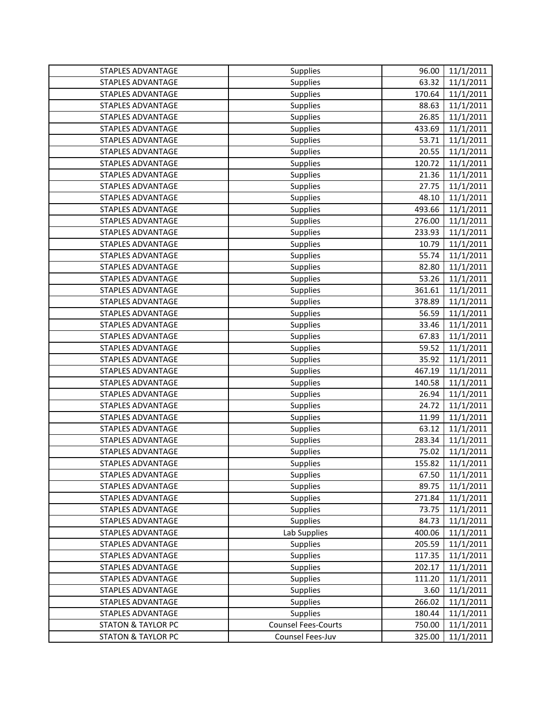| STAPLES ADVANTAGE             | Supplies                   | 96.00  | 11/1/2011 |
|-------------------------------|----------------------------|--------|-----------|
| <b>STAPLES ADVANTAGE</b>      | Supplies                   | 63.32  | 11/1/2011 |
| <b>STAPLES ADVANTAGE</b>      | Supplies                   | 170.64 | 11/1/2011 |
| STAPLES ADVANTAGE             | Supplies                   | 88.63  | 11/1/2011 |
| <b>STAPLES ADVANTAGE</b>      | <b>Supplies</b>            | 26.85  | 11/1/2011 |
| STAPLES ADVANTAGE             | <b>Supplies</b>            | 433.69 | 11/1/2011 |
| STAPLES ADVANTAGE             | Supplies                   | 53.71  | 11/1/2011 |
| STAPLES ADVANTAGE             | <b>Supplies</b>            | 20.55  | 11/1/2011 |
| STAPLES ADVANTAGE             | Supplies                   | 120.72 | 11/1/2011 |
| <b>STAPLES ADVANTAGE</b>      | <b>Supplies</b>            | 21.36  | 11/1/2011 |
| <b>STAPLES ADVANTAGE</b>      | Supplies                   | 27.75  | 11/1/2011 |
| STAPLES ADVANTAGE             | <b>Supplies</b>            | 48.10  | 11/1/2011 |
| STAPLES ADVANTAGE             | <b>Supplies</b>            | 493.66 | 11/1/2011 |
| <b>STAPLES ADVANTAGE</b>      | Supplies                   | 276.00 | 11/1/2011 |
| <b>STAPLES ADVANTAGE</b>      | Supplies                   | 233.93 | 11/1/2011 |
| STAPLES ADVANTAGE             | Supplies                   | 10.79  | 11/1/2011 |
| <b>STAPLES ADVANTAGE</b>      | Supplies                   | 55.74  | 11/1/2011 |
| STAPLES ADVANTAGE             | Supplies                   | 82.80  | 11/1/2011 |
| <b>STAPLES ADVANTAGE</b>      | Supplies                   | 53.26  | 11/1/2011 |
| STAPLES ADVANTAGE             | Supplies                   | 361.61 | 11/1/2011 |
| <b>STAPLES ADVANTAGE</b>      | <b>Supplies</b>            | 378.89 | 11/1/2011 |
| STAPLES ADVANTAGE             | Supplies                   | 56.59  | 11/1/2011 |
| STAPLES ADVANTAGE             | Supplies                   | 33.46  | 11/1/2011 |
| STAPLES ADVANTAGE             | Supplies                   | 67.83  | 11/1/2011 |
| STAPLES ADVANTAGE             | Supplies                   | 59.52  | 11/1/2011 |
| STAPLES ADVANTAGE             | Supplies                   | 35.92  | 11/1/2011 |
| STAPLES ADVANTAGE             | Supplies                   | 467.19 | 11/1/2011 |
| <b>STAPLES ADVANTAGE</b>      | Supplies                   | 140.58 | 11/1/2011 |
| STAPLES ADVANTAGE             | <b>Supplies</b>            | 26.94  | 11/1/2011 |
| STAPLES ADVANTAGE             | Supplies                   | 24.72  | 11/1/2011 |
| STAPLES ADVANTAGE             | Supplies                   | 11.99  | 11/1/2011 |
| <b>STAPLES ADVANTAGE</b>      | Supplies                   | 63.12  | 11/1/2011 |
| <b>STAPLES ADVANTAGE</b>      | Supplies                   | 283.34 | 11/1/2011 |
| STAPLES ADVANTAGE             | Supplies                   | 75.02  | 11/1/2011 |
| STAPLES ADVANTAGE             | Supplies                   | 155.82 | 11/1/2011 |
| STAPLES ADVANTAGE             | <b>Supplies</b>            | 67.50  | 11/1/2011 |
| STAPLES ADVANTAGE             | <b>Supplies</b>            | 89.75  | 11/1/2011 |
| <b>STAPLES ADVANTAGE</b>      | Supplies                   | 271.84 | 11/1/2011 |
| STAPLES ADVANTAGE             | <b>Supplies</b>            | 73.75  | 11/1/2011 |
| STAPLES ADVANTAGE             | Supplies                   | 84.73  | 11/1/2011 |
| STAPLES ADVANTAGE             | Lab Supplies               | 400.06 | 11/1/2011 |
| STAPLES ADVANTAGE             | Supplies                   | 205.59 | 11/1/2011 |
| <b>STAPLES ADVANTAGE</b>      | Supplies                   | 117.35 | 11/1/2011 |
| STAPLES ADVANTAGE             | Supplies                   | 202.17 | 11/1/2011 |
| STAPLES ADVANTAGE             | Supplies                   | 111.20 | 11/1/2011 |
| STAPLES ADVANTAGE             | <b>Supplies</b>            | 3.60   | 11/1/2011 |
| STAPLES ADVANTAGE             | Supplies                   | 266.02 | 11/1/2011 |
| STAPLES ADVANTAGE             | <b>Supplies</b>            | 180.44 | 11/1/2011 |
| <b>STATON &amp; TAYLOR PC</b> | <b>Counsel Fees-Courts</b> | 750.00 | 11/1/2011 |
| <b>STATON &amp; TAYLOR PC</b> | Counsel Fees-Juv           | 325.00 | 11/1/2011 |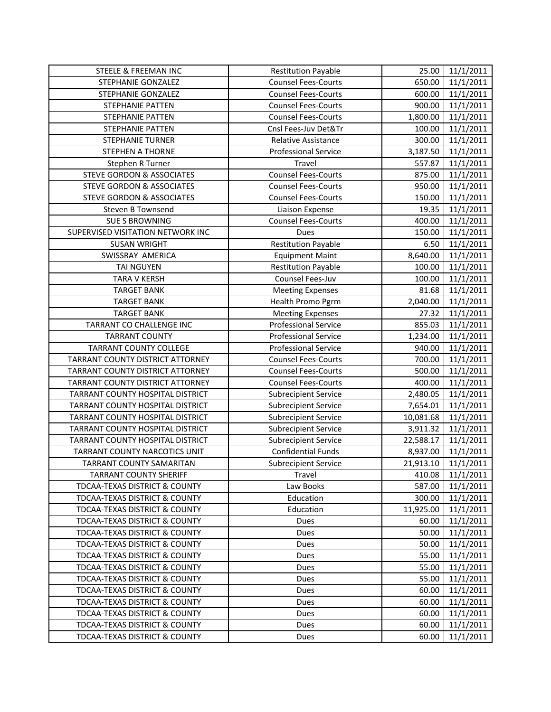| STEELE & FREEMAN INC                     | <b>Restitution Payable</b>  | 25.00     | 11/1/2011 |
|------------------------------------------|-----------------------------|-----------|-----------|
| STEPHANIE GONZALEZ                       | <b>Counsel Fees-Courts</b>  | 650.00    | 11/1/2011 |
| STEPHANIE GONZALEZ                       | <b>Counsel Fees-Courts</b>  | 600.00    | 11/1/2011 |
| STEPHANIE PATTEN                         | <b>Counsel Fees-Courts</b>  | 900.00    | 11/1/2011 |
| STEPHANIE PATTEN                         | <b>Counsel Fees-Courts</b>  | 1,800.00  | 11/1/2011 |
| <b>STEPHANIE PATTEN</b>                  | Cnsl Fees-Juv Det&Tr        | 100.00    | 11/1/2011 |
| <b>STEPHANIE TURNER</b>                  | Relative Assistance         | 300.00    | 11/1/2011 |
| <b>STEPHEN A THORNE</b>                  | <b>Professional Service</b> | 3,187.50  | 11/1/2011 |
| Stephen R Turner                         | Travel                      | 557.87    | 11/1/2011 |
| <b>STEVE GORDON &amp; ASSOCIATES</b>     | <b>Counsel Fees-Courts</b>  | 875.00    | 11/1/2011 |
| <b>STEVE GORDON &amp; ASSOCIATES</b>     | <b>Counsel Fees-Courts</b>  | 950.00    | 11/1/2011 |
| STEVE GORDON & ASSOCIATES                | <b>Counsel Fees-Courts</b>  | 150.00    | 11/1/2011 |
| Steven B Townsend                        | Liaison Expense             | 19.35     | 11/1/2011 |
| <b>SUE S BROWNING</b>                    | <b>Counsel Fees-Courts</b>  | 400.00    | 11/1/2011 |
| SUPERVISED VISITATION NETWORK INC        | Dues                        | 150.00    | 11/1/2011 |
| <b>SUSAN WRIGHT</b>                      | <b>Restitution Payable</b>  | 6.50      | 11/1/2011 |
| SWISSRAY AMERICA                         | <b>Equipment Maint</b>      | 8,640.00  | 11/1/2011 |
| <b>TAI NGUYEN</b>                        | <b>Restitution Payable</b>  | 100.00    | 11/1/2011 |
| <b>TARA V KERSH</b>                      | Counsel Fees-Juv            | 100.00    | 11/1/2011 |
| <b>TARGET BANK</b>                       | <b>Meeting Expenses</b>     | 81.68     | 11/1/2011 |
| <b>TARGET BANK</b>                       | Health Promo Pgrm           | 2,040.00  | 11/1/2011 |
| <b>TARGET BANK</b>                       | <b>Meeting Expenses</b>     | 27.32     | 11/1/2011 |
| TARRANT CO CHALLENGE INC                 | <b>Professional Service</b> | 855.03    | 11/1/2011 |
| <b>TARRANT COUNTY</b>                    | <b>Professional Service</b> | 1,234.00  | 11/1/2011 |
| <b>TARRANT COUNTY COLLEGE</b>            | <b>Professional Service</b> | 940.00    | 11/1/2011 |
| TARRANT COUNTY DISTRICT ATTORNEY         | <b>Counsel Fees-Courts</b>  | 700.00    | 11/1/2011 |
| TARRANT COUNTY DISTRICT ATTORNEY         | <b>Counsel Fees-Courts</b>  | 500.00    | 11/1/2011 |
| TARRANT COUNTY DISTRICT ATTORNEY         | <b>Counsel Fees-Courts</b>  | 400.00    | 11/1/2011 |
| TARRANT COUNTY HOSPITAL DISTRICT         | <b>Subrecipient Service</b> | 2,480.05  | 11/1/2011 |
| TARRANT COUNTY HOSPITAL DISTRICT         | <b>Subrecipient Service</b> | 7,654.01  | 11/1/2011 |
| TARRANT COUNTY HOSPITAL DISTRICT         | <b>Subrecipient Service</b> | 10,081.68 | 11/1/2011 |
| TARRANT COUNTY HOSPITAL DISTRICT         | <b>Subrecipient Service</b> | 3,911.32  | 11/1/2011 |
| TARRANT COUNTY HOSPITAL DISTRICT         | <b>Subrecipient Service</b> | 22,588.17 | 11/1/2011 |
| <b>TARRANT COUNTY NARCOTICS UNIT</b>     | <b>Confidential Funds</b>   | 8,937.00  | 11/1/2011 |
| TARRANT COUNTY SAMARITAN                 | <b>Subrecipient Service</b> | 21,913.10 | 11/1/2011 |
| <b>TARRANT COUNTY SHERIFF</b>            | Travel                      | 410.08    | 11/1/2011 |
| <b>TDCAA-TEXAS DISTRICT &amp; COUNTY</b> | Law Books                   | 587.00    | 11/1/2011 |
| TDCAA-TEXAS DISTRICT & COUNTY            | Education                   | 300.00    | 11/1/2011 |
| TDCAA-TEXAS DISTRICT & COUNTY            | Education                   | 11,925.00 | 11/1/2011 |
| TDCAA-TEXAS DISTRICT & COUNTY            | Dues                        | 60.00     | 11/1/2011 |
| TDCAA-TEXAS DISTRICT & COUNTY            | <b>Dues</b>                 | 50.00     | 11/1/2011 |
| <b>TDCAA-TEXAS DISTRICT &amp; COUNTY</b> | Dues                        | 50.00     | 11/1/2011 |
| TDCAA-TEXAS DISTRICT & COUNTY            | Dues                        | 55.00     | 11/1/2011 |
| TDCAA-TEXAS DISTRICT & COUNTY            | Dues                        | 55.00     | 11/1/2011 |
| TDCAA-TEXAS DISTRICT & COUNTY            | Dues                        | 55.00     | 11/1/2011 |
| TDCAA-TEXAS DISTRICT & COUNTY            | <b>Dues</b>                 | 60.00     | 11/1/2011 |
| TDCAA-TEXAS DISTRICT & COUNTY            | Dues                        | 60.00     | 11/1/2011 |
| TDCAA-TEXAS DISTRICT & COUNTY            | Dues                        | 60.00     | 11/1/2011 |
| TDCAA-TEXAS DISTRICT & COUNTY            | Dues                        | 60.00     | 11/1/2011 |
| <b>TDCAA-TEXAS DISTRICT &amp; COUNTY</b> | Dues                        | 60.00     | 11/1/2011 |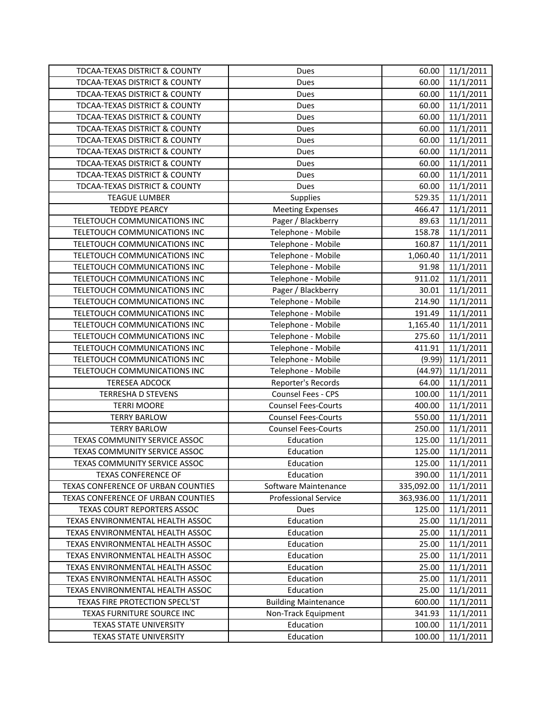| TDCAA-TEXAS DISTRICT & COUNTY            | Dues                        | 60.00      | 11/1/2011 |
|------------------------------------------|-----------------------------|------------|-----------|
| <b>TDCAA-TEXAS DISTRICT &amp; COUNTY</b> | Dues                        | 60.00      | 11/1/2011 |
| TDCAA-TEXAS DISTRICT & COUNTY            | Dues                        | 60.00      | 11/1/2011 |
| TDCAA-TEXAS DISTRICT & COUNTY            | Dues                        | 60.00      | 11/1/2011 |
| TDCAA-TEXAS DISTRICT & COUNTY            | Dues                        | 60.00      | 11/1/2011 |
| TDCAA-TEXAS DISTRICT & COUNTY            | Dues                        | 60.00      | 11/1/2011 |
| TDCAA-TEXAS DISTRICT & COUNTY            | Dues                        | 60.00      | 11/1/2011 |
| TDCAA-TEXAS DISTRICT & COUNTY            | Dues                        | 60.00      | 11/1/2011 |
| TDCAA-TEXAS DISTRICT & COUNTY            | Dues                        | 60.00      | 11/1/2011 |
| TDCAA-TEXAS DISTRICT & COUNTY            | Dues                        | 60.00      | 11/1/2011 |
| TDCAA-TEXAS DISTRICT & COUNTY            | Dues                        | 60.00      | 11/1/2011 |
| <b>TEAGUE LUMBER</b>                     | Supplies                    | 529.35     | 11/1/2011 |
| <b>TEDDYE PEARCY</b>                     | <b>Meeting Expenses</b>     | 466.47     | 11/1/2011 |
| TELETOUCH COMMUNICATIONS INC             | Pager / Blackberry          | 89.63      | 11/1/2011 |
| TELETOUCH COMMUNICATIONS INC             | Telephone - Mobile          | 158.78     | 11/1/2011 |
| TELETOUCH COMMUNICATIONS INC             | Telephone - Mobile          | 160.87     | 11/1/2011 |
| TELETOUCH COMMUNICATIONS INC             | Telephone - Mobile          | 1,060.40   | 11/1/2011 |
| TELETOUCH COMMUNICATIONS INC             | Telephone - Mobile          | 91.98      | 11/1/2011 |
| TELETOUCH COMMUNICATIONS INC             | Telephone - Mobile          | 911.02     | 11/1/2011 |
| TELETOUCH COMMUNICATIONS INC             | Pager / Blackberry          | 30.01      | 11/1/2011 |
| TELETOUCH COMMUNICATIONS INC             | Telephone - Mobile          | 214.90     | 11/1/2011 |
| TELETOUCH COMMUNICATIONS INC             | Telephone - Mobile          | 191.49     | 11/1/2011 |
| TELETOUCH COMMUNICATIONS INC             | Telephone - Mobile          | 1,165.40   | 11/1/2011 |
| TELETOUCH COMMUNICATIONS INC             | Telephone - Mobile          | 275.60     | 11/1/2011 |
| TELETOUCH COMMUNICATIONS INC             | Telephone - Mobile          | 411.91     | 11/1/2011 |
| TELETOUCH COMMUNICATIONS INC             | Telephone - Mobile          | (9.99)     | 11/1/2011 |
| TELETOUCH COMMUNICATIONS INC             | Telephone - Mobile          | (44.97)    | 11/1/2011 |
| <b>TERESEA ADCOCK</b>                    | Reporter's Records          | 64.00      | 11/1/2011 |
| <b>TERRESHA D STEVENS</b>                | Counsel Fees - CPS          | 100.00     | 11/1/2011 |
| <b>TERRI MOORE</b>                       | <b>Counsel Fees-Courts</b>  | 400.00     | 11/1/2011 |
| <b>TERRY BARLOW</b>                      | <b>Counsel Fees-Courts</b>  | 550.00     | 11/1/2011 |
| <b>TERRY BARLOW</b>                      | <b>Counsel Fees-Courts</b>  | 250.00     | 11/1/2011 |
| TEXAS COMMUNITY SERVICE ASSOC            | Education                   | 125.00     | 11/1/2011 |
| TEXAS COMMUNITY SERVICE ASSOC            | Education                   | 125.00     | 11/1/2011 |
| TEXAS COMMUNITY SERVICE ASSOC            | Education                   | 125.00     | 11/1/2011 |
| <b>TEXAS CONFERENCE OF</b>               | Education                   | 390.00     | 11/1/2011 |
| TEXAS CONFERENCE OF URBAN COUNTIES       | Software Maintenance        | 335,092.00 | 11/1/2011 |
| TEXAS CONFERENCE OF URBAN COUNTIES       | <b>Professional Service</b> | 363,936.00 | 11/1/2011 |
| TEXAS COURT REPORTERS ASSOC              | Dues                        | 125.00     | 11/1/2011 |
| TEXAS ENVIRONMENTAL HEALTH ASSOC         | Education                   | 25.00      | 11/1/2011 |
| TEXAS ENVIRONMENTAL HEALTH ASSOC         | Education                   | 25.00      | 11/1/2011 |
| TEXAS ENVIRONMENTAL HEALTH ASSOC         | Education                   | 25.00      | 11/1/2011 |
| TEXAS ENVIRONMENTAL HEALTH ASSOC         | Education                   | 25.00      | 11/1/2011 |
| TEXAS ENVIRONMENTAL HEALTH ASSOC         | Education                   | 25.00      | 11/1/2011 |
| TEXAS ENVIRONMENTAL HEALTH ASSOC         | Education                   | 25.00      | 11/1/2011 |
| TEXAS ENVIRONMENTAL HEALTH ASSOC         | Education                   | 25.00      | 11/1/2011 |
| TEXAS FIRE PROTECTION SPECL'ST           | <b>Building Maintenance</b> | 600.00     | 11/1/2011 |
| TEXAS FURNITURE SOURCE INC               | Non-Track Equipment         | 341.93     | 11/1/2011 |
| <b>TEXAS STATE UNIVERSITY</b>            | Education                   | 100.00     | 11/1/2011 |
| <b>TEXAS STATE UNIVERSITY</b>            | Education                   | 100.00     | 11/1/2011 |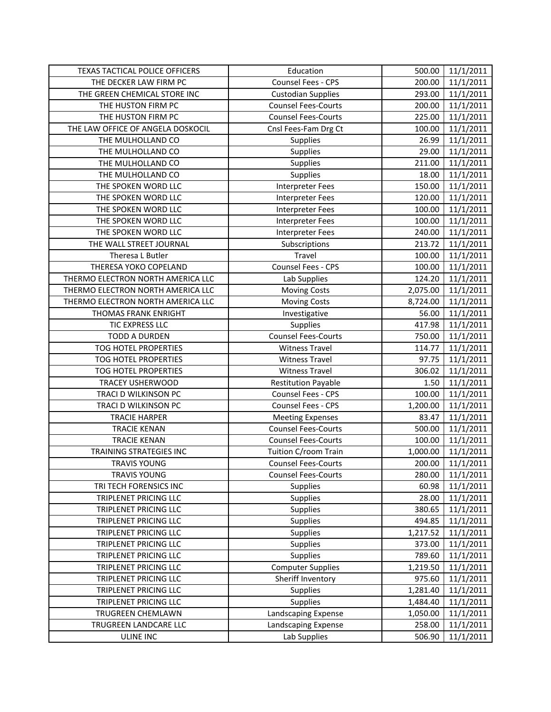| TEXAS TACTICAL POLICE OFFICERS    | Education                  | 500.00   | 11/1/2011 |
|-----------------------------------|----------------------------|----------|-----------|
| THE DECKER LAW FIRM PC            | Counsel Fees - CPS         | 200.00   | 11/1/2011 |
| THE GREEN CHEMICAL STORE INC      | <b>Custodian Supplies</b>  | 293.00   | 11/1/2011 |
| THE HUSTON FIRM PC                | <b>Counsel Fees-Courts</b> | 200.00   | 11/1/2011 |
| THE HUSTON FIRM PC                | <b>Counsel Fees-Courts</b> | 225.00   | 11/1/2011 |
| THE LAW OFFICE OF ANGELA DOSKOCIL | Cnsl Fees-Fam Drg Ct       | 100.00   | 11/1/2011 |
| THE MULHOLLAND CO                 | Supplies                   | 26.99    | 11/1/2011 |
| THE MULHOLLAND CO                 | Supplies                   | 29.00    | 11/1/2011 |
| THE MULHOLLAND CO                 | Supplies                   | 211.00   | 11/1/2011 |
| THE MULHOLLAND CO                 | Supplies                   | 18.00    | 11/1/2011 |
| THE SPOKEN WORD LLC               | <b>Interpreter Fees</b>    | 150.00   | 11/1/2011 |
| THE SPOKEN WORD LLC               | <b>Interpreter Fees</b>    | 120.00   | 11/1/2011 |
| THE SPOKEN WORD LLC               | <b>Interpreter Fees</b>    | 100.00   | 11/1/2011 |
| THE SPOKEN WORD LLC               | <b>Interpreter Fees</b>    | 100.00   | 11/1/2011 |
| THE SPOKEN WORD LLC               | <b>Interpreter Fees</b>    | 240.00   | 11/1/2011 |
| THE WALL STREET JOURNAL           | Subscriptions              | 213.72   | 11/1/2011 |
| Theresa L Butler                  | Travel                     | 100.00   | 11/1/2011 |
| THERESA YOKO COPELAND             | Counsel Fees - CPS         | 100.00   | 11/1/2011 |
| THERMO ELECTRON NORTH AMERICA LLC | Lab Supplies               | 124.20   | 11/1/2011 |
| THERMO ELECTRON NORTH AMERICA LLC | <b>Moving Costs</b>        | 2,075.00 | 11/1/2011 |
| THERMO ELECTRON NORTH AMERICA LLC | <b>Moving Costs</b>        | 8,724.00 | 11/1/2011 |
| THOMAS FRANK ENRIGHT              | Investigative              | 56.00    | 11/1/2011 |
| TIC EXPRESS LLC                   | Supplies                   | 417.98   | 11/1/2011 |
| <b>TODD A DURDEN</b>              | Counsel Fees-Courts        | 750.00   | 11/1/2011 |
| TOG HOTEL PROPERTIES              | <b>Witness Travel</b>      | 114.77   | 11/1/2011 |
| TOG HOTEL PROPERTIES              | <b>Witness Travel</b>      | 97.75    | 11/1/2011 |
| TOG HOTEL PROPERTIES              | <b>Witness Travel</b>      | 306.02   | 11/1/2011 |
| TRACEY USHERWOOD                  | <b>Restitution Payable</b> | 1.50     | 11/1/2011 |
| TRACI D WILKINSON PC              | Counsel Fees - CPS         | 100.00   | 11/1/2011 |
| TRACI D WILKINSON PC              | Counsel Fees - CPS         | 1,200.00 | 11/1/2011 |
| <b>TRACIE HARPER</b>              | <b>Meeting Expenses</b>    | 83.47    | 11/1/2011 |
| <b>TRACIE KENAN</b>               | <b>Counsel Fees-Courts</b> | 500.00   | 11/1/2011 |
| <b>TRACIE KENAN</b>               | <b>Counsel Fees-Courts</b> | 100.00   | 11/1/2011 |
| <b>TRAINING STRATEGIES INC</b>    | Tuition C/room Train       | 1,000.00 | 11/1/2011 |
| <b>TRAVIS YOUNG</b>               | <b>Counsel Fees-Courts</b> | 200.00   | 11/1/2011 |
| <b>TRAVIS YOUNG</b>               | <b>Counsel Fees-Courts</b> | 280.00   | 11/1/2011 |
| TRI TECH FORENSICS INC            | Supplies                   | 60.98    | 11/1/2011 |
| TRIPLENET PRICING LLC             | Supplies                   | 28.00    | 11/1/2011 |
| TRIPLENET PRICING LLC             | Supplies                   | 380.65   | 11/1/2011 |
| TRIPLENET PRICING LLC             | Supplies                   | 494.85   | 11/1/2011 |
| TRIPLENET PRICING LLC             | Supplies                   | 1,217.52 | 11/1/2011 |
| TRIPLENET PRICING LLC             | Supplies                   | 373.00   | 11/1/2011 |
| TRIPLENET PRICING LLC             | Supplies                   | 789.60   | 11/1/2011 |
| TRIPLENET PRICING LLC             | <b>Computer Supplies</b>   | 1,219.50 | 11/1/2011 |
| TRIPLENET PRICING LLC             | Sheriff Inventory          | 975.60   | 11/1/2011 |
| TRIPLENET PRICING LLC             | <b>Supplies</b>            | 1,281.40 | 11/1/2011 |
| TRIPLENET PRICING LLC             | Supplies                   | 1,484.40 | 11/1/2011 |
| TRUGREEN CHEMLAWN                 | Landscaping Expense        | 1,050.00 | 11/1/2011 |
| TRUGREEN LANDCARE LLC             | Landscaping Expense        | 258.00   | 11/1/2011 |
| ULINE INC                         | Lab Supplies               | 506.90   | 11/1/2011 |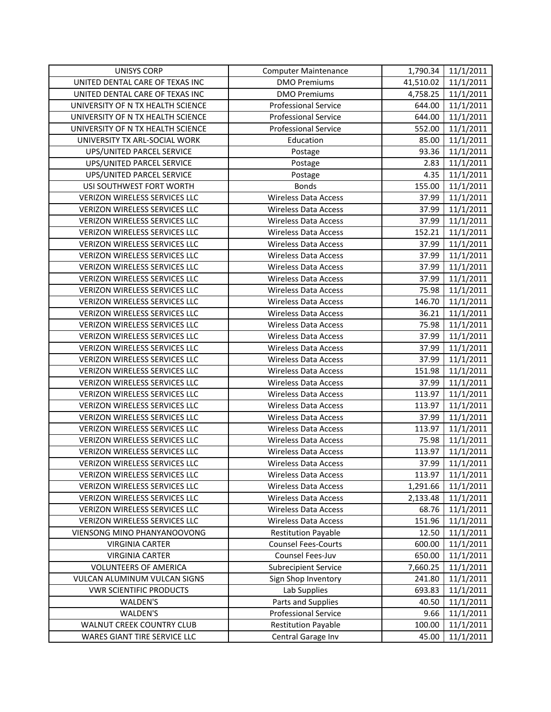| <b>UNISYS CORP</b>                   | <b>Computer Maintenance</b> | 1,790.34  | 11/1/2011 |
|--------------------------------------|-----------------------------|-----------|-----------|
| UNITED DENTAL CARE OF TEXAS INC      | <b>DMO Premiums</b>         | 41,510.02 | 11/1/2011 |
| UNITED DENTAL CARE OF TEXAS INC      | <b>DMO Premiums</b>         | 4,758.25  | 11/1/2011 |
| UNIVERSITY OF N TX HEALTH SCIENCE    | <b>Professional Service</b> | 644.00    | 11/1/2011 |
| UNIVERSITY OF N TX HEALTH SCIENCE    | <b>Professional Service</b> | 644.00    | 11/1/2011 |
| UNIVERSITY OF N TX HEALTH SCIENCE    | <b>Professional Service</b> | 552.00    | 11/1/2011 |
| UNIVERSITY TX ARL-SOCIAL WORK        | Education                   | 85.00     | 11/1/2011 |
| UPS/UNITED PARCEL SERVICE            | Postage                     | 93.36     | 11/1/2011 |
| UPS/UNITED PARCEL SERVICE            | Postage                     | 2.83      | 11/1/2011 |
| UPS/UNITED PARCEL SERVICE            | Postage                     | 4.35      | 11/1/2011 |
| USI SOUTHWEST FORT WORTH             | <b>Bonds</b>                | 155.00    | 11/1/2011 |
| VERIZON WIRELESS SERVICES LLC        | <b>Wireless Data Access</b> | 37.99     | 11/1/2011 |
| VERIZON WIRELESS SERVICES LLC        | <b>Wireless Data Access</b> | 37.99     | 11/1/2011 |
| VERIZON WIRELESS SERVICES LLC        | <b>Wireless Data Access</b> | 37.99     | 11/1/2011 |
| VERIZON WIRELESS SERVICES LLC        | <b>Wireless Data Access</b> | 152.21    | 11/1/2011 |
| VERIZON WIRELESS SERVICES LLC        | <b>Wireless Data Access</b> | 37.99     | 11/1/2011 |
| VERIZON WIRELESS SERVICES LLC        | <b>Wireless Data Access</b> | 37.99     | 11/1/2011 |
| VERIZON WIRELESS SERVICES LLC        | <b>Wireless Data Access</b> | 37.99     | 11/1/2011 |
| VERIZON WIRELESS SERVICES LLC        | <b>Wireless Data Access</b> | 37.99     | 11/1/2011 |
| VERIZON WIRELESS SERVICES LLC        | <b>Wireless Data Access</b> | 75.98     | 11/1/2011 |
| VERIZON WIRELESS SERVICES LLC        | <b>Wireless Data Access</b> | 146.70    | 11/1/2011 |
| VERIZON WIRELESS SERVICES LLC        | <b>Wireless Data Access</b> | 36.21     | 11/1/2011 |
| <b>VERIZON WIRELESS SERVICES LLC</b> | <b>Wireless Data Access</b> | 75.98     | 11/1/2011 |
| VERIZON WIRELESS SERVICES LLC        | <b>Wireless Data Access</b> | 37.99     | 11/1/2011 |
| VERIZON WIRELESS SERVICES LLC        | <b>Wireless Data Access</b> | 37.99     | 11/1/2011 |
| VERIZON WIRELESS SERVICES LLC        | <b>Wireless Data Access</b> | 37.99     | 11/1/2011 |
| VERIZON WIRELESS SERVICES LLC        | <b>Wireless Data Access</b> | 151.98    | 11/1/2011 |
| VERIZON WIRELESS SERVICES LLC        | <b>Wireless Data Access</b> | 37.99     | 11/1/2011 |
| VERIZON WIRELESS SERVICES LLC        | <b>Wireless Data Access</b> | 113.97    | 11/1/2011 |
| VERIZON WIRELESS SERVICES LLC        | <b>Wireless Data Access</b> | 113.97    | 11/1/2011 |
| <b>VERIZON WIRELESS SERVICES LLC</b> | <b>Wireless Data Access</b> | 37.99     | 11/1/2011 |
| VERIZON WIRELESS SERVICES LLC        | <b>Wireless Data Access</b> | 113.97    | 11/1/2011 |
| <b>VERIZON WIRELESS SERVICES LLC</b> | <b>Wireless Data Access</b> | 75.98     | 11/1/2011 |
| VERIZON WIRELESS SERVICES LLC        | <b>Wireless Data Access</b> | 113.97    | 11/1/2011 |
| VERIZON WIRELESS SERVICES LLC        | <b>Wireless Data Access</b> | 37.99     | 11/1/2011 |
| VERIZON WIRELESS SERVICES LLC        | <b>Wireless Data Access</b> | 113.97    | 11/1/2011 |
| VERIZON WIRELESS SERVICES LLC        | <b>Wireless Data Access</b> | 1,291.66  | 11/1/2011 |
| VERIZON WIRELESS SERVICES LLC        | <b>Wireless Data Access</b> | 2,133.48  | 11/1/2011 |
| VERIZON WIRELESS SERVICES LLC        | <b>Wireless Data Access</b> | 68.76     | 11/1/2011 |
| VERIZON WIRELESS SERVICES LLC        | <b>Wireless Data Access</b> | 151.96    | 11/1/2011 |
| VIENSONG MINO PHANYANOOVONG          | <b>Restitution Payable</b>  | 12.50     | 11/1/2011 |
| <b>VIRGINIA CARTER</b>               | <b>Counsel Fees-Courts</b>  | 600.00    | 11/1/2011 |
| <b>VIRGINIA CARTER</b>               | Counsel Fees-Juv            | 650.00    | 11/1/2011 |
| <b>VOLUNTEERS OF AMERICA</b>         | <b>Subrecipient Service</b> | 7,660.25  | 11/1/2011 |
| VULCAN ALUMINUM VULCAN SIGNS         | Sign Shop Inventory         | 241.80    | 11/1/2011 |
| <b>VWR SCIENTIFIC PRODUCTS</b>       | Lab Supplies                | 693.83    | 11/1/2011 |
| WALDEN'S                             | Parts and Supplies          | 40.50     | 11/1/2011 |
| WALDEN'S                             | <b>Professional Service</b> | 9.66      | 11/1/2011 |
| WALNUT CREEK COUNTRY CLUB            | <b>Restitution Payable</b>  | 100.00    | 11/1/2011 |
| WARES GIANT TIRE SERVICE LLC         | Central Garage Inv          | 45.00     | 11/1/2011 |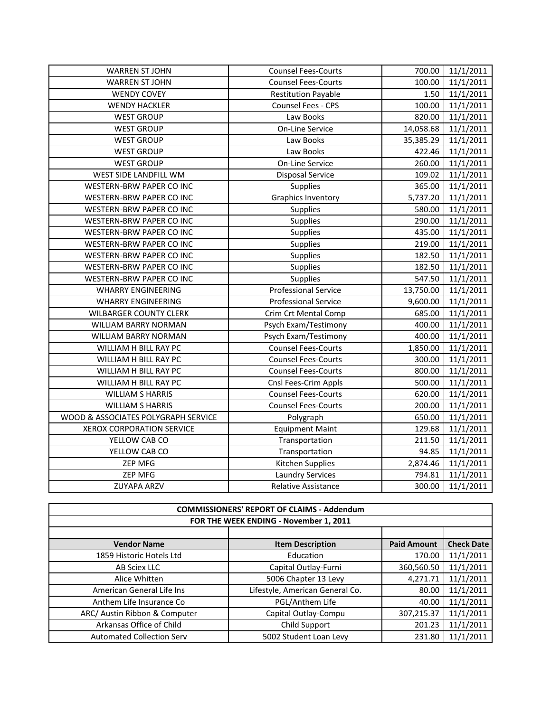| <b>WARREN ST JOHN</b>               | <b>Counsel Fees-Courts</b>  | 700.00    | 11/1/2011 |
|-------------------------------------|-----------------------------|-----------|-----------|
| <b>WARREN ST JOHN</b>               | <b>Counsel Fees-Courts</b>  | 100.00    | 11/1/2011 |
| <b>WENDY COVEY</b>                  | <b>Restitution Payable</b>  | 1.50      | 11/1/2011 |
| <b>WENDY HACKLER</b>                | Counsel Fees - CPS          | 100.00    | 11/1/2011 |
| <b>WEST GROUP</b>                   | Law Books                   | 820.00    | 11/1/2011 |
| <b>WEST GROUP</b>                   | On-Line Service             | 14,058.68 | 11/1/2011 |
| <b>WEST GROUP</b>                   | Law Books                   | 35,385.29 | 11/1/2011 |
| <b>WEST GROUP</b>                   | Law Books                   | 422.46    | 11/1/2011 |
| <b>WEST GROUP</b>                   | On-Line Service             | 260.00    | 11/1/2011 |
| WEST SIDE LANDFILL WM               | <b>Disposal Service</b>     | 109.02    | 11/1/2011 |
| WESTERN-BRW PAPER CO INC            | Supplies                    | 365.00    | 11/1/2011 |
| WESTERN-BRW PAPER CO INC            | <b>Graphics Inventory</b>   | 5,737.20  | 11/1/2011 |
| WESTERN-BRW PAPER CO INC            | Supplies                    | 580.00    | 11/1/2011 |
| WESTERN-BRW PAPER CO INC            | Supplies                    | 290.00    | 11/1/2011 |
| WESTERN-BRW PAPER CO INC            | <b>Supplies</b>             | 435.00    | 11/1/2011 |
| WESTERN-BRW PAPER CO INC            | <b>Supplies</b>             | 219.00    | 11/1/2011 |
| WESTERN-BRW PAPER CO INC            | Supplies                    | 182.50    | 11/1/2011 |
| WESTERN-BRW PAPER CO INC            | <b>Supplies</b>             | 182.50    | 11/1/2011 |
| WESTERN-BRW PAPER CO INC            | <b>Supplies</b>             | 547.50    | 11/1/2011 |
| <b>WHARRY ENGINEERING</b>           | <b>Professional Service</b> | 13,750.00 | 11/1/2011 |
| <b>WHARRY ENGINEERING</b>           | <b>Professional Service</b> | 9,600.00  | 11/1/2011 |
| <b>WILBARGER COUNTY CLERK</b>       | <b>Crim Crt Mental Comp</b> | 685.00    | 11/1/2011 |
| WILLIAM BARRY NORMAN                | Psych Exam/Testimony        | 400.00    | 11/1/2011 |
| WILLIAM BARRY NORMAN                | Psych Exam/Testimony        | 400.00    | 11/1/2011 |
| WILLIAM H BILL RAY PC               | <b>Counsel Fees-Courts</b>  | 1,850.00  | 11/1/2011 |
| WILLIAM H BILL RAY PC               | <b>Counsel Fees-Courts</b>  | 300.00    | 11/1/2011 |
| WILLIAM H BILL RAY PC               | <b>Counsel Fees-Courts</b>  | 800.00    | 11/1/2011 |
| WILLIAM H BILL RAY PC               | Cnsl Fees-Crim Appls        | 500.00    | 11/1/2011 |
| <b>WILLIAM S HARRIS</b>             | <b>Counsel Fees-Courts</b>  | 620.00    | 11/1/2011 |
| <b>WILLIAM S HARRIS</b>             | <b>Counsel Fees-Courts</b>  | 200.00    | 11/1/2011 |
| WOOD & ASSOCIATES POLYGRAPH SERVICE | Polygraph                   | 650.00    | 11/1/2011 |
| <b>XEROX CORPORATION SERVICE</b>    | <b>Equipment Maint</b>      | 129.68    | 11/1/2011 |
| YELLOW CAB CO                       | Transportation              | 211.50    | 11/1/2011 |
| YELLOW CAB CO                       | Transportation              | 94.85     | 11/1/2011 |
| ZEP MFG                             | Kitchen Supplies            | 2,874.46  | 11/1/2011 |
| <b>ZEP MFG</b>                      | <b>Laundry Services</b>     | 794.81    | 11/1/2011 |
| <b>ZUYAPA ARZV</b>                  | <b>Relative Assistance</b>  | 300.00    | 11/1/2011 |

| <b>COMMISSIONERS' REPORT OF CLAIMS - Addendum</b> |                                 |                    |                   |
|---------------------------------------------------|---------------------------------|--------------------|-------------------|
| FOR THE WEEK ENDING - November 1, 2011            |                                 |                    |                   |
|                                                   |                                 |                    |                   |
| <b>Vendor Name</b>                                | <b>Item Description</b>         | <b>Paid Amount</b> | <b>Check Date</b> |
| 1859 Historic Hotels Ltd                          | Education                       | 170.00             | 11/1/2011         |
| AB Sciex LLC                                      | Capital Outlay-Furni            | 360,560.50         | 11/1/2011         |
| Alice Whitten                                     | 5006 Chapter 13 Levy            | 4,271.71           | 11/1/2011         |
| American General Life Ins                         | Lifestyle, American General Co. | 80.00              | 11/1/2011         |
| Anthem Life Insurance Co                          | PGL/Anthem Life                 | 40.00              | 11/1/2011         |
| ARC/ Austin Ribbon & Computer                     | Capital Outlay-Compu            | 307,215.37         | 11/1/2011         |
| Arkansas Office of Child                          | Child Support                   | 201.23             | 11/1/2011         |
| <b>Automated Collection Serv</b>                  | 5002 Student Loan Levy          | 231.80             | 11/1/2011         |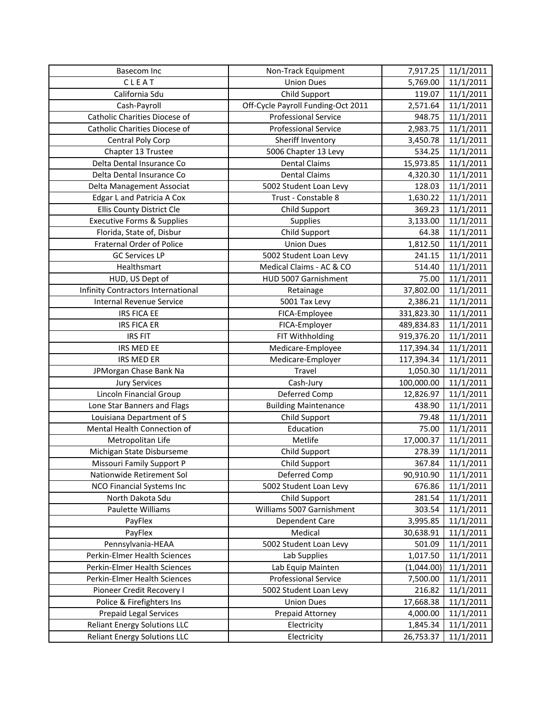| <b>Basecom Inc</b>                                                         | Non-Track Equipment                | 7,917.25              | 11/1/2011              |
|----------------------------------------------------------------------------|------------------------------------|-----------------------|------------------------|
| CLEAT                                                                      | <b>Union Dues</b>                  | 5,769.00              | 11/1/2011              |
| California Sdu                                                             | Child Support                      | 119.07                | 11/1/2011              |
| Cash-Payroll                                                               | Off-Cycle Payroll Funding-Oct 2011 | 2,571.64              | 11/1/2011              |
| Catholic Charities Diocese of                                              | <b>Professional Service</b>        | 948.75                | 11/1/2011              |
| Catholic Charities Diocese of                                              | <b>Professional Service</b>        | 2,983.75              | 11/1/2011              |
| Central Poly Corp                                                          | Sheriff Inventory                  | 3,450.78              | 11/1/2011              |
| Chapter 13 Trustee                                                         | 5006 Chapter 13 Levy               | 534.25                | 11/1/2011              |
| Delta Dental Insurance Co                                                  | <b>Dental Claims</b>               | 15,973.85             | 11/1/2011              |
| Delta Dental Insurance Co                                                  | <b>Dental Claims</b>               | 4,320.30              | 11/1/2011              |
| Delta Management Associat                                                  | 5002 Student Loan Levy             | 128.03                | 11/1/2011              |
| Edgar L and Patricia A Cox                                                 | Trust - Constable 8                | 1,630.22              | 11/1/2011              |
| Ellis County District Cle                                                  | Child Support                      | 369.23                | 11/1/2011              |
| <b>Executive Forms &amp; Supplies</b>                                      | Supplies                           | 3,133.00              | 11/1/2011              |
| Florida, State of, Disbur                                                  | Child Support                      | 64.38                 | 11/1/2011              |
| <b>Fraternal Order of Police</b>                                           | <b>Union Dues</b>                  | 1,812.50              | 11/1/2011              |
| <b>GC Services LP</b>                                                      | 5002 Student Loan Levy             | 241.15                | 11/1/2011              |
| Healthsmart                                                                | Medical Claims - AC & CO           | 514.40                | 11/1/2011              |
| HUD, US Dept of                                                            | HUD 5007 Garnishment               | 75.00                 | 11/1/2011              |
| Infinity Contractors International                                         | Retainage                          | 37,802.00             | 11/1/2011              |
| <b>Internal Revenue Service</b>                                            | 5001 Tax Levy                      | 2,386.21              | 11/1/2011              |
| <b>IRS FICA EE</b>                                                         | FICA-Employee                      | 331,823.30            | 11/1/2011              |
| <b>IRS FICA ER</b>                                                         | FICA-Employer                      | 489,834.83            | 11/1/2011              |
| <b>IRS FIT</b>                                                             | FIT Withholding                    | 919,376.20            | 11/1/2011              |
| IRS MED EE                                                                 | Medicare-Employee                  | 117,394.34            | 11/1/2011              |
|                                                                            |                                    |                       |                        |
| IRS MED ER                                                                 | Medicare-Employer                  | 117,394.34            | 11/1/2011              |
| JPMorgan Chase Bank Na                                                     | Travel                             | 1,050.30              | 11/1/2011              |
| <b>Jury Services</b>                                                       | Cash-Jury                          | 100,000.00            | 11/1/2011              |
| <b>Lincoln Financial Group</b>                                             | Deferred Comp                      | 12,826.97             | 11/1/2011              |
| Lone Star Banners and Flags                                                | <b>Building Maintenance</b>        | 438.90                | 11/1/2011              |
| Louisiana Department of S                                                  | Child Support                      | 79.48                 | 11/1/2011              |
| Mental Health Connection of                                                | Education                          | 75.00                 | 11/1/2011              |
| Metropolitan Life                                                          | Metlife                            | 17,000.37             | 11/1/2011              |
| Michigan State Disburseme                                                  | Child Support                      | 278.39                | 11/1/2011              |
| Missouri Family Support P                                                  | Child Support                      | 367.84                | 11/1/2011              |
| Nationwide Retirement Sol                                                  | Deferred Comp                      | 90,910.90             | 11/1/2011              |
| <b>NCO Financial Systems Inc</b>                                           | 5002 Student Loan Levy             | 676.86                | 11/1/2011              |
| North Dakota Sdu                                                           | Child Support                      | 281.54                | 11/1/2011              |
| Paulette Williams                                                          | Williams 5007 Garnishment          | 303.54                | 11/1/2011              |
| PayFlex                                                                    | Dependent Care                     | 3,995.85              | 11/1/2011              |
| PayFlex                                                                    | Medical                            | 30,638.91             | 11/1/2011              |
| Pennsylvania-HEAA                                                          | 5002 Student Loan Levy             | 501.09                | 11/1/2011              |
| Perkin-Elmer Health Sciences                                               | Lab Supplies                       | 1,017.50              | 11/1/2011              |
| Perkin-Elmer Health Sciences                                               | Lab Equip Mainten                  | (1,044.00)            | 11/1/2011              |
| Perkin-Elmer Health Sciences                                               | <b>Professional Service</b>        | 7,500.00              | 11/1/2011              |
| Pioneer Credit Recovery I                                                  | 5002 Student Loan Levy             | 216.82                | 11/1/2011              |
| Police & Firefighters Ins                                                  | <b>Union Dues</b>                  | 17,668.38             | 11/1/2011              |
| <b>Prepaid Legal Services</b>                                              | Prepaid Attorney                   | 4,000.00              | 11/1/2011              |
| <b>Reliant Energy Solutions LLC</b><br><b>Reliant Energy Solutions LLC</b> | Electricity<br>Electricity         | 1,845.34<br>26,753.37 | 11/1/2011<br>11/1/2011 |